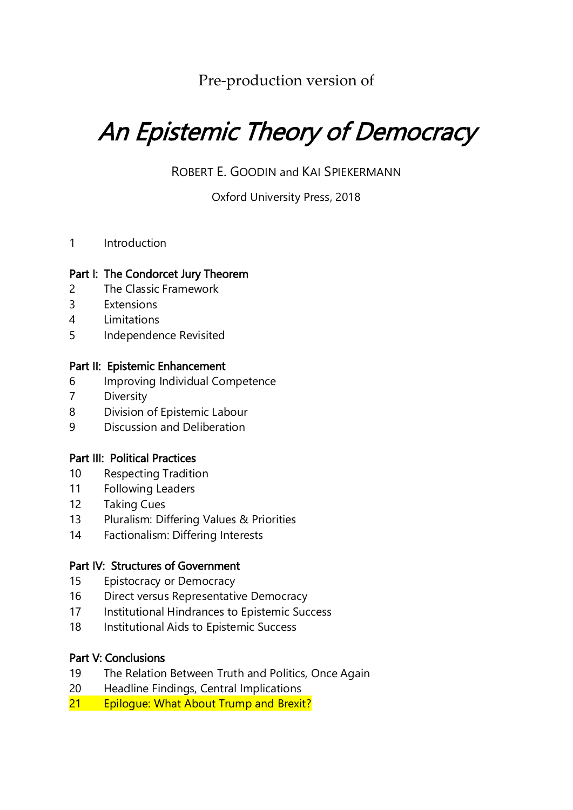# Pre-production version of

# An Epistemic Theory of Democracy

ROBERT E. GOODIN and KAI SPIEKERMANN

Oxford University Press, 2018

1 Introduction

## Part I: The Condorcet Jury Theorem

- 2 The Classic Framework
- 3 Extensions
- 4 Limitations
- 5 Independence Revisited

### Part II: Epistemic Enhancement

- 6 Improving Individual Competence
- 7 Diversity
- 8 Division of Epistemic Labour
- 9 Discussion and Deliberation

# Part III: Political Practices

- 10 Respecting Tradition
- 11 Following Leaders
- 12 Taking Cues
- 13 Pluralism: Differing Values & Priorities
- 14 Factionalism: Differing Interests

### Part IV: Structures of Government

- 15 Epistocracy or Democracy
- 16 Direct versus Representative Democracy
- 17 Institutional Hindrances to Epistemic Success
- 18 Institutional Aids to Epistemic Success

# Part V: Conclusions

- 19 The Relation Between Truth and Politics, Once Again
- 20 Headline Findings, Central Implications
- 21 Epiloque: What About Trump and Brexit?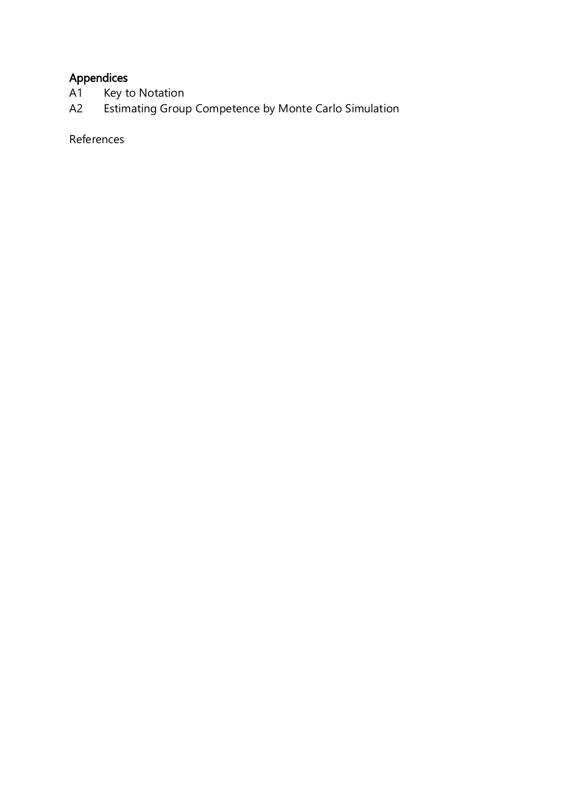# **Appendices**<br>A1 Key to

- Key to Notation
- A2 Estimating Group Competence by Monte Carlo Simulation

References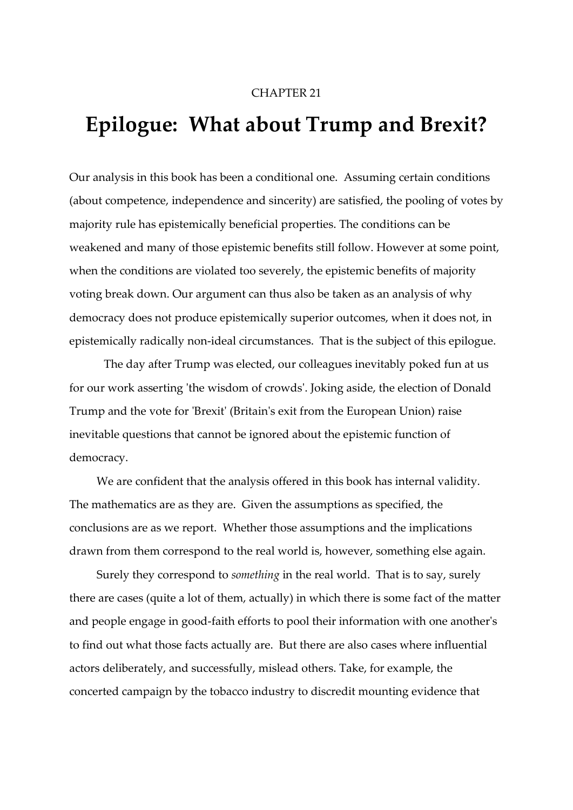#### CHAPTER 21

# **Epilogue: What about Trump and Brexit?**

Our analysis in this book has been a conditional one. Assuming certain conditions (about competence, independence and sincerity) are satisfied, the pooling of votes by majority rule has epistemically beneficial properties. The conditions can be weakened and many of those epistemic benefits still follow. However at some point, when the conditions are violated too severely, the epistemic benefits of majority voting break down. Our argument can thus also be taken as an analysis of why democracy does not produce epistemically superior outcomes, when it does not, in epistemically radically non-ideal circumstances. That is the subject of this epilogue.

The day after Trump was elected, our colleagues inevitably poked fun at us for our work asserting 'the wisdom of crowds'. Joking aside, the election of Donald Trump and the vote for 'Brexit' (Britain's exit from the European Union) raise inevitable questions that cannot be ignored about the epistemic function of democracy.

We are confident that the analysis offered in this book has internal validity. The mathematics are as they are. Given the assumptions as specified, the conclusions are as we report. Whether those assumptions and the implications drawn from them correspond to the real world is, however, something else again.

Surely they correspond to *something* in the real world. That is to say, surely there are cases (quite a lot of them, actually) in which there is some fact of the matter and people engage in good-faith efforts to pool their information with one another's to find out what those facts actually are. But there are also cases where influential actors deliberately, and successfully, mislead others. Take, for example, the concerted campaign by the tobacco industry to discredit mounting evidence that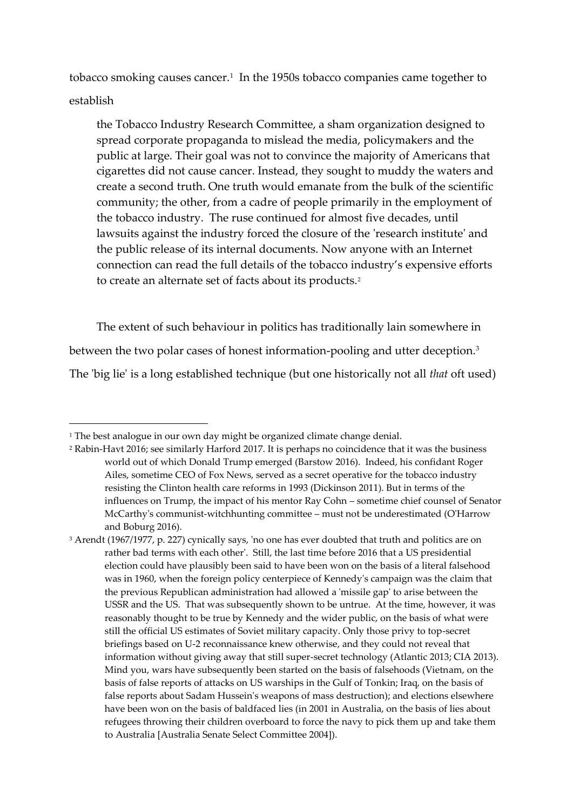tobacco smoking causes cancer.<sup>1</sup> In the 1950s tobacco companies came together to establish

the Tobacco Industry Research Committee, a sham organization designed to spread corporate propaganda to mislead the media, policymakers and the public at large. Their goal was not to convince the majority of Americans that cigarettes did not cause cancer. Instead, they sought to muddy the waters and create a second truth. One truth would emanate from the bulk of the scientific community; the other, from a cadre of people primarily in the employment of the tobacco industry. The ruse continued for almost five decades, until lawsuits against the industry forced the closure of the 'research institute' and the public release of its internal documents. Now anyone with an Internet connection can read the full details of the tobacco industry's expensive efforts to create an alternate set of facts about its products.<sup>2</sup>

The extent of such behaviour in politics has traditionally lain somewhere in between the two polar cases of honest information-pooling and utter deception. $^3$ The 'big lie' is a long established technique (but one historically not all *that* oft used)

<sup>&</sup>lt;sup>1</sup> The best analogue in our own day might be organized climate change denial.

<sup>2</sup> Rabin-Havt 2016; see similarly Harford 2017. It is perhaps no coincidence that it was the business world out of which Donald Trump emerged (Barstow 2016). Indeed, his confidant Roger Ailes, sometime CEO of Fox News, served as a secret operative for the tobacco industry resisting the Clinton health care reforms in 1993 (Dickinson 2011). But in terms of the influences on Trump, the impact of his mentor Ray Cohn – sometime chief counsel of Senator McCarthy's communist-witchhunting committee – must not be underestimated (O'Harrow and Boburg 2016).

<sup>3</sup> Arendt (1967/1977, p. 227) cynically says, 'no one has ever doubted that truth and politics are on rather bad terms with each other'. Still, the last time before 2016 that a US presidential election could have plausibly been said to have been won on the basis of a literal falsehood was in 1960, when the foreign policy centerpiece of Kennedy's campaign was the claim that the previous Republican administration had allowed a 'missile gap' to arise between the USSR and the US. That was subsequently shown to be untrue. At the time, however, it was reasonably thought to be true by Kennedy and the wider public, on the basis of what were still the official US estimates of Soviet military capacity. Only those privy to top-secret briefings based on U-2 reconnaissance knew otherwise, and they could not reveal that information without giving away that still super-secret technology (Atlantic 2013; CIA 2013). Mind you, wars have subsequently been started on the basis of falsehoods (Vietnam, on the basis of false reports of attacks on US warships in the Gulf of Tonkin; Iraq, on the basis of false reports about Sadam Hussein's weapons of mass destruction); and elections elsewhere have been won on the basis of baldfaced lies (in 2001 in Australia, on the basis of lies about refugees throwing their children overboard to force the navy to pick them up and take them to Australia [Australia Senate Select Committee 2004]).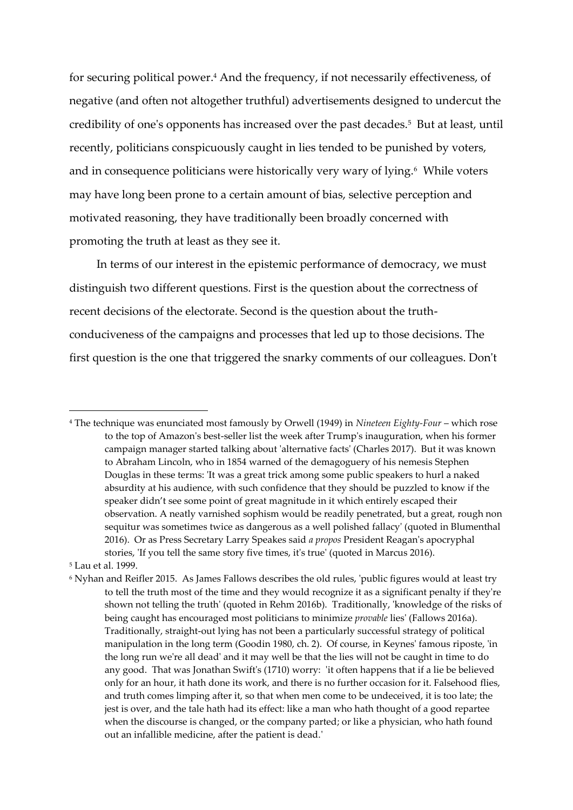for securing political power.<sup>4</sup> And the frequency, if not necessarily effectiveness, of negative (and often not altogether truthful) advertisements designed to undercut the credibility of one's opponents has increased over the past decades.<sup>5</sup> But at least, until recently, politicians conspicuously caught in lies tended to be punished by voters, and in consequence politicians were historically very wary of lying.<sup>6</sup> While voters may have long been prone to a certain amount of bias, selective perception and motivated reasoning, they have traditionally been broadly concerned with promoting the truth at least as they see it.

In terms of our interest in the epistemic performance of democracy, we must distinguish two different questions. First is the question about the correctness of recent decisions of the electorate. Second is the question about the truthconduciveness of the campaigns and processes that led up to those decisions. The first question is the one that triggered the snarky comments of our colleagues. Don't

<sup>4</sup> The technique was enunciated most famously by Orwell (1949) in *Nineteen Eighty-Four* – which rose to the top of Amazon's best-seller list the week after Trump's inauguration, when his former campaign manager started talking about 'alternative facts' (Charles 2017). But it was known to Abraham Lincoln, who in 1854 warned of the demagoguery of his nemesis Stephen Douglas in these terms: 'It was a great trick among some public speakers to hurl a naked absurdity at his audience, with such confidence that they should be puzzled to know if the speaker didn't see some point of great magnitude in it which entirely escaped their observation. A neatly varnished sophism would be readily penetrated, but a great, rough non sequitur was sometimes twice as dangerous as a well polished fallacy' (quoted in Blumenthal 2016). Or as Press Secretary Larry Speakes said *a propos* President Reagan's apocryphal stories, 'If you tell the same story five times, it's true' (quoted in Marcus 2016).

<sup>5</sup> Lau et al. 1999.

<sup>6</sup> Nyhan and Reifler 2015. As James Fallows describes the old rules, 'public figures would at least try to tell the truth most of the time and they would recognize it as a significant penalty if they're shown not telling the truth' (quoted in Rehm 2016b). Traditionally, 'knowledge of the risks of being caught has encouraged most politicians to minimize *provable* lies' (Fallows 2016a). Traditionally, straight-out lying has not been a particularly successful strategy of political manipulation in the long term (Goodin 1980, ch. 2). Of course, in Keynes' famous riposte, 'in the long run we're all dead' and it may well be that the lies will not be caught in time to do any good. That was Jonathan Swift's (1710) worry: 'it often happens that if a lie be believed only for an hour, it hath done its work, and there is no further occasion for it. Falsehood flies, and truth comes limping after it, so that when men come to be undeceived, it is too late; the jest is over, and the tale hath had its effect: like a man who hath thought of a good repartee when the discourse is changed, or the company parted; or like a physician, who hath found out an infallible medicine, after the patient is dead.'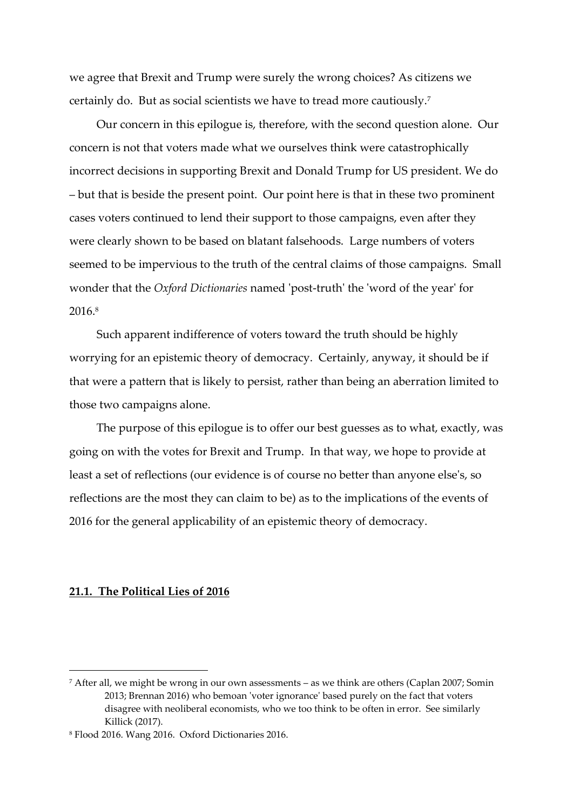we agree that Brexit and Trump were surely the wrong choices? As citizens we certainly do. But as social scientists we have to tread more cautiously.<sup>7</sup>

Our concern in this epilogue is, therefore, with the second question alone. Our concern is not that voters made what we ourselves think were catastrophically incorrect decisions in supporting Brexit and Donald Trump for US president. We do – but that is beside the present point. Our point here is that in these two prominent cases voters continued to lend their support to those campaigns, even after they were clearly shown to be based on blatant falsehoods. Large numbers of voters seemed to be impervious to the truth of the central claims of those campaigns. Small wonder that the *Oxford Dictionaries* named 'post-truth' the 'word of the year' for 2016.<sup>8</sup>

Such apparent indifference of voters toward the truth should be highly worrying for an epistemic theory of democracy. Certainly, anyway, it should be if that were a pattern that is likely to persist, rather than being an aberration limited to those two campaigns alone.

The purpose of this epilogue is to offer our best guesses as to what, exactly, was going on with the votes for Brexit and Trump. In that way, we hope to provide at least a set of reflections (our evidence is of course no better than anyone else's, so reflections are the most they can claim to be) as to the implications of the events of 2016 for the general applicability of an epistemic theory of democracy.

#### **21.1. The Political Lies of 2016**

<sup>7</sup> After all, we might be wrong in our own assessments – as we think are others (Caplan 2007; Somin 2013; Brennan 2016) who bemoan 'voter ignorance' based purely on the fact that voters disagree with neoliberal economists, who we too think to be often in error. See similarly Killick (2017).

<sup>8</sup> Flood 2016. Wang 2016. Oxford Dictionaries 2016.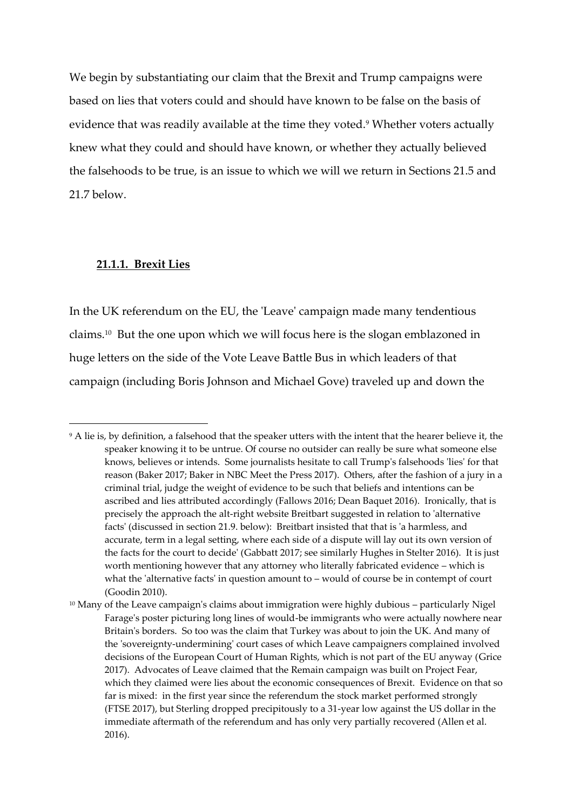We begin by substantiating our claim that the Brexit and Trump campaigns were based on lies that voters could and should have known to be false on the basis of evidence that was readily available at the time they voted.<sup>9</sup> Whether voters actually knew what they could and should have known, or whether they actually believed the falsehoods to be true, is an issue to which we will we return in Sections 21.5 and 21.7 below.

#### **21.1.1. Brexit Lies**

 $\overline{a}$ 

In the UK referendum on the EU, the 'Leave' campaign made many tendentious claims.<sup>10</sup> But the one upon which we will focus here is the slogan emblazoned in huge letters on the side of the Vote Leave Battle Bus in which leaders of that campaign (including Boris Johnson and Michael Gove) traveled up and down the

<sup>9</sup> A lie is, by definition, a falsehood that the speaker utters with the intent that the hearer believe it, the speaker knowing it to be untrue. Of course no outsider can really be sure what someone else knows, believes or intends. Some journalists hesitate to call Trump's falsehoods 'lies' for that reason (Baker 2017; Baker in NBC Meet the Press 2017). Others, after the fashion of a jury in a criminal trial, judge the weight of evidence to be such that beliefs and intentions can be ascribed and lies attributed accordingly (Fallows 2016; Dean Baquet 2016). Ironically, that is precisely the approach the alt-right website Breitbart suggested in relation to 'alternative facts' (discussed in section 21.9. below): Breitbart insisted that that is 'a harmless, and accurate, term in a legal setting, where each side of a dispute will lay out its own version of the facts for the court to decide' (Gabbatt 2017; see similarly Hughes in Stelter 2016). It is just worth mentioning however that any attorney who literally fabricated evidence – which is what the 'alternative facts' in question amount to – would of course be in contempt of court (Goodin 2010).

<sup>&</sup>lt;sup>10</sup> Many of the Leave campaign's claims about immigration were highly dubious – particularly Nigel Farage's poster picturing long lines of would-be immigrants who were actually nowhere near Britain's borders. So too was the claim that Turkey was about to join the UK. And many of the 'sovereignty-undermining' court cases of which Leave campaigners complained involved decisions of the European Court of Human Rights, which is not part of the EU anyway (Grice 2017). Advocates of Leave claimed that the Remain campaign was built on Project Fear, which they claimed were lies about the economic consequences of Brexit. Evidence on that so far is mixed: in the first year since the referendum the stock market performed strongly (FTSE 2017), but Sterling dropped precipitously to a 31-year low against the US dollar in the immediate aftermath of the referendum and has only very partially recovered (Allen et al. 2016).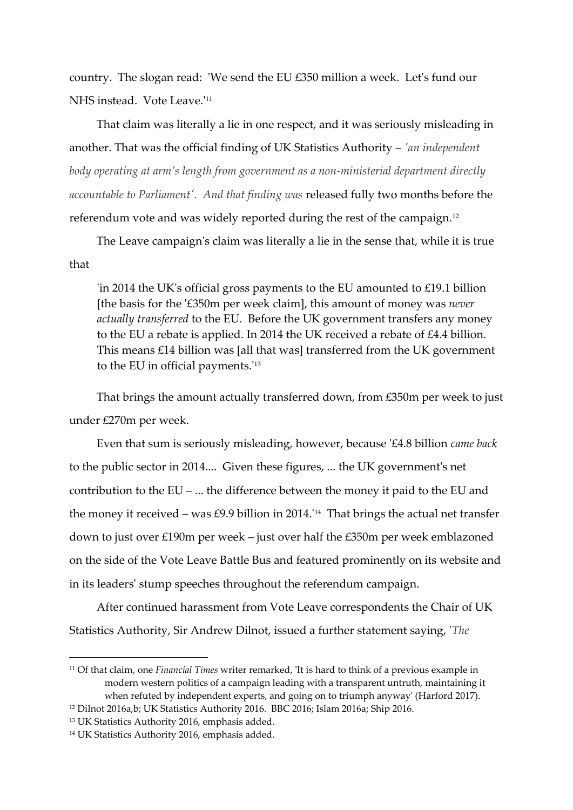country. The slogan read: 'We send the EU £350 million a week. Let's fund our NHS instead. Vote Leave.'<sup>11</sup>

That claim was literally a lie in one respect, and it was seriously misleading in another. That was the official finding of UK Statistics Authority – *'an independent body operating at arm's length from government as a non-ministerial department directly accountable to Parliament'. And that finding was* released fully two months before the referendum vote and was widely reported during the rest of the campaign.<sup>12</sup>

The Leave campaign's claim was literally a lie in the sense that, while it is true that

'in 2014 the UK's official gross payments to the EU amounted to £19.1 billion [the basis for the '£350m per week claim], this amount of money was *never actually transferred* to the EU. Before the UK government transfers any money to the EU a rebate is applied. In 2014 the UK received a rebate of £4.4 billion. This means £14 billion was [all that was] transferred from the UK government to the EU in official payments.'<sup>13</sup>

That brings the amount actually transferred down, from £350m per week to just under £270m per week.

Even that sum is seriously misleading, however, because '£4.8 billion *came back* to the public sector in 2014.... Given these figures, ... the UK government's net contribution to the EU – ... the difference between the money it paid to the EU and the money it received – was £9.9 billion in 2014.'<sup>14</sup> That brings the actual net transfer down to just over £190m per week – just over half the £350m per week emblazoned on the side of the Vote Leave Battle Bus and featured prominently on its website and in its leaders' stump speeches throughout the referendum campaign.

After continued harassment from Vote Leave correspondents the Chair of UK Statistics Authority, Sir Andrew Dilnot, issued a further statement saying, '*The* 

<sup>11</sup> Of that claim, one *Financial Times* writer remarked, 'It is hard to think of a previous example in modern western politics of a campaign leading with a transparent untruth, maintaining it when refuted by independent experts, and going on to triumph anyway' (Harford 2017).

<sup>12</sup> Dilnot 2016a,b; UK Statistics Authority 2016. BBC 2016; Islam 2016a; Ship 2016.

<sup>13</sup> UK Statistics Authority 2016, emphasis added.

<sup>14</sup> UK Statistics Authority 2016, emphasis added.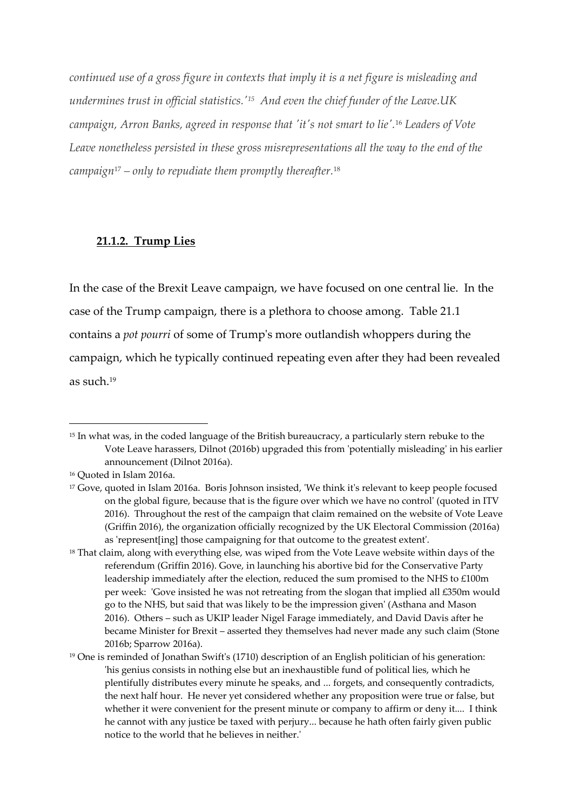*continued use of a gross figure in contexts that imply it is a net figure is misleading and undermines trust in official statistics.'<sup>15</sup> And even the chief funder of the Leave.UK campaign, Arron Banks, agreed in response that 'it's not smart to lie'.*<sup>16</sup> *Leaders of Vote Leave nonetheless persisted in these gross misrepresentations all the way to the end of the campaign*<sup>17</sup> *– only to repudiate them promptly thereafter.*<sup>18</sup>

#### **21.1.2. Trump Lies**

In the case of the Brexit Leave campaign, we have focused on one central lie. In the case of the Trump campaign, there is a plethora to choose among. Table 21.1 contains a *pot pourri* of some of Trump's more outlandish whoppers during the campaign, which he typically continued repeating even after they had been revealed as such.<sup>19</sup>

<sup>&</sup>lt;sup>15</sup> In what was, in the coded language of the British bureaucracy, a particularly stern rebuke to the Vote Leave harassers, Dilnot (2016b) upgraded this from 'potentially misleading' in his earlier announcement (Dilnot 2016a).

<sup>16</sup> Quoted in Islam 2016a.

<sup>&</sup>lt;sup>17</sup> Gove, quoted in Islam 2016a. Boris Johnson insisted, 'We think it's relevant to keep people focused on the global figure, because that is the figure over which we have no control' (quoted in ITV 2016). Throughout the rest of the campaign that claim remained on the website of Vote Leave (Griffin 2016), the organization officially recognized by the UK Electoral Commission (2016a) as 'represent[ing] those campaigning for that outcome to the greatest extent'.

<sup>&</sup>lt;sup>18</sup> That claim, along with everything else, was wiped from the Vote Leave website within days of the referendum (Griffin 2016). Gove, in launching his abortive bid for the Conservative Party leadership immediately after the election, reduced the sum promised to the NHS to £100m per week: 'Gove insisted he was not retreating from the slogan that implied all £350m would go to the NHS, but said that was likely to be the impression given' (Asthana and Mason 2016). Others – such as UKIP leader Nigel Farage immediately, and David Davis after he became Minister for Brexit – asserted they themselves had never made any such claim (Stone 2016b; Sparrow 2016a).

<sup>19</sup> One is reminded of Jonathan Swift's (1710) description of an English politician of his generation: 'his genius consists in nothing else but an inexhaustible fund of political lies, which he plentifully distributes every minute he speaks, and ... forgets, and consequently contradicts, the next half hour. He never yet considered whether any proposition were true or false, but whether it were convenient for the present minute or company to affirm or deny it.... I think he cannot with any justice be taxed with perjury... because he hath often fairly given public notice to the world that he believes in neither.'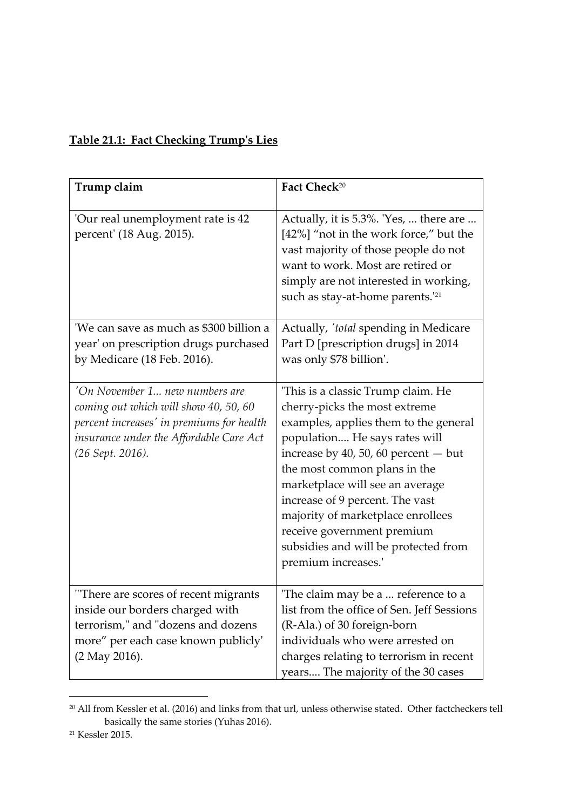# **Table 21.1: Fact Checking Trump's Lies**

| Trump claim                                                                                                                                                                         | Fact Check <sup>20</sup>                                                                                                                                                                                                                                                                                                                                                                                                        |
|-------------------------------------------------------------------------------------------------------------------------------------------------------------------------------------|---------------------------------------------------------------------------------------------------------------------------------------------------------------------------------------------------------------------------------------------------------------------------------------------------------------------------------------------------------------------------------------------------------------------------------|
| 'Our real unemployment rate is 42<br>percent' (18 Aug. 2015).                                                                                                                       | Actually, it is 5.3%. 'Yes,  there are<br>[42%] "not in the work force," but the<br>vast majority of those people do not<br>want to work. Most are retired or<br>simply are not interested in working,<br>such as stay-at-home parents. <sup>'21</sup>                                                                                                                                                                          |
| 'We can save as much as \$300 billion a<br>year' on prescription drugs purchased<br>by Medicare (18 Feb. 2016).                                                                     | Actually, 'total spending in Medicare<br>Part D [prescription drugs] in 2014<br>was only \$78 billion'.                                                                                                                                                                                                                                                                                                                         |
| 'On November 1 new numbers are<br>coming out which will show 40, 50, 60<br>percent increases' in premiums for health<br>insurance under the Affordable Care Act<br>(26 Sept. 2016). | 'This is a classic Trump claim. He<br>cherry-picks the most extreme<br>examples, applies them to the general<br>population He says rates will<br>increase by 40, 50, 60 percent $-$ but<br>the most common plans in the<br>marketplace will see an average<br>increase of 9 percent. The vast<br>majority of marketplace enrollees<br>receive government premium<br>subsidies and will be protected from<br>premium increases.' |
| "There are scores of recent migrants<br>inside our borders charged with<br>terrorism," and "dozens and dozens<br>more" per each case known publicly'<br>(2 May 2016).               | 'The claim may be a  reference to a<br>list from the office of Sen. Jeff Sessions<br>(R-Ala.) of 30 foreign-born<br>individuals who were arrested on<br>charges relating to terrorism in recent<br>years The majority of the 30 cases                                                                                                                                                                                           |

<sup>20</sup> All from Kessler et al. (2016) and links from that url, unless otherwise stated. Other factcheckers tell basically the same stories (Yuhas 2016).

<sup>21</sup> Kessler 2015.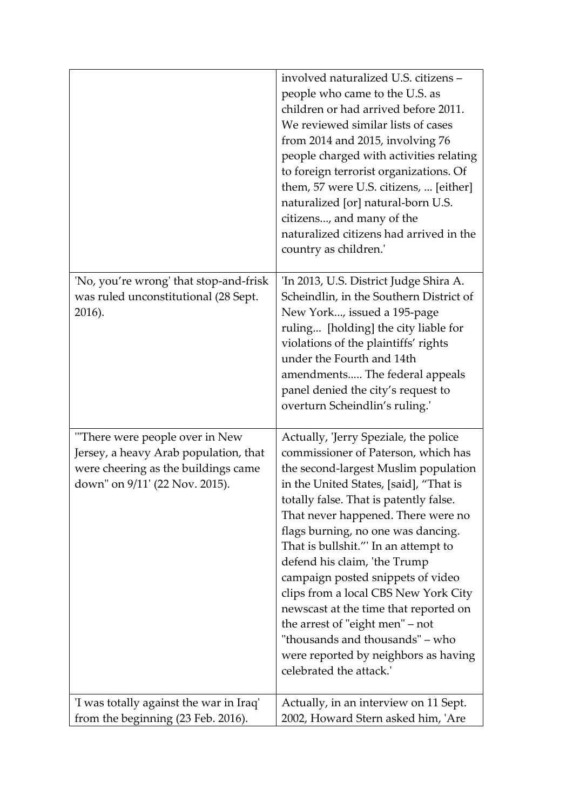|                                                                                                                                                  | involved naturalized U.S. citizens -<br>people who came to the U.S. as<br>children or had arrived before 2011.<br>We reviewed similar lists of cases<br>from 2014 and 2015, involving 76<br>people charged with activities relating<br>to foreign terrorist organizations. Of<br>them, 57 were U.S. citizens,  [either]<br>naturalized [or] natural-born U.S.<br>citizens, and many of the<br>naturalized citizens had arrived in the<br>country as children.'                                                                                                                                                              |
|--------------------------------------------------------------------------------------------------------------------------------------------------|-----------------------------------------------------------------------------------------------------------------------------------------------------------------------------------------------------------------------------------------------------------------------------------------------------------------------------------------------------------------------------------------------------------------------------------------------------------------------------------------------------------------------------------------------------------------------------------------------------------------------------|
| 'No, you're wrong' that stop-and-frisk<br>was ruled unconstitutional (28 Sept.<br>2016).                                                         | 'In 2013, U.S. District Judge Shira A.<br>Scheindlin, in the Southern District of<br>New York, issued a 195-page<br>ruling [holding] the city liable for<br>violations of the plaintiffs' rights<br>under the Fourth and 14th<br>amendments The federal appeals<br>panel denied the city's request to<br>overturn Scheindlin's ruling.'                                                                                                                                                                                                                                                                                     |
| "There were people over in New<br>Jersey, a heavy Arab population, that<br>were cheering as the buildings came<br>down" on 9/11' (22 Nov. 2015). | Actually, 'Jerry Speziale, the police<br>commissioner of Paterson, which has<br>the second-largest Muslim population<br>in the United States, [said], "That is<br>totally false. That is patently false.<br>That never happened. There were no<br>flags burning, no one was dancing.<br>That is bullshit."' In an attempt to<br>defend his claim, 'the Trump<br>campaign posted snippets of video<br>clips from a local CBS New York City<br>newscast at the time that reported on<br>the arrest of "eight men" - not<br>"thousands and thousands" – who<br>were reported by neighbors as having<br>celebrated the attack.' |
| 'I was totally against the war in Iraq'<br>from the beginning (23 Feb. 2016).                                                                    | Actually, in an interview on 11 Sept.<br>2002, Howard Stern asked him, 'Are                                                                                                                                                                                                                                                                                                                                                                                                                                                                                                                                                 |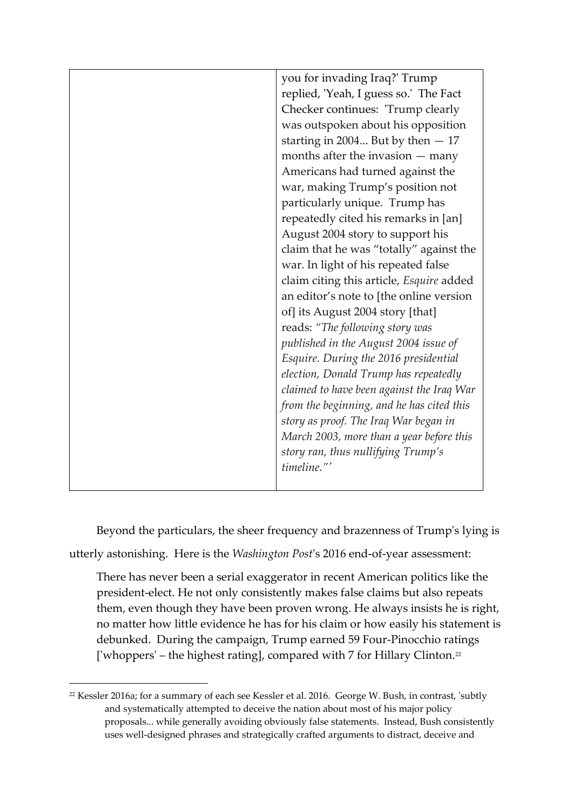| you for invading Iraq?' Trump                   |
|-------------------------------------------------|
| replied, 'Yeah, I guess so.' The Fact           |
| Checker continues: 'Trump clearly               |
| was outspoken about his opposition              |
| starting in 2004 But by then $-17$              |
| months after the invasion $-$ many              |
| Americans had turned against the                |
| war, making Trump's position not                |
| particularly unique. Trump has                  |
| repeatedly cited his remarks in [an]            |
| August 2004 story to support his                |
| claim that he was "totally" against the         |
| war. In light of his repeated false             |
| claim citing this article, <i>Esquire</i> added |
| an editor's note to [the online version]        |
| of] its August 2004 story [that]                |
| reads: "The following story was                 |
| published in the August 2004 issue of           |
| Esquire. During the 2016 presidential           |
| election, Donald Trump has repeatedly           |
| claimed to have been against the Iraq War       |
| from the beginning, and he has cited this       |
| story as proof. The Iraq War began in           |
| March 2003, more than a year before this        |
| story ran, thus nullifying Trump's              |
| timeline."'                                     |
|                                                 |
|                                                 |

Beyond the particulars, the sheer frequency and brazenness of Trump's lying is utterly astonishing. Here is the *Washington Post*'s 2016 end-of-year assessment:

There has never been a serial exaggerator in recent American politics like the president-elect. He not only consistently makes false claims but also repeats them, even though they have been proven wrong. He always insists he is right, no matter how little evidence he has for his claim or how easily his statement is debunked. During the campaign, Trump earned 59 Four-Pinocchio ratings ['whoppers' – the highest rating], compared with 7 for Hillary Clinton.<sup>22</sup>

<sup>&</sup>lt;sup>22</sup> Kessler 2016a; for a summary of each see Kessler et al. 2016. George W. Bush, in contrast, 'subtly and systematically attempted to deceive the nation about most of his major policy proposals... while generally avoiding obviously false statements. Instead, Bush consistently uses well-designed phrases and strategically crafted arguments to distract, deceive and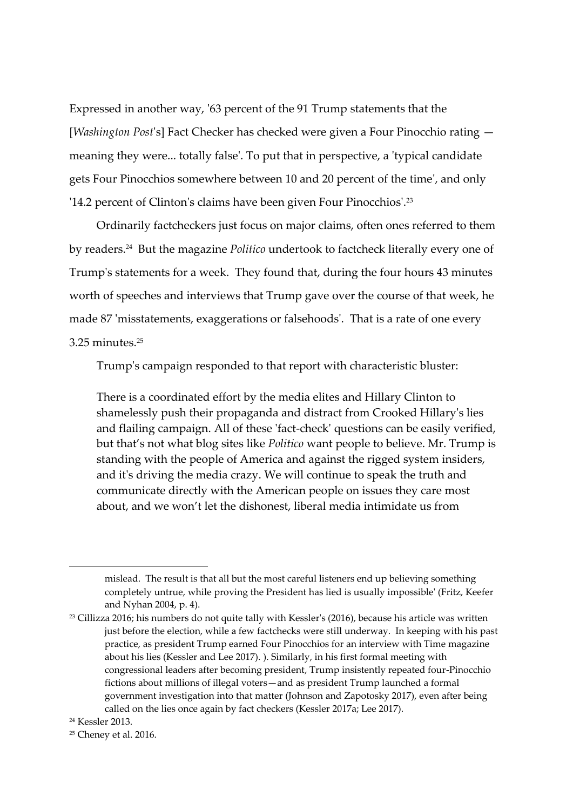Expressed in another way, '63 percent of the 91 Trump statements that the [*Washington Post*'s] Fact Checker has checked were given a Four Pinocchio rating meaning they were... totally false'. To put that in perspective, a 'typical candidate gets Four Pinocchios somewhere between 10 and 20 percent of the time', and only '14.2 percent of Clinton's claims have been given Four Pinocchios'.<sup>23</sup>

Ordinarily factcheckers just focus on major claims, often ones referred to them by readers.<sup>24</sup> But the magazine *Politico* undertook to factcheck literally every one of Trump's statements for a week. They found that, during the four hours 43 minutes worth of speeches and interviews that Trump gave over the course of that week, he made 87 'misstatements, exaggerations or falsehoods'. That is a rate of one every 3.25 minutes.<sup>25</sup>

Trump's campaign responded to that report with characteristic bluster:

There is a coordinated effort by the media elites and Hillary Clinton to shamelessly push their propaganda and distract from Crooked Hillary's lies and flailing campaign. All of these 'fact-check' questions can be easily verified, but that's not what blog sites like *Politico* want people to believe. Mr. Trump is standing with the people of America and against the rigged system insiders, and it's driving the media crazy. We will continue to speak the truth and communicate directly with the American people on issues they care most about, and we won't let the dishonest, liberal media intimidate us from

mislead. The result is that all but the most careful listeners end up believing something completely untrue, while proving the President has lied is usually impossible' (Fritz, Keefer and Nyhan 2004, p. 4).

<sup>&</sup>lt;sup>23</sup> Cillizza 2016; his numbers do not quite tally with Kessler's (2016), because his article was written just before the election, while a few factchecks were still underway. In keeping with his past practice, as president Trump earned Four Pinocchios for an interview with Time magazine about his lies (Kessler and Lee 2017). ). Similarly, in his first formal meeting with congressional leaders after becoming president, Trump insistently repeated four-Pinocchio fictions about millions of illegal voters—and as president Trump launched a formal government investigation into that matter (Johnson and Zapotosky 2017), even after being called on the lies once again by fact checkers (Kessler 2017a; Lee 2017).

<sup>24</sup> Kessler 2013.

<sup>25</sup> Cheney et al. 2016.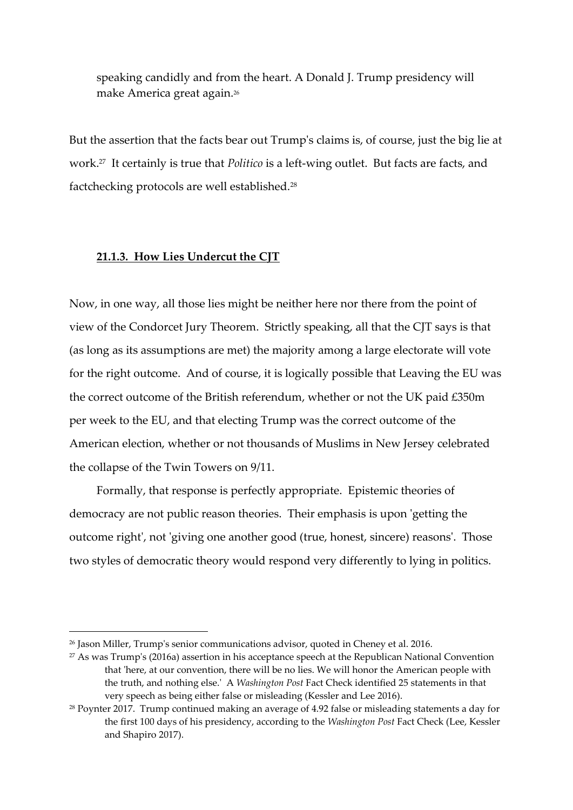speaking candidly and from the heart. A Donald J. Trump presidency will make America great again.<sup>26</sup>

But the assertion that the facts bear out Trump's claims is, of course, just the big lie at work.<sup>27</sup> It certainly is true that *Politico* is a left-wing outlet. But facts are facts, and factchecking protocols are well established. $^{28}$ 

#### **21.1.3. How Lies Undercut the CJT**

Now, in one way, all those lies might be neither here nor there from the point of view of the Condorcet Jury Theorem. Strictly speaking, all that the CJT says is that (as long as its assumptions are met) the majority among a large electorate will vote for the right outcome. And of course, it is logically possible that Leaving the EU was the correct outcome of the British referendum, whether or not the UK paid £350m per week to the EU, and that electing Trump was the correct outcome of the American election, whether or not thousands of Muslims in New Jersey celebrated the collapse of the Twin Towers on 9/11.

Formally, that response is perfectly appropriate. Epistemic theories of democracy are not public reason theories. Their emphasis is upon 'getting the outcome right', not 'giving one another good (true, honest, sincere) reasons'. Those two styles of democratic theory would respond very differently to lying in politics.

1

<sup>26</sup> Jason Miller, Trump's senior communications advisor, quoted in Cheney et al. 2016.

<sup>&</sup>lt;sup>27</sup> As was Trump's (2016a) assertion in his acceptance speech at the Republican National Convention that 'here, at our convention, there will be no lies. We will honor the American people with the truth, and nothing else.' A *Washington Post* Fact Check identified 25 statements in that very speech as being either false or misleading (Kessler and Lee 2016).

<sup>28</sup> Poynter 2017. Trump continued making an average of 4.92 false or misleading statements a day for the first 100 days of his presidency, according to the *Washington Post* Fact Check (Lee, Kessler and Shapiro 2017).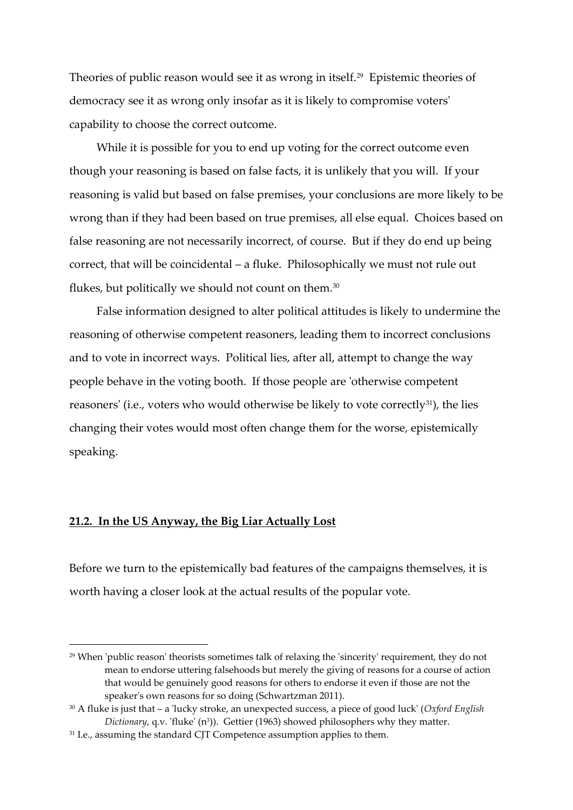Theories of public reason would see it as wrong in itself.<sup>29</sup> Epistemic theories of democracy see it as wrong only insofar as it is likely to compromise voters' capability to choose the correct outcome.

While it is possible for you to end up voting for the correct outcome even though your reasoning is based on false facts, it is unlikely that you will. If your reasoning is valid but based on false premises, your conclusions are more likely to be wrong than if they had been based on true premises, all else equal. Choices based on false reasoning are not necessarily incorrect, of course. But if they do end up being correct, that will be coincidental – a fluke. Philosophically we must not rule out flukes, but politically we should not count on them. $30$ 

False information designed to alter political attitudes is likely to undermine the reasoning of otherwise competent reasoners, leading them to incorrect conclusions and to vote in incorrect ways. Political lies, after all, attempt to change the way people behave in the voting booth. If those people are 'otherwise competent reasoners' (i.e., voters who would otherwise be likely to vote correctly<sup>31</sup>), the lies changing their votes would most often change them for the worse, epistemically speaking.

#### **21.2. In the US Anyway, the Big Liar Actually Lost**

 $\overline{a}$ 

Before we turn to the epistemically bad features of the campaigns themselves, it is worth having a closer look at the actual results of the popular vote.

<sup>29</sup> When 'public reason' theorists sometimes talk of relaxing the 'sincerity' requirement, they do not mean to endorse uttering falsehoods but merely the giving of reasons for a course of action that would be genuinely good reasons for others to endorse it even if those are not the speaker's own reasons for so doing (Schwartzman 2011).

<sup>30</sup> A fluke is just that – a 'lucky stroke, an unexpected success, a piece of good luck' (*Oxford English*  Dictionary, q.v. 'fluke' (n<sup>3</sup>)). Gettier (1963) showed philosophers why they matter.

<sup>&</sup>lt;sup>31</sup> I.e., assuming the standard CJT Competence assumption applies to them.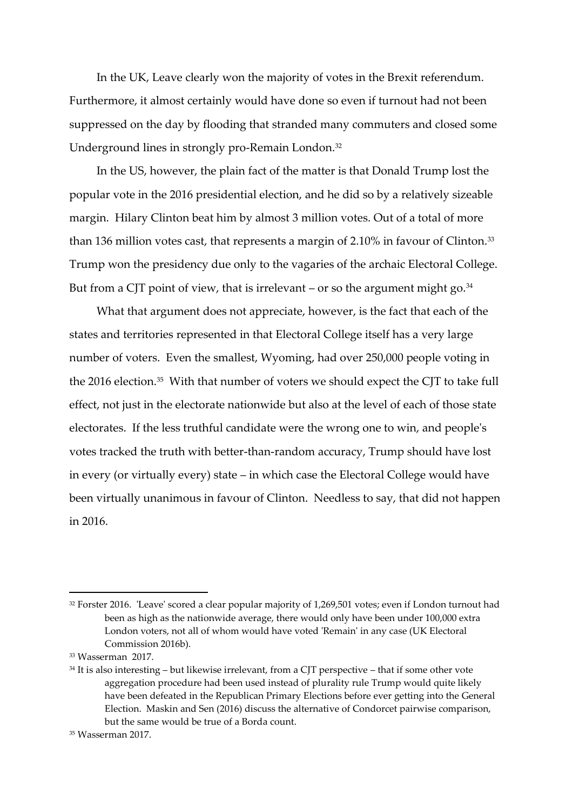In the UK, Leave clearly won the majority of votes in the Brexit referendum. Furthermore, it almost certainly would have done so even if turnout had not been suppressed on the day by flooding that stranded many commuters and closed some Underground lines in strongly pro-Remain London.<sup>32</sup>

In the US, however, the plain fact of the matter is that Donald Trump lost the popular vote in the 2016 presidential election, and he did so by a relatively sizeable margin. Hilary Clinton beat him by almost 3 million votes. Out of a total of more than 136 million votes cast, that represents a margin of 2.10% in favour of Clinton. $^{33}$ Trump won the presidency due only to the vagaries of the archaic Electoral College. But from a CJT point of view, that is irrelevant – or so the argument might go. $34$ 

What that argument does not appreciate, however, is the fact that each of the states and territories represented in that Electoral College itself has a very large number of voters. Even the smallest, Wyoming, had over 250,000 people voting in the 2016 election.<sup>35</sup> With that number of voters we should expect the CJT to take full effect, not just in the electorate nationwide but also at the level of each of those state electorates. If the less truthful candidate were the wrong one to win, and people's votes tracked the truth with better-than-random accuracy, Trump should have lost in every (or virtually every) state – in which case the Electoral College would have been virtually unanimous in favour of Clinton. Needless to say, that did not happen in 2016.

<sup>&</sup>lt;sup>32</sup> Forster 2016. 'Leave' scored a clear popular majority of 1,269,501 votes; even if London turnout had been as high as the nationwide average, there would only have been under 100,000 extra London voters, not all of whom would have voted 'Remain' in any case (UK Electoral Commission 2016b).

<sup>33</sup> Wasserman 2017.

 $34$  It is also interesting – but likewise irrelevant, from a CJT perspective – that if some other vote aggregation procedure had been used instead of plurality rule Trump would quite likely have been defeated in the Republican Primary Elections before ever getting into the General Election. Maskin and Sen (2016) discuss the alternative of Condorcet pairwise comparison, but the same would be true of a Borda count.

<sup>35</sup> Wasserman 2017.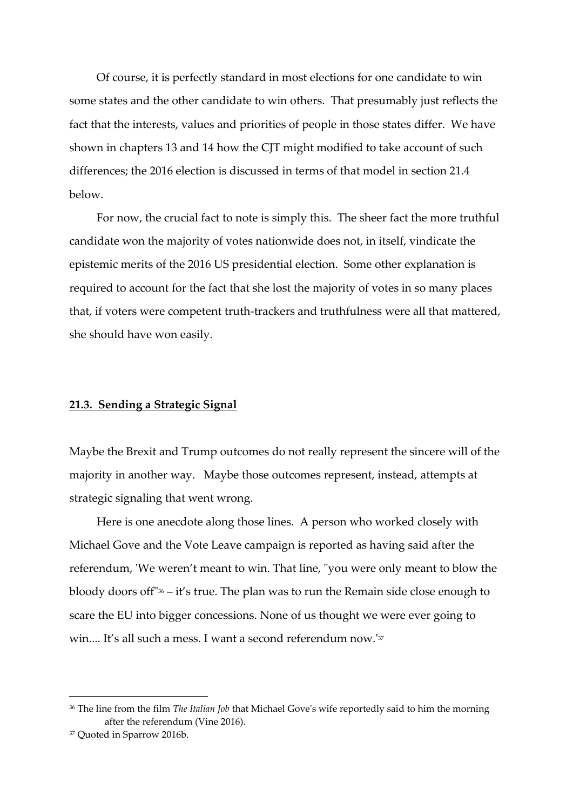Of course, it is perfectly standard in most elections for one candidate to win some states and the other candidate to win others. That presumably just reflects the fact that the interests, values and priorities of people in those states differ. We have shown in chapters 13 and 14 how the CJT might modified to take account of such differences; the 2016 election is discussed in terms of that model in section 21.4 below.

For now, the crucial fact to note is simply this. The sheer fact the more truthful candidate won the majority of votes nationwide does not, in itself, vindicate the epistemic merits of the 2016 US presidential election. Some other explanation is required to account for the fact that she lost the majority of votes in so many places that, if voters were competent truth-trackers and truthfulness were all that mattered, she should have won easily.

#### **21.3. Sending a Strategic Signal**

Maybe the Brexit and Trump outcomes do not really represent the sincere will of the majority in another way. Maybe those outcomes represent, instead, attempts at strategic signaling that went wrong.

Here is one anecdote along those lines. A person who worked closely with Michael Gove and the Vote Leave campaign is reported as having said after the referendum, 'We weren't meant to win. That line, "you were only meant to blow the bloody doors off"<sup>36</sup> – it's true. The plan was to run the Remain side close enough to scare the EU into bigger concessions. None of us thought we were ever going to win.... It's all such a mess. I want a second referendum now.'<sup>37</sup>

<sup>36</sup> The line from the film *The Italian Job* that Michael Gove's wife reportedly said to him the morning after the referendum (Vine 2016).

<sup>37</sup> Quoted in Sparrow 2016b.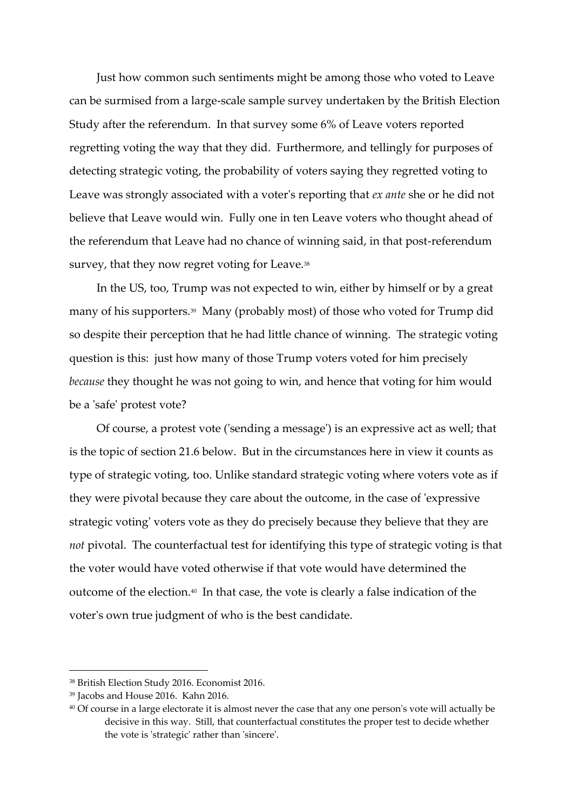Just how common such sentiments might be among those who voted to Leave can be surmised from a large-scale sample survey undertaken by the British Election Study after the referendum. In that survey some 6% of Leave voters reported regretting voting the way that they did. Furthermore, and tellingly for purposes of detecting strategic voting, the probability of voters saying they regretted voting to Leave was strongly associated with a voter's reporting that *ex ante* she or he did not believe that Leave would win. Fully one in ten Leave voters who thought ahead of the referendum that Leave had no chance of winning said, in that post-referendum survey, that they now regret voting for Leave.<sup>38</sup>

In the US, too, Trump was not expected to win, either by himself or by a great many of his supporters.<sup>39</sup> Many (probably most) of those who voted for Trump did so despite their perception that he had little chance of winning. The strategic voting question is this: just how many of those Trump voters voted for him precisely *because* they thought he was not going to win, and hence that voting for him would be a 'safe' protest vote?

Of course, a protest vote ('sending a message') is an expressive act as well; that is the topic of section 21.6 below. But in the circumstances here in view it counts as type of strategic voting, too. Unlike standard strategic voting where voters vote as if they were pivotal because they care about the outcome, in the case of 'expressive strategic voting' voters vote as they do precisely because they believe that they are *not* pivotal. The counterfactual test for identifying this type of strategic voting is that the voter would have voted otherwise if that vote would have determined the outcome of the election.<sup>40</sup> In that case, the vote is clearly a false indication of the voter's own true judgment of who is the best candidate.

<sup>38</sup> British Election Study 2016. Economist 2016.

<sup>39</sup> Jacobs and House 2016. Kahn 2016.

<sup>40</sup> Of course in a large electorate it is almost never the case that any one person's vote will actually be decisive in this way. Still, that counterfactual constitutes the proper test to decide whether the vote is 'strategic' rather than 'sincere'.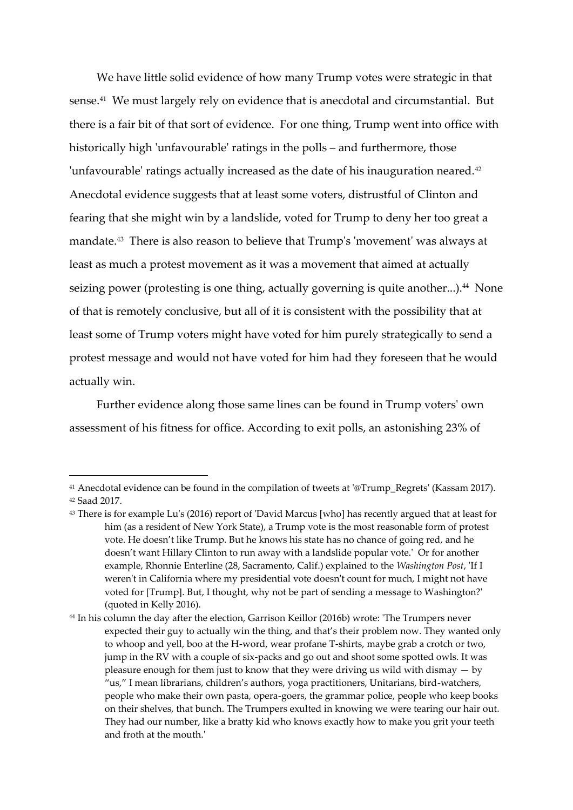We have little solid evidence of how many Trump votes were strategic in that sense.<sup>41</sup> We must largely rely on evidence that is anecdotal and circumstantial. But there is a fair bit of that sort of evidence. For one thing, Trump went into office with historically high 'unfavourable' ratings in the polls – and furthermore, those 'unfavourable' ratings actually increased as the date of his inauguration neared. $42$ Anecdotal evidence suggests that at least some voters, distrustful of Clinton and fearing that she might win by a landslide, voted for Trump to deny her too great a mandate.<sup>43</sup> There is also reason to believe that Trump's 'movement' was always at least as much a protest movement as it was a movement that aimed at actually seizing power (protesting is one thing, actually governing is quite another...).<sup>44</sup> None of that is remotely conclusive, but all of it is consistent with the possibility that at least some of Trump voters might have voted for him purely strategically to send a protest message and would not have voted for him had they foreseen that he would actually win.

Further evidence along those same lines can be found in Trump voters' own assessment of his fitness for office. According to exit polls, an astonishing 23% of

<sup>&</sup>lt;sup>41</sup> Anecdotal evidence can be found in the compilation of tweets at '@Trump\_Regrets' (Kassam 2017). <sup>42</sup> Saad 2017.

<sup>43</sup> There is for example Lu's (2016) report of 'David Marcus [who] has recently argued that at least for him (as a resident of New York State), a Trump vote is the most reasonable form of protest vote. He doesn't like Trump. But he knows his state has no chance of going red, and he doesn't want Hillary Clinton to run away with a landslide popular vote.' Or for another example, Rhonnie Enterline (28, Sacramento, Calif.) explained to the *Washington Post*, 'If I weren't in California where my presidential vote doesn't count for much, I might not have voted for [Trump]. But, I thought, why not be part of sending a message to Washington?' (quoted in Kelly 2016).

<sup>44</sup> In his column the day after the election, Garrison Keillor (2016b) wrote: 'The Trumpers never expected their guy to actually win the thing, and that's their problem now. They wanted only to whoop and yell, boo at the H-word, wear profane T-shirts, maybe grab a crotch or two, jump in the RV with a couple of six-packs and go out and shoot some spotted owls. It was pleasure enough for them just to know that they were driving us wild with dismay  $-$  by "us," I mean librarians, children's authors, yoga practitioners, Unitarians, bird-watchers, people who make their own pasta, opera-goers, the grammar police, people who keep books on their shelves, that bunch. The Trumpers exulted in knowing we were tearing our hair out. They had our number, like a bratty kid who knows exactly how to make you grit your teeth and froth at the mouth.'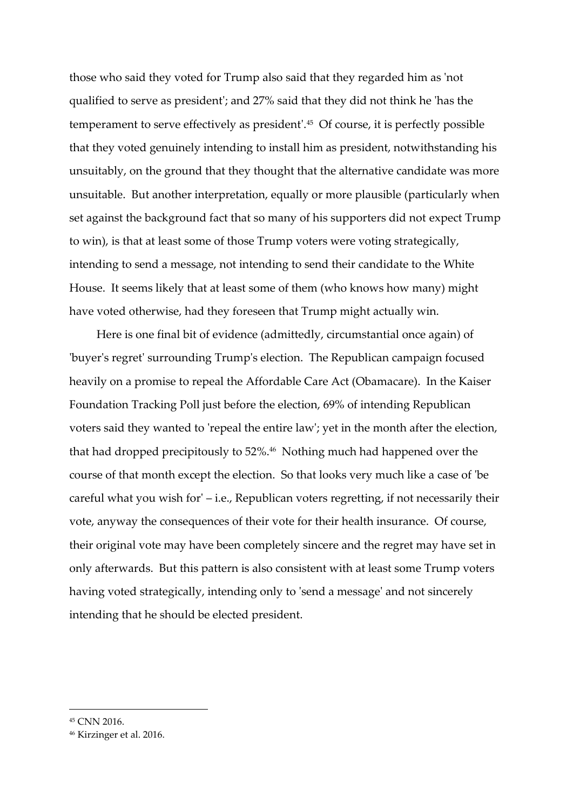those who said they voted for Trump also said that they regarded him as 'not qualified to serve as president'; and 27% said that they did not think he 'has the temperament to serve effectively as president'.<sup>45</sup> Of course, it is perfectly possible that they voted genuinely intending to install him as president, notwithstanding his unsuitably, on the ground that they thought that the alternative candidate was more unsuitable. But another interpretation, equally or more plausible (particularly when set against the background fact that so many of his supporters did not expect Trump to win), is that at least some of those Trump voters were voting strategically, intending to send a message, not intending to send their candidate to the White House. It seems likely that at least some of them (who knows how many) might have voted otherwise, had they foreseen that Trump might actually win.

Here is one final bit of evidence (admittedly, circumstantial once again) of 'buyer's regret' surrounding Trump's election. The Republican campaign focused heavily on a promise to repeal the Affordable Care Act (Obamacare). In the Kaiser Foundation Tracking Poll just before the election, 69% of intending Republican voters said they wanted to 'repeal the entire law'; yet in the month after the election, that had dropped precipitously to 52%.<sup>46</sup> Nothing much had happened over the course of that month except the election. So that looks very much like a case of 'be careful what you wish for' – i.e., Republican voters regretting, if not necessarily their vote, anyway the consequences of their vote for their health insurance. Of course, their original vote may have been completely sincere and the regret may have set in only afterwards. But this pattern is also consistent with at least some Trump voters having voted strategically, intending only to 'send a message' and not sincerely intending that he should be elected president.

<sup>45</sup> CNN 2016.

<sup>46</sup> Kirzinger et al. 2016.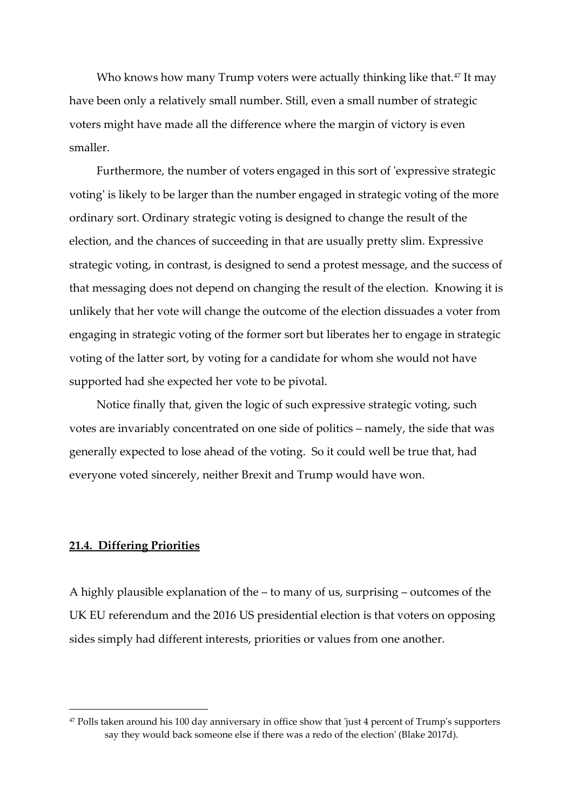Who knows how many Trump voters were actually thinking like that.<sup>47</sup> It may have been only a relatively small number. Still, even a small number of strategic voters might have made all the difference where the margin of victory is even smaller.

Furthermore, the number of voters engaged in this sort of 'expressive strategic voting' is likely to be larger than the number engaged in strategic voting of the more ordinary sort. Ordinary strategic voting is designed to change the result of the election, and the chances of succeeding in that are usually pretty slim. Expressive strategic voting, in contrast, is designed to send a protest message, and the success of that messaging does not depend on changing the result of the election. Knowing it is unlikely that her vote will change the outcome of the election dissuades a voter from engaging in strategic voting of the former sort but liberates her to engage in strategic voting of the latter sort, by voting for a candidate for whom she would not have supported had she expected her vote to be pivotal.

Notice finally that, given the logic of such expressive strategic voting, such votes are invariably concentrated on one side of politics – namely, the side that was generally expected to lose ahead of the voting. So it could well be true that, had everyone voted sincerely, neither Brexit and Trump would have won.

#### **21.4. Differing Priorities**

 $\overline{a}$ 

A highly plausible explanation of the – to many of us, surprising – outcomes of the UK EU referendum and the 2016 US presidential election is that voters on opposing sides simply had different interests, priorities or values from one another.

<sup>47</sup> Polls taken around his 100 day anniversary in office show that 'just 4 percent of Trump's supporters say they would back someone else if there was a redo of the election' (Blake 2017d).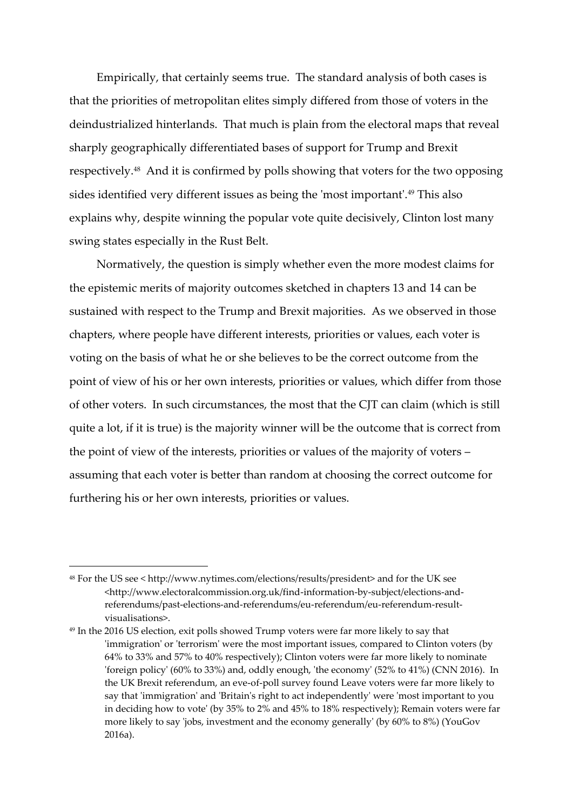Empirically, that certainly seems true. The standard analysis of both cases is that the priorities of metropolitan elites simply differed from those of voters in the deindustrialized hinterlands. That much is plain from the electoral maps that reveal sharply geographically differentiated bases of support for Trump and Brexit respectively.<sup>48</sup> And it is confirmed by polls showing that voters for the two opposing sides identified very different issues as being the 'most important'.<sup>49</sup> This also explains why, despite winning the popular vote quite decisively, Clinton lost many swing states especially in the Rust Belt.

Normatively, the question is simply whether even the more modest claims for the epistemic merits of majority outcomes sketched in chapters 13 and 14 can be sustained with respect to the Trump and Brexit majorities. As we observed in those chapters, where people have different interests, priorities or values, each voter is voting on the basis of what he or she believes to be the correct outcome from the point of view of his or her own interests, priorities or values, which differ from those of other voters. In such circumstances, the most that the CJT can claim (which is still quite a lot, if it is true) is the majority winner will be the outcome that is correct from the point of view of the interests, priorities or values of the majority of voters – assuming that each voter is better than random at choosing the correct outcome for furthering his or her own interests, priorities or values.

<sup>48</sup> For the US see < http://www.nytimes.com/elections/results/president> and for the UK see <http://www.electoralcommission.org.uk/find-information-by-subject/elections-andreferendums/past-elections-and-referendums/eu-referendum/eu-referendum-resultvisualisations>.

<sup>49</sup> In the 2016 US election, exit polls showed Trump voters were far more likely to say that 'immigration' or 'terrorism' were the most important issues, compared to Clinton voters (by 64% to 33% and 57% to 40% respectively); Clinton voters were far more likely to nominate 'foreign policy' (60% to 33%) and, oddly enough, 'the economy' (52% to 41%) (CNN 2016). In the UK Brexit referendum, an eve-of-poll survey found Leave voters were far more likely to say that 'immigration' and 'Britain's right to act independently' were 'most important to you in deciding how to vote' (by 35% to 2% and 45% to 18% respectively); Remain voters were far more likely to say 'jobs, investment and the economy generally' (by 60% to 8%) (YouGov 2016a).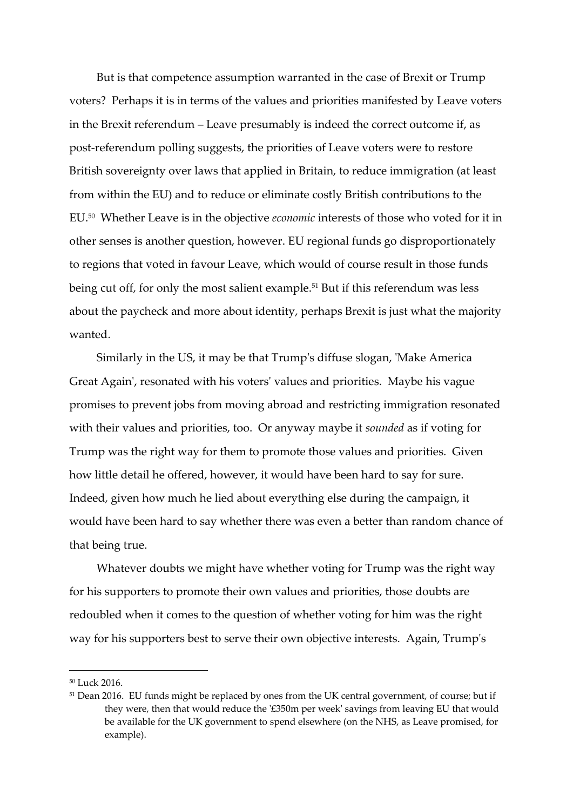But is that competence assumption warranted in the case of Brexit or Trump voters? Perhaps it is in terms of the values and priorities manifested by Leave voters in the Brexit referendum – Leave presumably is indeed the correct outcome if, as post-referendum polling suggests, the priorities of Leave voters were to restore British sovereignty over laws that applied in Britain, to reduce immigration (at least from within the EU) and to reduce or eliminate costly British contributions to the EU.<sup>50</sup> Whether Leave is in the objective *economic* interests of those who voted for it in other senses is another question, however. EU regional funds go disproportionately to regions that voted in favour Leave, which would of course result in those funds being cut off, for only the most salient example.<sup>51</sup> But if this referendum was less about the paycheck and more about identity, perhaps Brexit is just what the majority wanted.

Similarly in the US, it may be that Trump's diffuse slogan, 'Make America Great Again', resonated with his voters' values and priorities. Maybe his vague promises to prevent jobs from moving abroad and restricting immigration resonated with their values and priorities, too. Or anyway maybe it *sounded* as if voting for Trump was the right way for them to promote those values and priorities. Given how little detail he offered, however, it would have been hard to say for sure. Indeed, given how much he lied about everything else during the campaign, it would have been hard to say whether there was even a better than random chance of that being true.

Whatever doubts we might have whether voting for Trump was the right way for his supporters to promote their own values and priorities, those doubts are redoubled when it comes to the question of whether voting for him was the right way for his supporters best to serve their own objective interests. Again, Trump's

<sup>50</sup> Luck 2016.

<sup>51</sup> Dean 2016. EU funds might be replaced by ones from the UK central government, of course; but if they were, then that would reduce the '£350m per week' savings from leaving EU that would be available for the UK government to spend elsewhere (on the NHS, as Leave promised, for example).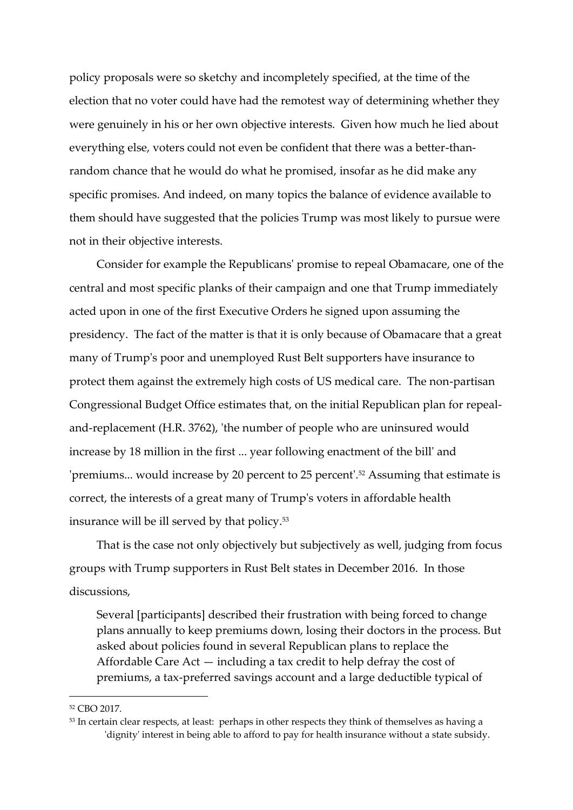policy proposals were so sketchy and incompletely specified, at the time of the election that no voter could have had the remotest way of determining whether they were genuinely in his or her own objective interests. Given how much he lied about everything else, voters could not even be confident that there was a better-thanrandom chance that he would do what he promised, insofar as he did make any specific promises. And indeed, on many topics the balance of evidence available to them should have suggested that the policies Trump was most likely to pursue were not in their objective interests.

Consider for example the Republicans' promise to repeal Obamacare, one of the central and most specific planks of their campaign and one that Trump immediately acted upon in one of the first Executive Orders he signed upon assuming the presidency. The fact of the matter is that it is only because of Obamacare that a great many of Trump's poor and unemployed Rust Belt supporters have insurance to protect them against the extremely high costs of US medical care. The non-partisan Congressional Budget Office estimates that, on the initial Republican plan for repealand-replacement (H.R. 3762), 'the number of people who are uninsured would increase by 18 million in the first ... year following enactment of the bill' and 'premiums... would increase by 20 percent to 25 percent'.<sup>52</sup> Assuming that estimate is correct, the interests of a great many of Trump's voters in affordable health insurance will be ill served by that policy.<sup>53</sup>

That is the case not only objectively but subjectively as well, judging from focus groups with Trump supporters in Rust Belt states in December 2016. In those discussions,

Several [participants] described their frustration with being forced to change plans annually to keep premiums down, losing their doctors in the process. But asked about policies found in several Republican plans to replace the Affordable Care Act — including a tax credit to help defray the cost of premiums, a tax-preferred savings account and a large deductible typical of

<sup>52</sup> CBO 2017.

<sup>&</sup>lt;sup>53</sup> In certain clear respects, at least: perhaps in other respects they think of themselves as having a 'dignity' interest in being able to afford to pay for health insurance without a state subsidy.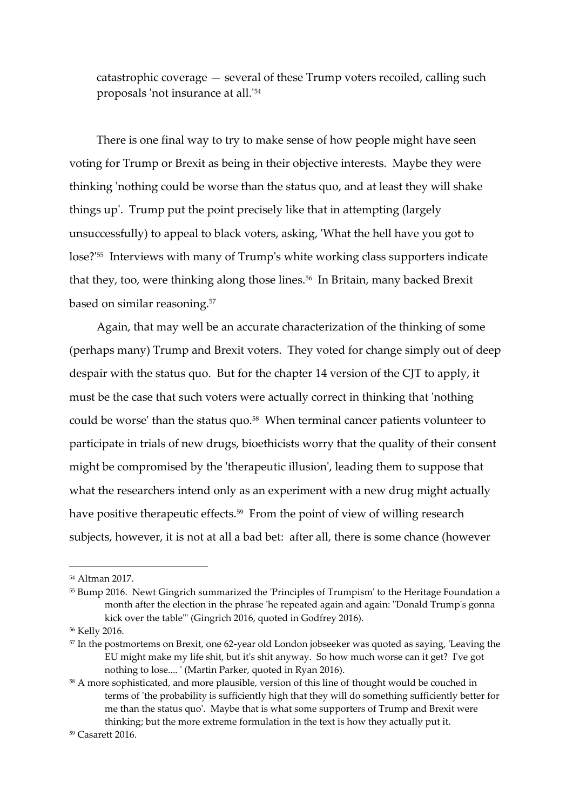catastrophic coverage — several of these Trump voters recoiled, calling such proposals 'not insurance at all.'<sup>54</sup>

There is one final way to try to make sense of how people might have seen voting for Trump or Brexit as being in their objective interests. Maybe they were thinking 'nothing could be worse than the status quo, and at least they will shake things up'. Trump put the point precisely like that in attempting (largely unsuccessfully) to appeal to black voters, asking, 'What the hell have you got to lose?'<sup>55</sup> Interviews with many of Trump's white working class supporters indicate that they, too, were thinking along those lines.<sup>56</sup> In Britain, many backed Brexit based on similar reasoning.<sup>57</sup>

Again, that may well be an accurate characterization of the thinking of some (perhaps many) Trump and Brexit voters. They voted for change simply out of deep despair with the status quo. But for the chapter 14 version of the CJT to apply, it must be the case that such voters were actually correct in thinking that 'nothing could be worse' than the status quo.<sup>58</sup> When terminal cancer patients volunteer to participate in trials of new drugs, bioethicists worry that the quality of their consent might be compromised by the 'therapeutic illusion', leading them to suppose that what the researchers intend only as an experiment with a new drug might actually have positive therapeutic effects.<sup>59</sup> From the point of view of willing research subjects, however, it is not at all a bad bet: after all, there is some chance (however

<sup>54</sup> Altman 2017.

<sup>55</sup> Bump 2016. Newt Gingrich summarized the 'Principles of Trumpism' to the Heritage Foundation a month after the election in the phrase 'he repeated again and again: "Donald Trump's gonna kick over the table"' (Gingrich 2016, quoted in Godfrey 2016).

<sup>56</sup> Kelly 2016.

<sup>&</sup>lt;sup>57</sup> In the postmortems on Brexit, one 62-year old London jobseeker was quoted as saying, 'Leaving the EU might make my life shit, but it's shit anyway. So how much worse can it get? I've got nothing to lose.... ' (Martin Parker, quoted in Ryan 2016).

<sup>&</sup>lt;sup>58</sup> A more sophisticated, and more plausible, version of this line of thought would be couched in terms of 'the probability is sufficiently high that they will do something sufficiently better for me than the status quo'. Maybe that is what some supporters of Trump and Brexit were thinking; but the more extreme formulation in the text is how they actually put it.

<sup>59</sup> Casarett 2016.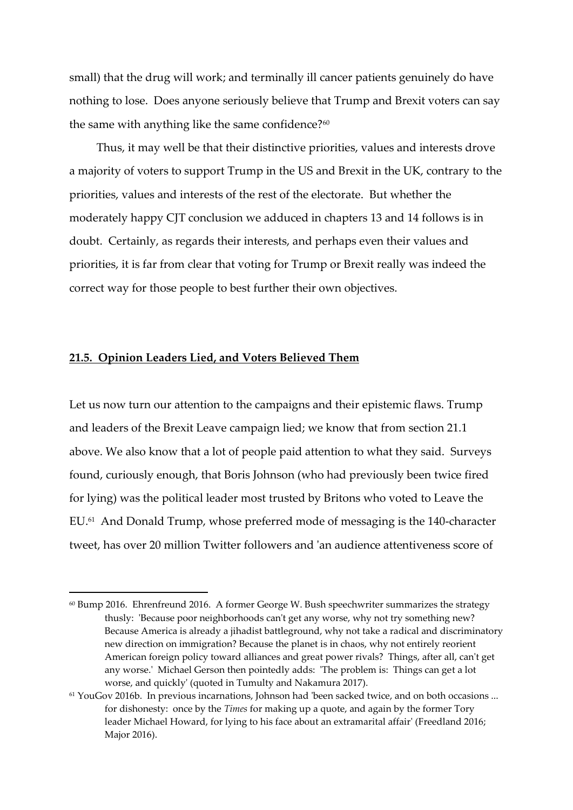small) that the drug will work; and terminally ill cancer patients genuinely do have nothing to lose. Does anyone seriously believe that Trump and Brexit voters can say the same with anything like the same confidence?<sup>60</sup>

Thus, it may well be that their distinctive priorities, values and interests drove a majority of voters to support Trump in the US and Brexit in the UK, contrary to the priorities, values and interests of the rest of the electorate. But whether the moderately happy CJT conclusion we adduced in chapters 13 and 14 follows is in doubt. Certainly, as regards their interests, and perhaps even their values and priorities, it is far from clear that voting for Trump or Brexit really was indeed the correct way for those people to best further their own objectives.

#### **21.5. Opinion Leaders Lied, and Voters Believed Them**

 $\overline{a}$ 

Let us now turn our attention to the campaigns and their epistemic flaws. Trump and leaders of the Brexit Leave campaign lied; we know that from section 21.1 above. We also know that a lot of people paid attention to what they said. Surveys found, curiously enough, that Boris Johnson (who had previously been twice fired for lying) was the political leader most trusted by Britons who voted to Leave the EU.<sup>61</sup> And Donald Trump, whose preferred mode of messaging is the 140-character tweet, has over 20 million Twitter followers and 'an audience attentiveness score of

 $60$  Bump 2016. Ehrenfreund 2016. A former George W. Bush speechwriter summarizes the strategy thusly: 'Because poor neighborhoods can't get any worse, why not try something new? Because America is already a jihadist battleground, why not take a radical and discriminatory new direction on immigration? Because the planet is in chaos, why not entirely reorient American foreign policy toward alliances and great power rivals? Things, after all, can't get any worse.' Michael Gerson then pointedly adds: 'The problem is: Things can get a lot worse, and quickly' (quoted in Tumulty and Nakamura 2017).

<sup>&</sup>lt;sup>61</sup> YouGov 2016b. In previous incarnations, Johnson had 'been sacked twice, and on both occasions ... for dishonesty: once by the *Times* for making up a quote, and again by the former Tory leader Michael Howard, for lying to his face about an extramarital affair' (Freedland 2016; Major 2016).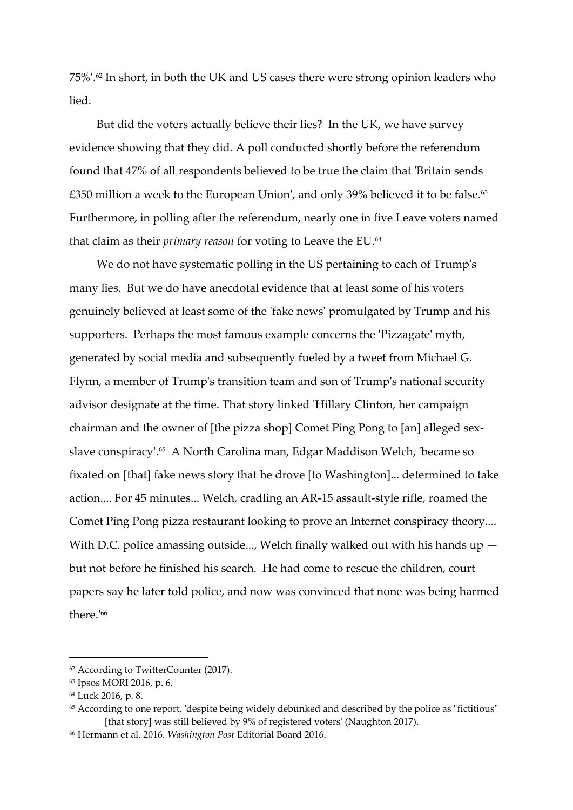75%'.<sup>62</sup> In short, in both the UK and US cases there were strong opinion leaders who lied.

But did the voters actually believe their lies? In the UK, we have survey evidence showing that they did. A poll conducted shortly before the referendum found that 47% of all respondents believed to be true the claim that 'Britain sends £350 million a week to the European Union', and only 39% believed it to be false. $^{63}$ Furthermore, in polling after the referendum, nearly one in five Leave voters named that claim as their *primary reason* for voting to Leave the EU.<sup>64</sup>

We do not have systematic polling in the US pertaining to each of Trump's many lies. But we do have anecdotal evidence that at least some of his voters genuinely believed at least some of the 'fake news' promulgated by Trump and his supporters. Perhaps the most famous example concerns the 'Pizzagate' myth, generated by social media and subsequently fueled by a tweet from Michael G. Flynn, a member of Trump's transition team and son of Trump's national security advisor designate at the time. That story linked 'Hillary Clinton, her campaign chairman and the owner of [the pizza shop] Comet Ping Pong to [an] alleged sexslave conspiracy'.<sup>65</sup> A North Carolina man, Edgar Maddison Welch, 'became so fixated on [that] fake news story that he drove [to Washington]... determined to take action.... For 45 minutes... Welch, cradling an AR-15 assault-style rifle, roamed the Comet Ping Pong pizza restaurant looking to prove an Internet conspiracy theory.... With D.C. police amassing outside..., Welch finally walked out with his hands up but not before he finished his search. He had come to rescue the children, court papers say he later told police, and now was convinced that none was being harmed there.'<sup>66</sup>

<sup>62</sup> According to TwitterCounter (2017).

<sup>63</sup> Ipsos MORI 2016, p. 6.

<sup>64</sup> Luck 2016, p. 8.

<sup>65</sup> According to one report, 'despite being widely debunked and described by the police as "fictitious" [that story] was still believed by 9% of registered voters' (Naughton 2017).

<sup>66</sup> Hermann et al. 2016. *Washington Post* Editorial Board 2016.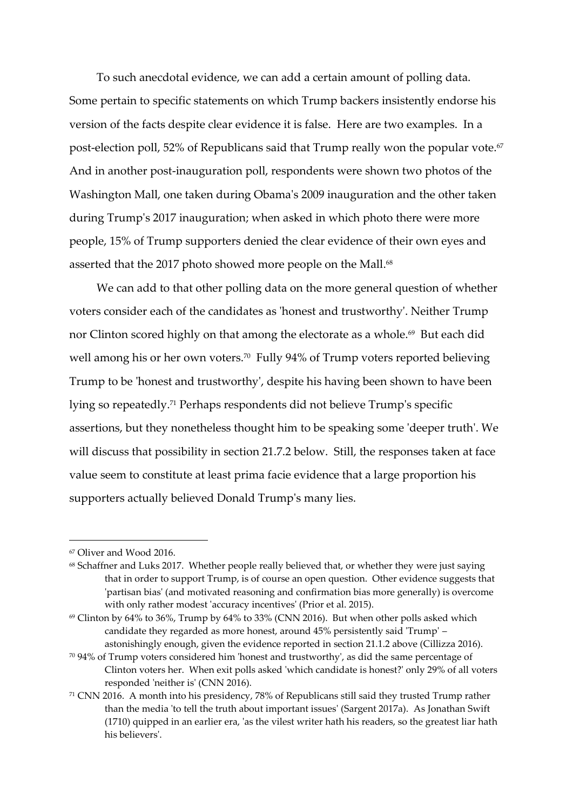To such anecdotal evidence, we can add a certain amount of polling data. Some pertain to specific statements on which Trump backers insistently endorse his version of the facts despite clear evidence it is false. Here are two examples. In a post-election poll, 52% of Republicans said that Trump really won the popular vote. $^{67}$ And in another post-inauguration poll, respondents were shown two photos of the Washington Mall, one taken during Obama's 2009 inauguration and the other taken during Trump's 2017 inauguration; when asked in which photo there were more people, 15% of Trump supporters denied the clear evidence of their own eyes and asserted that the 2017 photo showed more people on the Mall. 68

We can add to that other polling data on the more general question of whether voters consider each of the candidates as 'honest and trustworthy'. Neither Trump nor Clinton scored highly on that among the electorate as a whole. $^{69}$  But each did well among his or her own voters.<sup>70</sup> Fully 94% of Trump voters reported believing Trump to be 'honest and trustworthy', despite his having been shown to have been lying so repeatedly.<sup>71</sup> Perhaps respondents did not believe Trump's specific assertions, but they nonetheless thought him to be speaking some 'deeper truth'. We will discuss that possibility in section 21.7.2 below. Still, the responses taken at face value seem to constitute at least prima facie evidence that a large proportion his supporters actually believed Donald Trump's many lies.

<sup>67</sup> Oliver and Wood 2016.

<sup>68</sup> Schaffner and Luks 2017. Whether people really believed that, or whether they were just saying that in order to support Trump, is of course an open question. Other evidence suggests that 'partisan bias' (and motivated reasoning and confirmation bias more generally) is overcome with only rather modest 'accuracy incentives' (Prior et al. 2015).

 $69$  Clinton by 64% to 36%, Trump by 64% to 33% (CNN 2016). But when other polls asked which candidate they regarded as more honest, around 45% persistently said 'Trump' – astonishingly enough, given the evidence reported in section 21.1.2 above (Cillizza 2016).

<sup>70</sup> 94% of Trump voters considered him 'honest and trustworthy', as did the same percentage of Clinton voters her. When exit polls asked 'which candidate is honest?' only 29% of all voters responded 'neither is' (CNN 2016).

<sup>71</sup> CNN 2016. A month into his presidency, 78% of Republicans still said they trusted Trump rather than the media 'to tell the truth about important issues' (Sargent 2017a). As Jonathan Swift (1710) quipped in an earlier era, 'as the vilest writer hath his readers, so the greatest liar hath his believers'.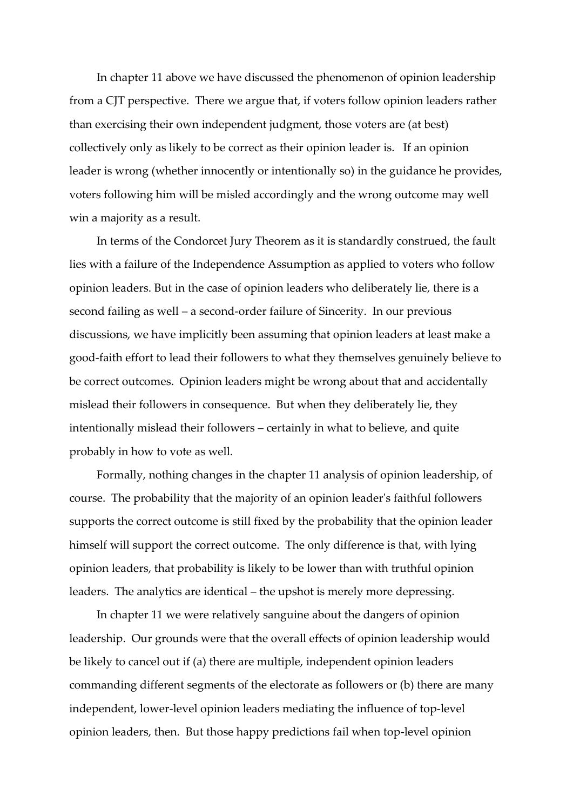In chapter 11 above we have discussed the phenomenon of opinion leadership from a CJT perspective. There we argue that, if voters follow opinion leaders rather than exercising their own independent judgment, those voters are (at best) collectively only as likely to be correct as their opinion leader is. If an opinion leader is wrong (whether innocently or intentionally so) in the guidance he provides, voters following him will be misled accordingly and the wrong outcome may well win a majority as a result.

In terms of the Condorcet Jury Theorem as it is standardly construed, the fault lies with a failure of the Independence Assumption as applied to voters who follow opinion leaders. But in the case of opinion leaders who deliberately lie, there is a second failing as well – a second-order failure of Sincerity. In our previous discussions, we have implicitly been assuming that opinion leaders at least make a good-faith effort to lead their followers to what they themselves genuinely believe to be correct outcomes. Opinion leaders might be wrong about that and accidentally mislead their followers in consequence. But when they deliberately lie, they intentionally mislead their followers – certainly in what to believe, and quite probably in how to vote as well.

Formally, nothing changes in the chapter 11 analysis of opinion leadership, of course. The probability that the majority of an opinion leader's faithful followers supports the correct outcome is still fixed by the probability that the opinion leader himself will support the correct outcome. The only difference is that, with lying opinion leaders, that probability is likely to be lower than with truthful opinion leaders. The analytics are identical – the upshot is merely more depressing.

In chapter 11 we were relatively sanguine about the dangers of opinion leadership. Our grounds were that the overall effects of opinion leadership would be likely to cancel out if (a) there are multiple, independent opinion leaders commanding different segments of the electorate as followers or (b) there are many independent, lower-level opinion leaders mediating the influence of top-level opinion leaders, then. But those happy predictions fail when top-level opinion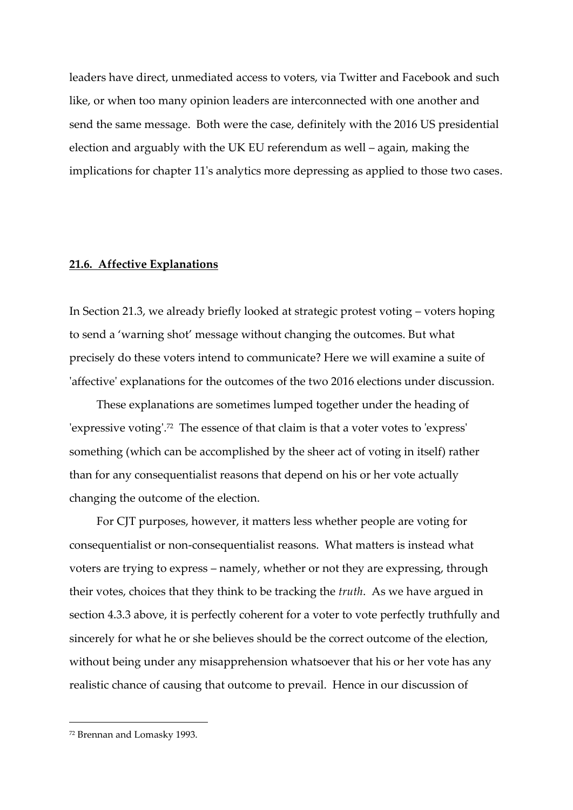leaders have direct, unmediated access to voters, via Twitter and Facebook and such like, or when too many opinion leaders are interconnected with one another and send the same message. Both were the case, definitely with the 2016 US presidential election and arguably with the UK EU referendum as well – again, making the implications for chapter 11's analytics more depressing as applied to those two cases.

#### **21.6. Affective Explanations**

In Section 21.3, we already briefly looked at strategic protest voting – voters hoping to send a 'warning shot' message without changing the outcomes. But what precisely do these voters intend to communicate? Here we will examine a suite of 'affective' explanations for the outcomes of the two 2016 elections under discussion.

These explanations are sometimes lumped together under the heading of 'expressive voting'.<sup>72</sup> The essence of that claim is that a voter votes to 'express' something (which can be accomplished by the sheer act of voting in itself) rather than for any consequentialist reasons that depend on his or her vote actually changing the outcome of the election.

For CJT purposes, however, it matters less whether people are voting for consequentialist or non-consequentialist reasons. What matters is instead what voters are trying to express – namely, whether or not they are expressing, through their votes, choices that they think to be tracking the *truth*. As we have argued in section 4.3.3 above, it is perfectly coherent for a voter to vote perfectly truthfully and sincerely for what he or she believes should be the correct outcome of the election, without being under any misapprehension whatsoever that his or her vote has any realistic chance of causing that outcome to prevail. Hence in our discussion of

1

<sup>72</sup> Brennan and Lomasky 1993.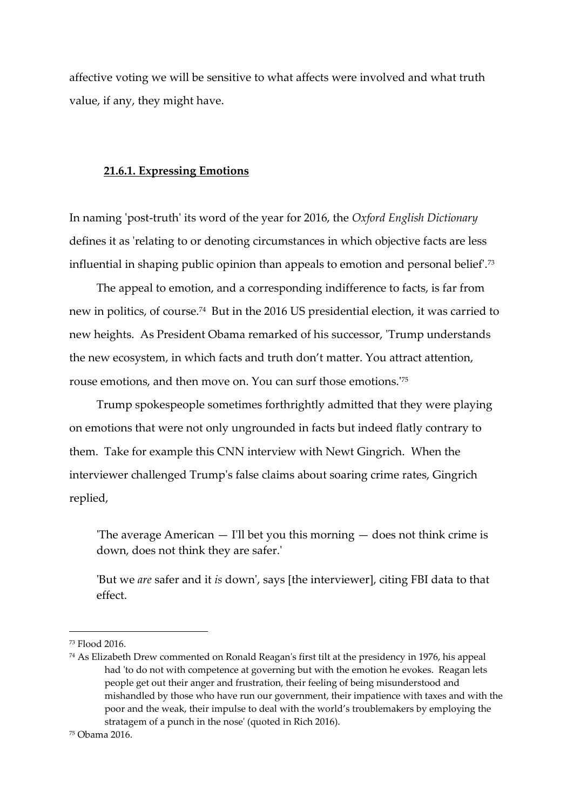affective voting we will be sensitive to what affects were involved and what truth value, if any, they might have.

#### **21.6.1. Expressing Emotions**

In naming 'post-truth' its word of the year for 2016, the *Oxford English Dictionary* defines it as 'relating to or denoting circumstances in which objective facts are less influential in shaping public opinion than appeals to emotion and personal belief'.<sup>73</sup>

The appeal to emotion, and a corresponding indifference to facts, is far from new in politics, of course.<sup>74</sup> But in the 2016 US presidential election, it was carried to new heights. As President Obama remarked of his successor, 'Trump understands the new ecosystem, in which facts and truth don't matter. You attract attention, rouse emotions, and then move on. You can surf those emotions.'<sup>75</sup>

Trump spokespeople sometimes forthrightly admitted that they were playing on emotions that were not only ungrounded in facts but indeed flatly contrary to them. Take for example this CNN interview with Newt Gingrich. When the interviewer challenged Trump's false claims about soaring crime rates, Gingrich replied,

'The average American  $-$  I'll bet you this morning  $-$  does not think crime is down, does not think they are safer.'

'But we *are* safer and it *is* down', says [the interviewer], citing FBI data to that effect.

1

<sup>73</sup> Flood 2016.

<sup>74</sup> As Elizabeth Drew commented on Ronald Reagan's first tilt at the presidency in 1976, his appeal had 'to do not with competence at governing but with the emotion he evokes. Reagan lets people get out their anger and frustration, their feeling of being misunderstood and mishandled by those who have run our government, their impatience with taxes and with the poor and the weak, their impulse to deal with the world's troublemakers by employing the stratagem of a punch in the nose' (quoted in Rich 2016).

<sup>75</sup> Obama 2016.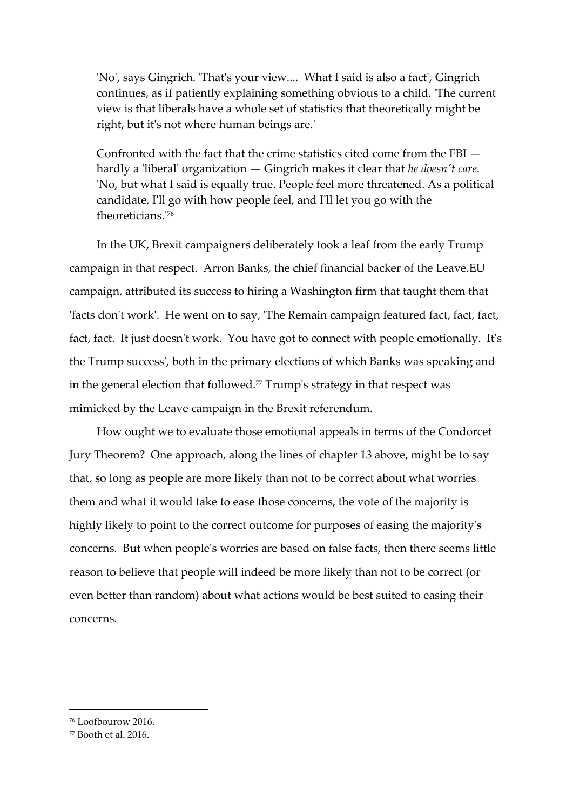'No', says Gingrich. 'That's your view.... What I said is also a fact', Gingrich continues, as if patiently explaining something obvious to a child. 'The current view is that liberals have a whole set of statistics that theoretically might be right, but it's not where human beings are.'

Confronted with the fact that the crime statistics cited come from the FBI hardly a 'liberal' organization — Gingrich makes it clear that *he doesn't care*. 'No, but what I said is equally true. People feel more threatened. As a political candidate, I'll go with how people feel, and I'll let you go with the theoreticians.'<sup>76</sup>

In the UK, Brexit campaigners deliberately took a leaf from the early Trump campaign in that respect. Arron Banks, the chief financial backer of the Leave.EU campaign, attributed its success to hiring a Washington firm that taught them that 'facts don't work'. He went on to say, 'The Remain campaign featured fact, fact, fact, fact, fact. It just doesn't work. You have got to connect with people emotionally. It's the Trump success', both in the primary elections of which Banks was speaking and in the general election that followed.<sup>77</sup> Trump's strategy in that respect was mimicked by the Leave campaign in the Brexit referendum.

How ought we to evaluate those emotional appeals in terms of the Condorcet Jury Theorem? One approach, along the lines of chapter 13 above, might be to say that, so long as people are more likely than not to be correct about what worries them and what it would take to ease those concerns, the vote of the majority is highly likely to point to the correct outcome for purposes of easing the majority's concerns. But when people's worries are based on false facts, then there seems little reason to believe that people will indeed be more likely than not to be correct (or even better than random) about what actions would be best suited to easing their concerns.

<sup>76</sup> Loofbourow 2016.

<sup>77</sup> Booth et al. 2016.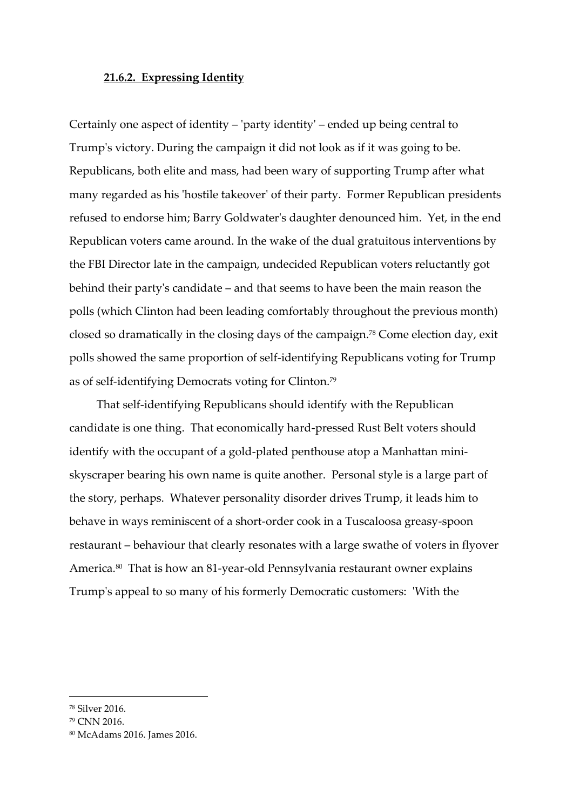#### **21.6.2. Expressing Identity**

Certainly one aspect of identity – 'party identity' – ended up being central to Trump's victory. During the campaign it did not look as if it was going to be. Republicans, both elite and mass, had been wary of supporting Trump after what many regarded as his 'hostile takeover' of their party. Former Republican presidents refused to endorse him; Barry Goldwater's daughter denounced him. Yet, in the end Republican voters came around. In the wake of the dual gratuitous interventions by the FBI Director late in the campaign, undecided Republican voters reluctantly got behind their party's candidate – and that seems to have been the main reason the polls (which Clinton had been leading comfortably throughout the previous month) closed so dramatically in the closing days of the campaign.<sup>78</sup> Come election day, exit polls showed the same proportion of self-identifying Republicans voting for Trump as of self-identifying Democrats voting for Clinton.<sup>79</sup>

That self-identifying Republicans should identify with the Republican candidate is one thing. That economically hard-pressed Rust Belt voters should identify with the occupant of a gold-plated penthouse atop a Manhattan miniskyscraper bearing his own name is quite another. Personal style is a large part of the story, perhaps. Whatever personality disorder drives Trump, it leads him to behave in ways reminiscent of a short-order cook in a Tuscaloosa greasy-spoon restaurant – behaviour that clearly resonates with a large swathe of voters in flyover America.<sup>80</sup> That is how an 81-year-old Pennsylvania restaurant owner explains Trump's appeal to so many of his formerly Democratic customers: 'With the

<sup>78</sup> Silver 2016.

<sup>79</sup> CNN 2016.

<sup>80</sup> McAdams 2016. James 2016.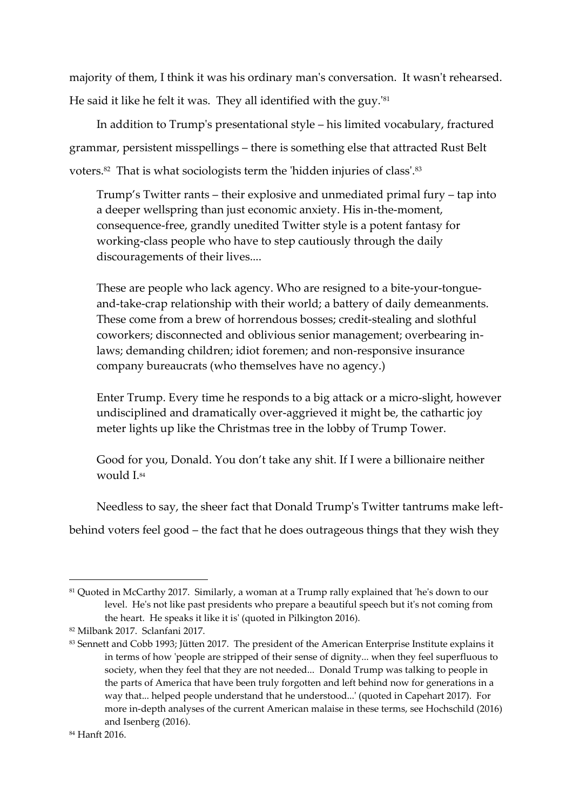majority of them, I think it was his ordinary man's conversation. It wasn't rehearsed. He said it like he felt it was. They all identified with the guy.'<sup>81</sup>

In addition to Trump's presentational style – his limited vocabulary, fractured grammar, persistent misspellings – there is something else that attracted Rust Belt voters. $^{82}$  That is what sociologists term the 'hidden injuries of class'. $^{83}$ 

Trump's Twitter rants – their explosive and unmediated primal fury – tap into a deeper wellspring than just economic anxiety. His in-the-moment, consequence-free, grandly unedited Twitter style is a potent fantasy for working-class people who have to step cautiously through the daily discouragements of their lives....

These are people who lack agency. Who are resigned to a bite-your-tongueand-take-crap relationship with their world; a battery of daily demeanments. These come from a brew of horrendous bosses; credit-stealing and slothful coworkers; disconnected and oblivious senior management; overbearing inlaws; demanding children; idiot foremen; and non-responsive insurance company bureaucrats (who themselves have no agency.)

Enter Trump. Every time he responds to a big attack or a micro-slight, however undisciplined and dramatically over-aggrieved it might be, the cathartic joy meter lights up like the Christmas tree in the lobby of Trump Tower.

Good for you, Donald. You don't take any shit. If I were a billionaire neither would I.<sup>84</sup>

Needless to say, the sheer fact that Donald Trump's Twitter tantrums make left-

behind voters feel good – the fact that he does outrageous things that they wish they

<sup>&</sup>lt;sup>81</sup> Quoted in McCarthy 2017. Similarly, a woman at a Trump rally explained that 'he's down to our level. He's not like past presidents who prepare a beautiful speech but it's not coming from the heart. He speaks it like it is' (quoted in Pilkington 2016).

<sup>82</sup> Milbank 2017. Sclanfani 2017.

<sup>83</sup> Sennett and Cobb 1993; Jütten 2017. The president of the American Enterprise Institute explains it in terms of how 'people are stripped of their sense of dignity... when they feel superfluous to society, when they feel that they are not needed... Donald Trump was talking to people in the parts of America that have been truly forgotten and left behind now for generations in a way that... helped people understand that he understood...' (quoted in Capehart 2017). For more in-depth analyses of the current American malaise in these terms, see Hochschild (2016) and Isenberg (2016).

<sup>84</sup> Hanft 2016.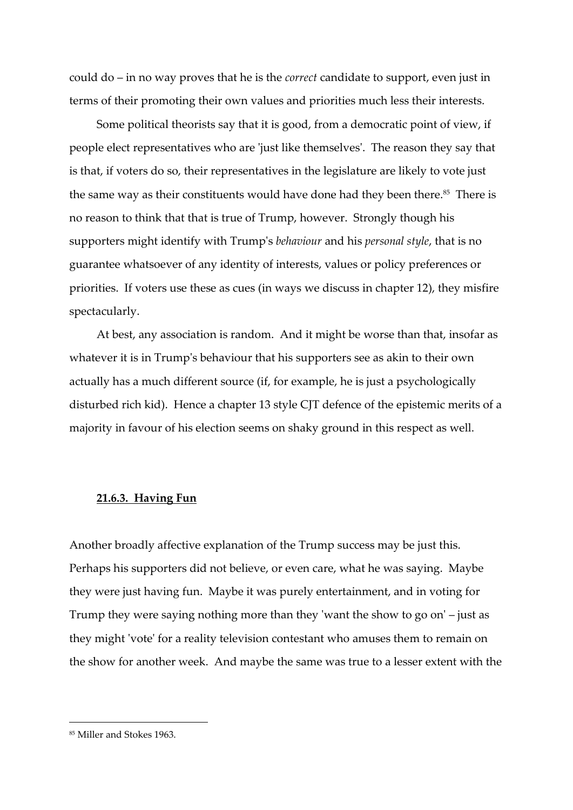could do – in no way proves that he is the *correct* candidate to support, even just in terms of their promoting their own values and priorities much less their interests.

Some political theorists say that it is good, from a democratic point of view, if people elect representatives who are 'just like themselves'. The reason they say that is that, if voters do so, their representatives in the legislature are likely to vote just the same way as their constituents would have done had they been there. $85$  There is no reason to think that that is true of Trump, however. Strongly though his supporters might identify with Trump's *behaviour* and his *personal style*, that is no guarantee whatsoever of any identity of interests, values or policy preferences or priorities. If voters use these as cues (in ways we discuss in chapter 12), they misfire spectacularly.

At best, any association is random. And it might be worse than that, insofar as whatever it is in Trump's behaviour that his supporters see as akin to their own actually has a much different source (if, for example, he is just a psychologically disturbed rich kid). Hence a chapter 13 style CJT defence of the epistemic merits of a majority in favour of his election seems on shaky ground in this respect as well.

#### **21.6.3. Having Fun**

Another broadly affective explanation of the Trump success may be just this. Perhaps his supporters did not believe, or even care, what he was saying. Maybe they were just having fun. Maybe it was purely entertainment, and in voting for Trump they were saying nothing more than they 'want the show to go on' – just as they might 'vote' for a reality television contestant who amuses them to remain on the show for another week. And maybe the same was true to a lesser extent with the

1

<sup>85</sup> Miller and Stokes 1963.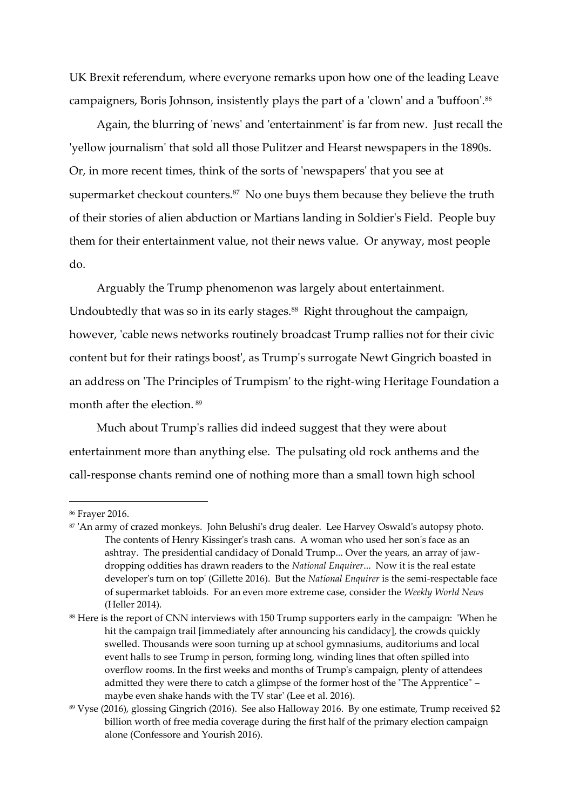UK Brexit referendum, where everyone remarks upon how one of the leading Leave campaigners, Boris Johnson, insistently plays the part of a 'clown' and a 'buffoon'.<sup>86</sup>

Again, the blurring of 'news' and 'entertainment' is far from new. Just recall the 'yellow journalism' that sold all those Pulitzer and Hearst newspapers in the 1890s. Or, in more recent times, think of the sorts of 'newspapers' that you see at supermarket checkout counters. $^{87}$  No one buys them because they believe the truth of their stories of alien abduction or Martians landing in Soldier's Field. People buy them for their entertainment value, not their news value. Or anyway, most people do.

Arguably the Trump phenomenon was largely about entertainment.

Undoubtedly that was so in its early stages.<sup>88</sup> Right throughout the campaign, however, 'cable news networks routinely broadcast Trump rallies not for their civic content but for their ratings boost', as Trump's surrogate Newt Gingrich boasted in an address on 'The Principles of Trumpism' to the right-wing Heritage Foundation a month after the election. <sup>89</sup>

Much about Trump's rallies did indeed suggest that they were about entertainment more than anything else. The pulsating old rock anthems and the call-response chants remind one of nothing more than a small town high school

<sup>86</sup> Frayer 2016.

<sup>87 &#</sup>x27;An army of crazed monkeys. John Belushi's drug dealer. Lee Harvey Oswald's autopsy photo. The contents of Henry Kissinger's trash cans. A woman who used her son's face as an ashtray. The presidential candidacy of Donald Trump... Over the years, an array of jawdropping oddities has drawn readers to the *National Enquirer*... Now it is the real estate developer's turn on top' (Gillette 2016). But the *National Enquirer* is the semi-respectable face of supermarket tabloids. For an even more extreme case, consider the *Weekly World News* (Heller 2014).

<sup>88</sup> Here is the report of CNN interviews with 150 Trump supporters early in the campaign: 'When he hit the campaign trail [immediately after announcing his candidacy], the crowds quickly swelled. Thousands were soon turning up at school gymnasiums, auditoriums and local event halls to see Trump in person, forming long, winding lines that often spilled into overflow rooms. In the first weeks and months of Trump's campaign, plenty of attendees admitted they were there to catch a glimpse of the former host of the "The Apprentice" – maybe even shake hands with the TV star' (Lee et al. 2016).

<sup>89</sup> Vyse (2016), glossing Gingrich (2016). See also Halloway 2016. By one estimate, Trump received \$2 billion worth of free media coverage during the first half of the primary election campaign alone (Confessore and Yourish 2016).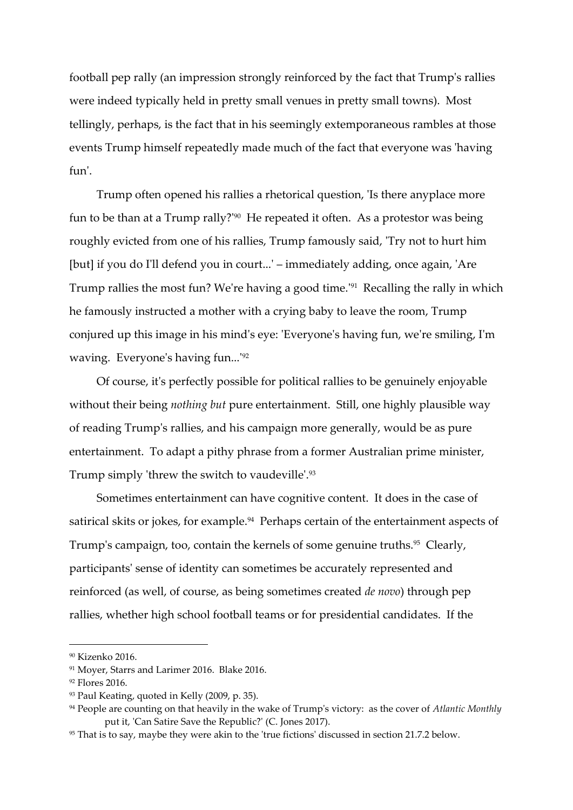football pep rally (an impression strongly reinforced by the fact that Trump's rallies were indeed typically held in pretty small venues in pretty small towns). Most tellingly, perhaps, is the fact that in his seemingly extemporaneous rambles at those events Trump himself repeatedly made much of the fact that everyone was 'having  $fun'$ 

Trump often opened his rallies a rhetorical question, 'Is there anyplace more fun to be than at a Trump rally?'<sup>90</sup> He repeated it often. As a protestor was being roughly evicted from one of his rallies, Trump famously said, 'Try not to hurt him [but] if you do I'll defend you in court...' – immediately adding, once again, 'Are Trump rallies the most fun? We're having a good time.'<sup>91</sup> Recalling the rally in which he famously instructed a mother with a crying baby to leave the room, Trump conjured up this image in his mind's eye: 'Everyone's having fun, we're smiling, I'm waving. Everyone's having fun...'<sup>92</sup>

Of course, it's perfectly possible for political rallies to be genuinely enjoyable without their being *nothing but* pure entertainment. Still, one highly plausible way of reading Trump's rallies, and his campaign more generally, would be as pure entertainment. To adapt a pithy phrase from a former Australian prime minister, Trump simply 'threw the switch to vaudeville'.<sup>93</sup>

Sometimes entertainment can have cognitive content. It does in the case of satirical skits or jokes, for example.<sup>94</sup> Perhaps certain of the entertainment aspects of Trump's campaign, too, contain the kernels of some genuine truths.<sup>95</sup> Clearly, participants' sense of identity can sometimes be accurately represented and reinforced (as well, of course, as being sometimes created *de novo*) through pep rallies, whether high school football teams or for presidential candidates. If the

<sup>90</sup> Kizenko 2016.

<sup>91</sup> Moyer, Starrs and Larimer 2016. Blake 2016.

<sup>92</sup> Flores 2016.

<sup>93</sup> Paul Keating, quoted in Kelly (2009, p. 35).

<sup>94</sup> People are counting on that heavily in the wake of Trump's victory: as the cover of *Atlantic Monthly* put it, 'Can Satire Save the Republic?' (C. Jones 2017).

<sup>95</sup> That is to say, maybe they were akin to the 'true fictions' discussed in section 21.7.2 below.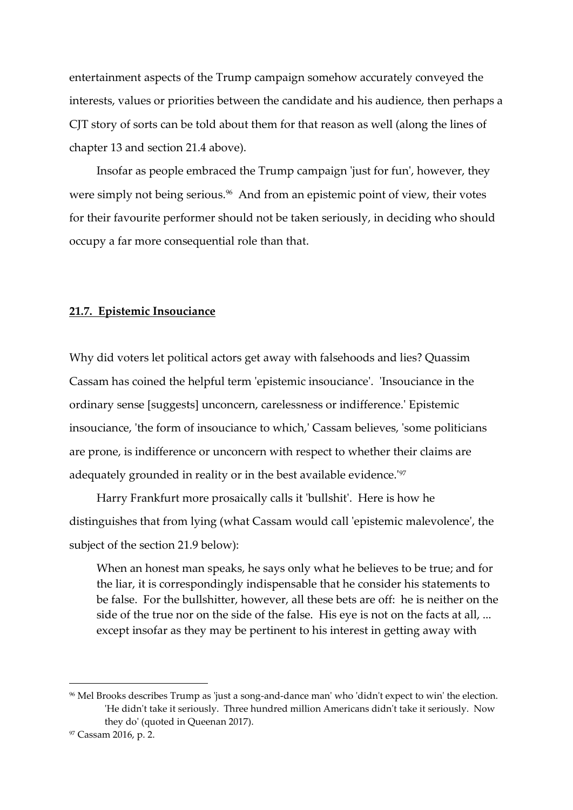entertainment aspects of the Trump campaign somehow accurately conveyed the interests, values or priorities between the candidate and his audience, then perhaps a CJT story of sorts can be told about them for that reason as well (along the lines of chapter 13 and section 21.4 above).

Insofar as people embraced the Trump campaign 'just for fun', however, they were simply not being serious.<sup>96</sup> And from an epistemic point of view, their votes for their favourite performer should not be taken seriously, in deciding who should occupy a far more consequential role than that.

# **21.7. Epistemic Insouciance**

Why did voters let political actors get away with falsehoods and lies? Quassim Cassam has coined the helpful term 'epistemic insouciance'. 'Insouciance in the ordinary sense [suggests] unconcern, carelessness or indifference.' Epistemic insouciance, 'the form of insouciance to which,' Cassam believes, 'some politicians are prone, is indifference or unconcern with respect to whether their claims are adequately grounded in reality or in the best available evidence.'<sup>97</sup>

Harry Frankfurt more prosaically calls it 'bullshit'. Here is how he distinguishes that from lying (what Cassam would call 'epistemic malevolence', the subject of the section 21.9 below):

When an honest man speaks, he says only what he believes to be true; and for the liar, it is correspondingly indispensable that he consider his statements to be false. For the bullshitter, however, all these bets are off: he is neither on the side of the true nor on the side of the false. His eye is not on the facts at all, ... except insofar as they may be pertinent to his interest in getting away with

<sup>96</sup> Mel Brooks describes Trump as 'just a song-and-dance man' who 'didn't expect to win' the election. 'He didn't take it seriously. Three hundred million Americans didn't take it seriously. Now they do' (quoted in Queenan 2017).

<sup>97</sup> Cassam 2016, p. 2.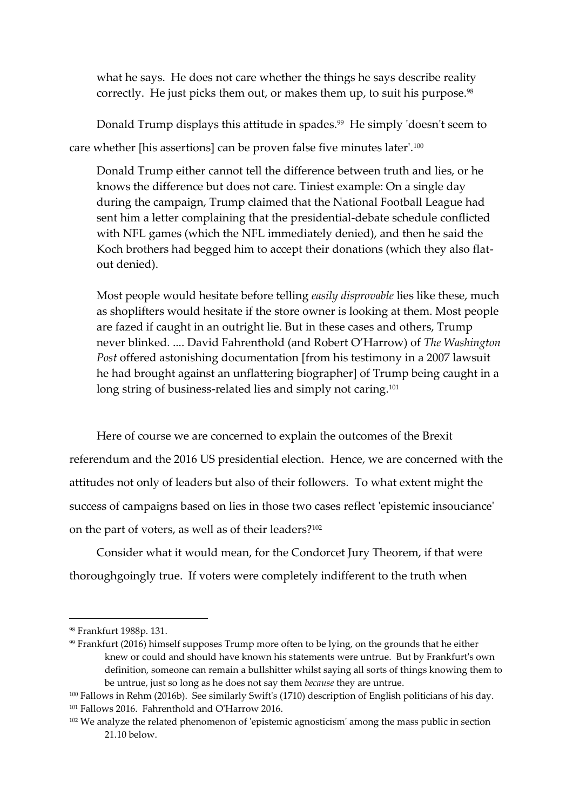what he says. He does not care whether the things he says describe reality correctly. He just picks them out, or makes them up, to suit his purpose.<sup>98</sup>

Donald Trump displays this attitude in spades.<sup>99</sup> He simply 'doesn't seem to care whether [his assertions] can be proven false five minutes later'.<sup>100</sup>

Donald Trump either cannot tell the difference between truth and lies, or he knows the difference but does not care. Tiniest example: On a single day during the campaign, Trump claimed that the National Football League had sent him a letter complaining that the presidential-debate schedule conflicted with NFL games (which the NFL immediately denied), and then he said the Koch brothers had begged him to accept their donations (which they also flatout denied).

Most people would hesitate before telling *easily disprovable* lies like these, much as shoplifters would hesitate if the store owner is looking at them. Most people are fazed if caught in an outright lie. But in these cases and others, Trump never blinked. .... David Fahrenthold (and Robert O'Harrow) of *The Washington Post* offered astonishing documentation [from his testimony in a 2007 lawsuit he had brought against an unflattering biographer] of Trump being caught in a long string of business-related lies and simply not caring.<sup>101</sup>

Here of course we are concerned to explain the outcomes of the Brexit referendum and the 2016 US presidential election. Hence, we are concerned with the attitudes not only of leaders but also of their followers. To what extent might the success of campaigns based on lies in those two cases reflect 'epistemic insouciance' on the part of voters, as well as of their leaders?<sup>102</sup>

Consider what it would mean, for the Condorcet Jury Theorem, if that were thoroughgoingly true. If voters were completely indifferent to the truth when

<sup>98</sup> Frankfurt 1988p. 131.

<sup>99</sup> Frankfurt (2016) himself supposes Trump more often to be lying, on the grounds that he either knew or could and should have known his statements were untrue. But by Frankfurt's own definition, someone can remain a bullshitter whilst saying all sorts of things knowing them to be untrue, just so long as he does not say them *because* they are untrue.

<sup>100</sup> Fallows in Rehm (2016b). See similarly Swift's (1710) description of English politicians of his day. <sup>101</sup> Fallows 2016. Fahrenthold and O'Harrow 2016.

<sup>&</sup>lt;sup>102</sup> We analyze the related phenomenon of 'epistemic agnosticism' among the mass public in section 21.10 below.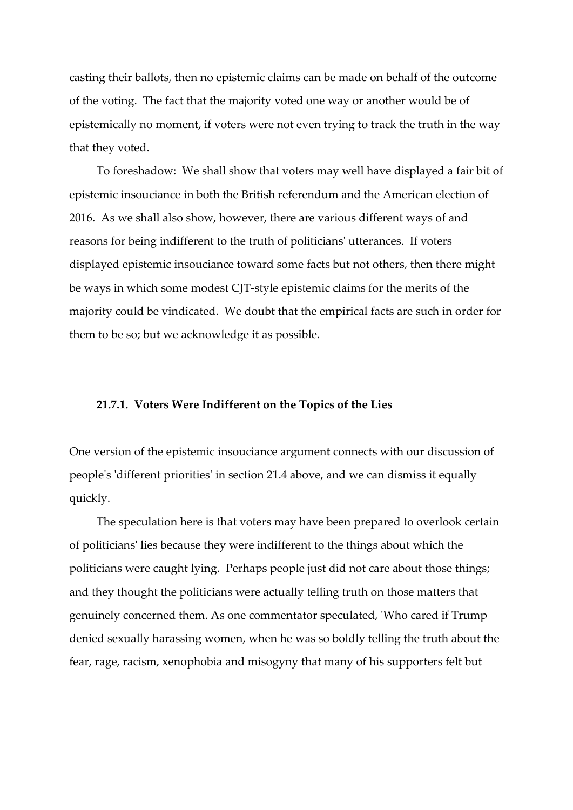casting their ballots, then no epistemic claims can be made on behalf of the outcome of the voting. The fact that the majority voted one way or another would be of epistemically no moment, if voters were not even trying to track the truth in the way that they voted.

To foreshadow: We shall show that voters may well have displayed a fair bit of epistemic insouciance in both the British referendum and the American election of 2016. As we shall also show, however, there are various different ways of and reasons for being indifferent to the truth of politicians' utterances. If voters displayed epistemic insouciance toward some facts but not others, then there might be ways in which some modest CJT-style epistemic claims for the merits of the majority could be vindicated. We doubt that the empirical facts are such in order for them to be so; but we acknowledge it as possible.

# **21.7.1. Voters Were Indifferent on the Topics of the Lies**

One version of the epistemic insouciance argument connects with our discussion of people's 'different priorities' in section 21.4 above, and we can dismiss it equally quickly.

The speculation here is that voters may have been prepared to overlook certain of politicians' lies because they were indifferent to the things about which the politicians were caught lying. Perhaps people just did not care about those things; and they thought the politicians were actually telling truth on those matters that genuinely concerned them. As one commentator speculated, 'Who cared if Trump denied sexually harassing women, when he was so boldly telling the truth about the fear, rage, racism, xenophobia and misogyny that many of his supporters felt but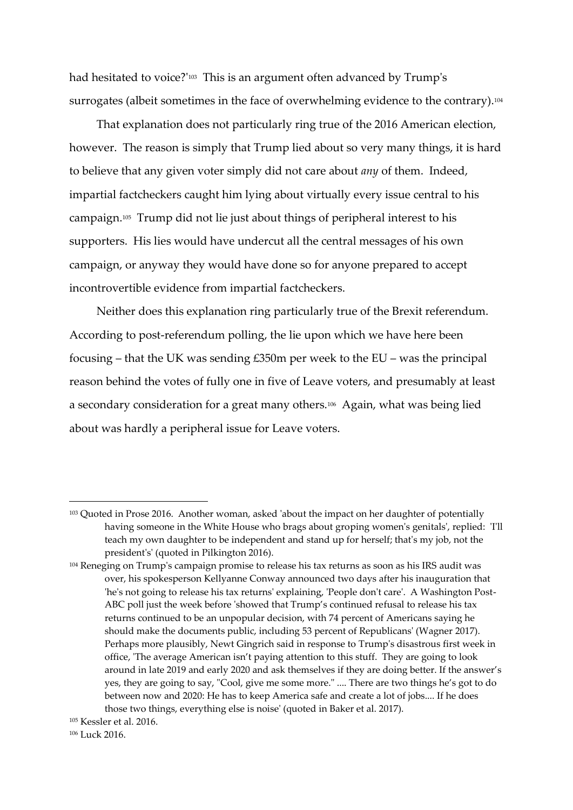had hesitated to voice?'103 This is an argument often advanced by Trump's surrogates (albeit sometimes in the face of overwhelming evidence to the contrary).<sup>104</sup>

That explanation does not particularly ring true of the 2016 American election, however. The reason is simply that Trump lied about so very many things, it is hard to believe that any given voter simply did not care about *any* of them. Indeed, impartial factcheckers caught him lying about virtually every issue central to his campaign.<sup>105</sup> Trump did not lie just about things of peripheral interest to his supporters. His lies would have undercut all the central messages of his own campaign, or anyway they would have done so for anyone prepared to accept incontrovertible evidence from impartial factcheckers.

Neither does this explanation ring particularly true of the Brexit referendum. According to post-referendum polling, the lie upon which we have here been focusing – that the UK was sending £350m per week to the EU – was the principal reason behind the votes of fully one in five of Leave voters, and presumably at least a secondary consideration for a great many others.<sup>106</sup> Again, what was being lied about was hardly a peripheral issue for Leave voters.

<sup>&</sup>lt;sup>103</sup> Quoted in Prose 2016. Another woman, asked 'about the impact on her daughter of potentially having someone in the White House who brags about groping women's genitals', replied: 'I'll teach my own daughter to be independent and stand up for herself; that's my job, not the president's' (quoted in Pilkington 2016).

<sup>&</sup>lt;sup>104</sup> Reneging on Trump's campaign promise to release his tax returns as soon as his IRS audit was over, his spokesperson Kellyanne Conway announced two days after his inauguration that 'he's not going to release his tax returns' explaining, 'People don't care'. A Washington Post-ABC poll just the week before 'showed that Trump's continued refusal to release his tax returns continued to be an unpopular decision, with 74 percent of Americans saying he should make the documents public, including 53 percent of Republicans' (Wagner 2017). Perhaps more plausibly, Newt Gingrich said in response to Trump's disastrous first week in office, 'The average American isn't paying attention to this stuff. They are going to look around in late 2019 and early 2020 and ask themselves if they are doing better. If the answer's yes, they are going to say, "Cool, give me some more." .... There are two things he's got to do between now and 2020: He has to keep America safe and create a lot of jobs.... If he does those two things, everything else is noise' (quoted in Baker et al. 2017).

<sup>105</sup> Kessler et al. 2016.

<sup>106</sup> Luck 2016.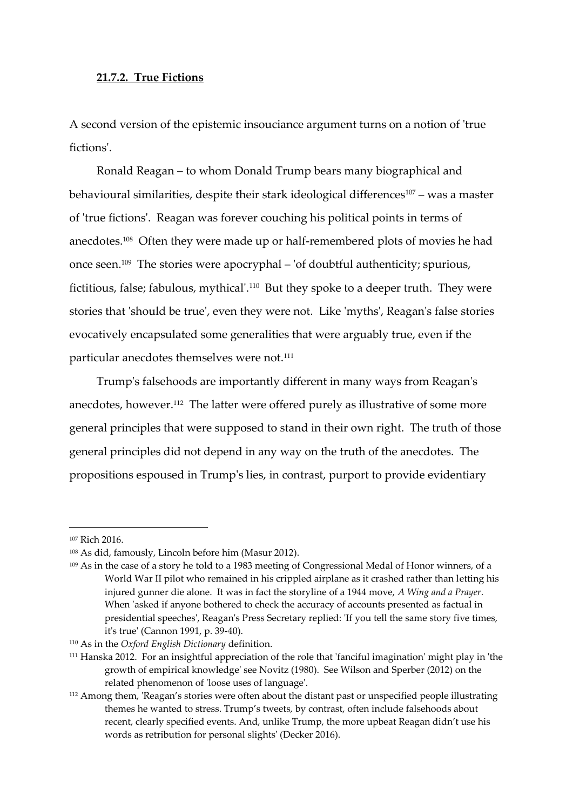# **21.7.2. True Fictions**

A second version of the epistemic insouciance argument turns on a notion of 'true fictions'.

Ronald Reagan – to whom Donald Trump bears many biographical and behavioural similarities, despite their stark ideological differences<sup>107</sup> – was a master of 'true fictions'. Reagan was forever couching his political points in terms of anecdotes.<sup>108</sup> Often they were made up or half-remembered plots of movies he had once seen.<sup>109</sup> The stories were apocryphal – 'of doubtful authenticity; spurious, fictitious, false; fabulous, mythical'.<sup>110</sup> But they spoke to a deeper truth. They were stories that 'should be true', even they were not. Like 'myths', Reagan's false stories evocatively encapsulated some generalities that were arguably true, even if the particular anecdotes themselves were not.<sup>111</sup>

Trump's falsehoods are importantly different in many ways from Reagan's anecdotes, however.<sup>112</sup> The latter were offered purely as illustrative of some more general principles that were supposed to stand in their own right. The truth of those general principles did not depend in any way on the truth of the anecdotes. The propositions espoused in Trump's lies, in contrast, purport to provide evidentiary

<sup>107</sup> Rich 2016.

<sup>108</sup> As did, famously, Lincoln before him (Masur 2012).

<sup>&</sup>lt;sup>109</sup> As in the case of a story he told to a 1983 meeting of Congressional Medal of Honor winners, of a World War II pilot who remained in his crippled airplane as it crashed rather than letting his injured gunner die alone. It was in fact the storyline of a 1944 move, *A Wing and a Prayer*. When 'asked if anyone bothered to check the accuracy of accounts presented as factual in presidential speeches', Reagan's Press Secretary replied: 'If you tell the same story five times, it's true' (Cannon 1991, p. 39-40).

<sup>110</sup> As in the *Oxford English Dictionary* definition.

<sup>111</sup> Hanska 2012. For an insightful appreciation of the role that 'fanciful imagination' might play in 'the growth of empirical knowledge' see Novitz (1980). See Wilson and Sperber (2012) on the related phenomenon of 'loose uses of language'.

<sup>112</sup> Among them, 'Reagan's stories were often about the distant past or unspecified people illustrating themes he wanted to stress. Trump's tweets, by contrast, often include falsehoods about recent, clearly specified events. And, unlike Trump, the more upbeat Reagan didn't use his words as retribution for personal slights' (Decker 2016).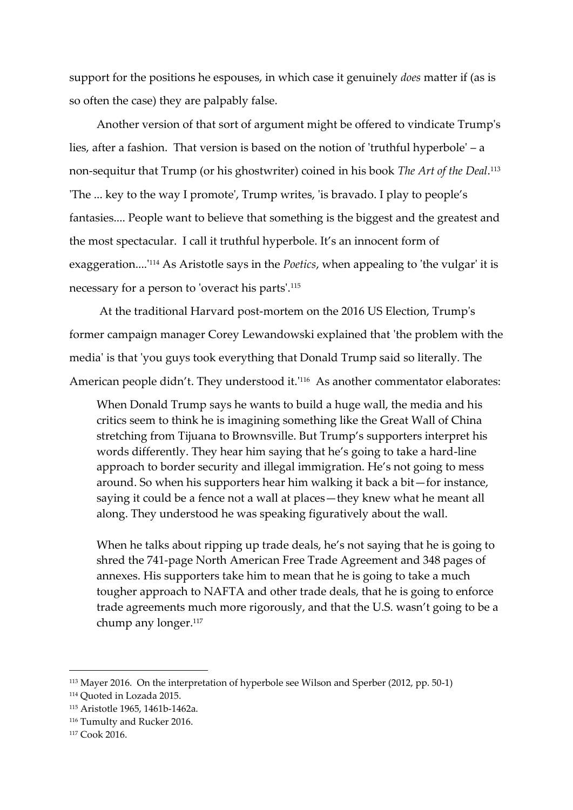support for the positions he espouses, in which case it genuinely *does* matter if (as is so often the case) they are palpably false.

Another version of that sort of argument might be offered to vindicate Trump's lies, after a fashion. That version is based on the notion of 'truthful hyperbole' – a non-sequitur that Trump (or his ghostwriter) coined in his book *The Art of the Deal*. 113 'The ... key to the way I promote', Trump writes, 'is bravado. I play to people's fantasies.... People want to believe that something is the biggest and the greatest and the most spectacular. I call it truthful hyperbole. It's an innocent form of exaggeration....'<sup>114</sup> As Aristotle says in the *Poetics*, when appealing to 'the vulgar' it is necessary for a person to 'overact his parts'.<sup>115</sup>

At the traditional Harvard post-mortem on the 2016 US Election, Trump's former campaign manager Corey Lewandowski explained that 'the problem with the media' is that 'you guys took everything that Donald Trump said so literally. The American people didn't. They understood it.'<sup>116</sup> As another commentator elaborates:

When Donald Trump says he wants to build a huge wall, the media and his critics seem to think he is imagining something like the Great Wall of China stretching from Tijuana to Brownsville. But Trump's supporters interpret his words differently. They hear him saying that he's going to take a hard-line approach to border security and illegal immigration. He's not going to mess around. So when his supporters hear him walking it back a bit—for instance, saying it could be a fence not a wall at places—they knew what he meant all along. They understood he was speaking figuratively about the wall.

When he talks about ripping up trade deals, he's not saying that he is going to shred the 741-page North American Free Trade Agreement and 348 pages of annexes. His supporters take him to mean that he is going to take a much tougher approach to NAFTA and other trade deals, that he is going to enforce trade agreements much more rigorously, and that the U.S. wasn't going to be a chump any longer.<sup>117</sup>

<sup>113</sup> Mayer 2016. On the interpretation of hyperbole see Wilson and Sperber (2012, pp. 50-1)

<sup>114</sup> Quoted in Lozada 2015.

<sup>115</sup> Aristotle 1965, 1461b-1462a.

<sup>116</sup> Tumulty and Rucker 2016.

<sup>117</sup> Cook 2016.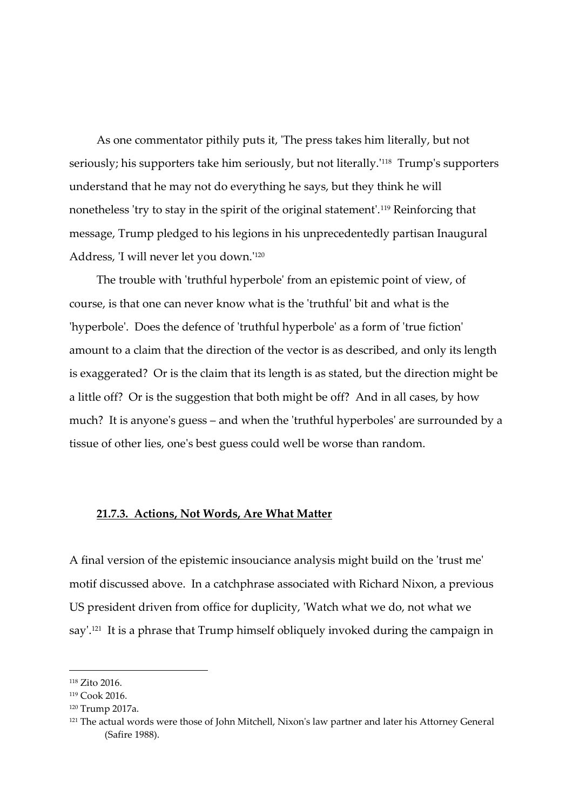As one commentator pithily puts it, 'The press takes him literally, but not seriously; his supporters take him seriously, but not literally.'<sup>118</sup> Trump's supporters understand that he may not do everything he says, but they think he will nonetheless 'try to stay in the spirit of the original statement'.<sup>119</sup> Reinforcing that message, Trump pledged to his legions in his unprecedentedly partisan Inaugural Address, 'I will never let you down.'<sup>120</sup>

The trouble with 'truthful hyperbole' from an epistemic point of view, of course, is that one can never know what is the 'truthful' bit and what is the 'hyperbole'. Does the defence of 'truthful hyperbole' as a form of 'true fiction' amount to a claim that the direction of the vector is as described, and only its length is exaggerated? Or is the claim that its length is as stated, but the direction might be a little off? Or is the suggestion that both might be off? And in all cases, by how much? It is anyone's guess – and when the 'truthful hyperboles' are surrounded by a tissue of other lies, one's best guess could well be worse than random.

### **21.7.3. Actions, Not Words, Are What Matter**

A final version of the epistemic insouciance analysis might build on the 'trust me' motif discussed above. In a catchphrase associated with Richard Nixon, a previous US president driven from office for duplicity, 'Watch what we do, not what we say'.<sup>121</sup> It is a phrase that Trump himself obliquely invoked during the campaign in

<sup>118</sup> Zito 2016.

<sup>119</sup> Cook 2016.

<sup>120</sup> Trump 2017a.

<sup>121</sup> The actual words were those of John Mitchell, Nixon's law partner and later his Attorney General (Safire 1988).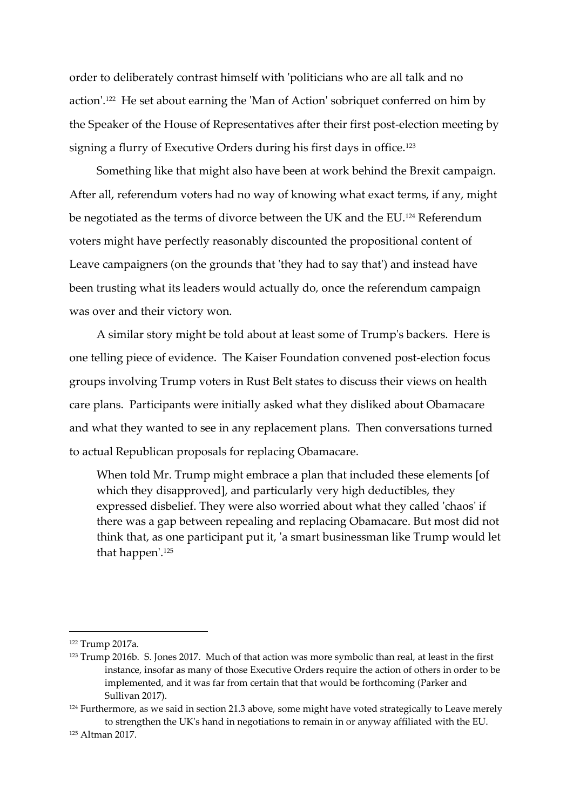order to deliberately contrast himself with 'politicians who are all talk and no action'.<sup>122</sup> He set about earning the 'Man of Action' sobriquet conferred on him by the Speaker of the House of Representatives after their first post-election meeting by signing a flurry of Executive Orders during his first days in office.<sup>123</sup>

Something like that might also have been at work behind the Brexit campaign. After all, referendum voters had no way of knowing what exact terms, if any, might be negotiated as the terms of divorce between the UK and the EU.<sup>124</sup> Referendum voters might have perfectly reasonably discounted the propositional content of Leave campaigners (on the grounds that 'they had to say that') and instead have been trusting what its leaders would actually do, once the referendum campaign was over and their victory won.

A similar story might be told about at least some of Trump's backers. Here is one telling piece of evidence. The Kaiser Foundation convened post-election focus groups involving Trump voters in Rust Belt states to discuss their views on health care plans. Participants were initially asked what they disliked about Obamacare and what they wanted to see in any replacement plans. Then conversations turned to actual Republican proposals for replacing Obamacare.

When told Mr. Trump might embrace a plan that included these elements [of which they disapproved], and particularly very high deductibles, they expressed disbelief. They were also worried about what they called 'chaos' if there was a gap between repealing and replacing Obamacare. But most did not think that, as one participant put it, 'a smart businessman like Trump would let that happen'.<sup>125</sup>

1

<sup>122</sup> Trump 2017a.

<sup>123</sup> Trump 2016b. S. Jones 2017. Much of that action was more symbolic than real, at least in the first instance, insofar as many of those Executive Orders require the action of others in order to be implemented, and it was far from certain that that would be forthcoming (Parker and Sullivan 2017).

<sup>&</sup>lt;sup>124</sup> Furthermore, as we said in section 21.3 above, some might have voted strategically to Leave merely to strengthen the UK's hand in negotiations to remain in or anyway affiliated with the EU.

<sup>125</sup> Altman 2017.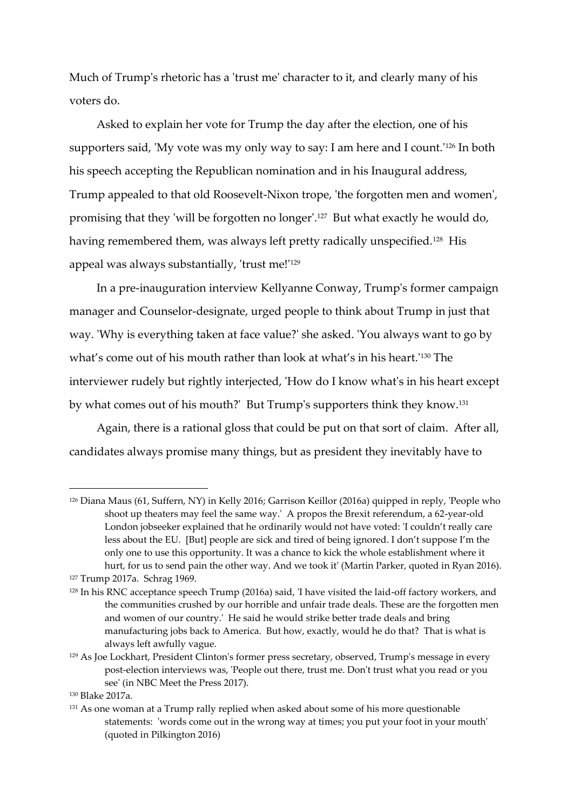Much of Trump's rhetoric has a 'trust me' character to it, and clearly many of his voters do.

Asked to explain her vote for Trump the day after the election, one of his supporters said, 'My vote was my only way to say: I am here and I count.'<sup>126</sup> In both his speech accepting the Republican nomination and in his Inaugural address, Trump appealed to that old Roosevelt-Nixon trope, 'the forgotten men and women', promising that they 'will be forgotten no longer'.<sup>127</sup> But what exactly he would do, having remembered them, was always left pretty radically unspecified.<sup>128</sup> His appeal was always substantially, 'trust me!'<sup>129</sup>

In a pre-inauguration interview Kellyanne Conway, Trump's former campaign manager and Counselor-designate, urged people to think about Trump in just that way. 'Why is everything taken at face value?' she asked. 'You always want to go by what's come out of his mouth rather than look at what's in his heart.'<sup>130</sup> The interviewer rudely but rightly interjected, 'How do I know what's in his heart except by what comes out of his mouth?' But Trump's supporters think they know.<sup>131</sup>

Again, there is a rational gloss that could be put on that sort of claim. After all, candidates always promise many things, but as president they inevitably have to

<sup>126</sup> Diana Maus (61, Suffern, NY) in Kelly 2016; Garrison Keillor (2016a) quipped in reply, 'People who shoot up theaters may feel the same way.' A propos the Brexit referendum, a 62-year-old London jobseeker explained that he ordinarily would not have voted: 'I couldn't really care less about the EU. [But] people are sick and tired of being ignored. I don't suppose I'm the only one to use this opportunity. It was a chance to kick the whole establishment where it hurt, for us to send pain the other way. And we took it' (Martin Parker, quoted in Ryan 2016).

<sup>127</sup> Trump 2017a. Schrag 1969.

<sup>128</sup> In his RNC acceptance speech Trump (2016a) said, 'I have visited the laid-off factory workers, and the communities crushed by our horrible and unfair trade deals. These are the forgotten men and women of our country.' He said he would strike better trade deals and bring manufacturing jobs back to America. But how, exactly, would he do that? That is what is always left awfully vague.

<sup>129</sup> As Joe Lockhart, President Clinton's former press secretary, observed, Trump's message in every post-election interviews was, 'People out there, trust me. Don't trust what you read or you see' (in NBC Meet the Press 2017).

<sup>130</sup> Blake 2017a.

<sup>&</sup>lt;sup>131</sup> As one woman at a Trump rally replied when asked about some of his more questionable statements: 'words come out in the wrong way at times; you put your foot in your mouth' (quoted in Pilkington 2016)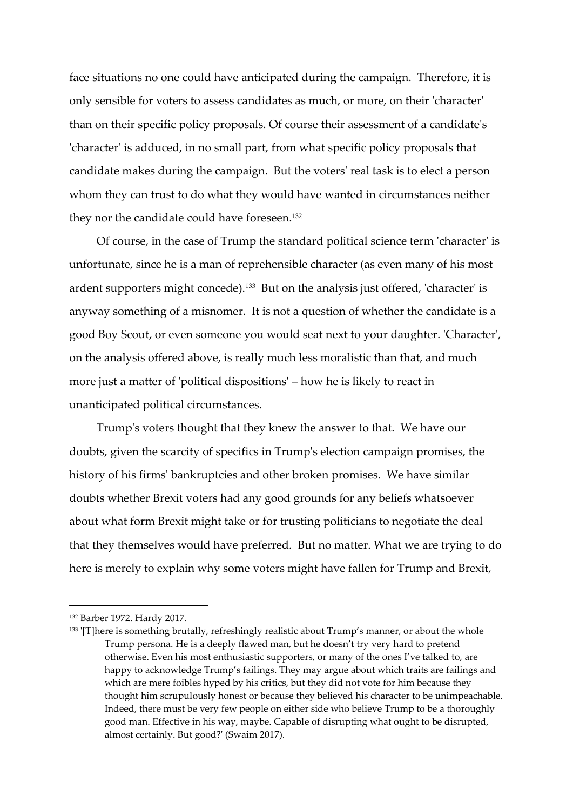face situations no one could have anticipated during the campaign. Therefore, it is only sensible for voters to assess candidates as much, or more, on their 'character' than on their specific policy proposals. Of course their assessment of a candidate's 'character' is adduced, in no small part, from what specific policy proposals that candidate makes during the campaign. But the voters' real task is to elect a person whom they can trust to do what they would have wanted in circumstances neither they nor the candidate could have foreseen.<sup>132</sup>

Of course, in the case of Trump the standard political science term 'character' is unfortunate, since he is a man of reprehensible character (as even many of his most ardent supporters might concede).<sup>133</sup> But on the analysis just offered, 'character' is anyway something of a misnomer. It is not a question of whether the candidate is a good Boy Scout, or even someone you would seat next to your daughter. 'Character', on the analysis offered above, is really much less moralistic than that, and much more just a matter of 'political dispositions' – how he is likely to react in unanticipated political circumstances.

Trump's voters thought that they knew the answer to that. We have our doubts, given the scarcity of specifics in Trump's election campaign promises, the history of his firms' bankruptcies and other broken promises. We have similar doubts whether Brexit voters had any good grounds for any beliefs whatsoever about what form Brexit might take or for trusting politicians to negotiate the deal that they themselves would have preferred. But no matter. What we are trying to do here is merely to explain why some voters might have fallen for Trump and Brexit,

<sup>132</sup> Barber 1972. Hardy 2017.

<sup>&</sup>lt;sup>133</sup> '[T]here is something brutally, refreshingly realistic about Trump's manner, or about the whole Trump persona. He is a deeply flawed man, but he doesn't try very hard to pretend otherwise. Even his most enthusiastic supporters, or many of the ones I've talked to, are happy to acknowledge Trump's failings. They may argue about which traits are failings and which are mere foibles hyped by his critics, but they did not vote for him because they thought him scrupulously honest or because they believed his character to be unimpeachable. Indeed, there must be very few people on either side who believe Trump to be a thoroughly good man. Effective in his way, maybe. Capable of disrupting what ought to be disrupted, almost certainly. But good?' (Swaim 2017).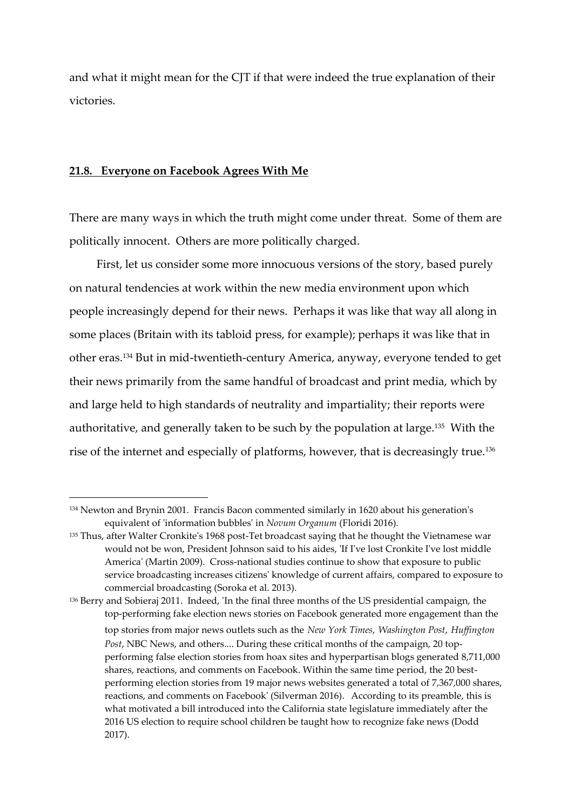and what it might mean for the CJT if that were indeed the true explanation of their victories.

#### **21.8. Everyone on Facebook Agrees With Me**

 $\overline{a}$ 

There are many ways in which the truth might come under threat. Some of them are politically innocent. Others are more politically charged.

First, let us consider some more innocuous versions of the story, based purely on natural tendencies at work within the new media environment upon which people increasingly depend for their news. Perhaps it was like that way all along in some places (Britain with its tabloid press, for example); perhaps it was like that in other eras.<sup>134</sup> But in mid-twentieth-century America, anyway, everyone tended to get their news primarily from the same handful of broadcast and print media, which by and large held to high standards of neutrality and impartiality; their reports were authoritative, and generally taken to be such by the population at large.<sup>135</sup> With the rise of the internet and especially of platforms, however, that is decreasingly true.<sup>136</sup>

<sup>134</sup> Newton and Brynin 2001. Francis Bacon commented similarly in 1620 about his generation's equivalent of 'information bubbles' in *Novum Organum* (Floridi 2016).

<sup>&</sup>lt;sup>135</sup> Thus, after Walter Cronkite's 1968 post-Tet broadcast saying that he thought the Vietnamese war would not be won, President Johnson said to his aides, 'If I've lost Cronkite I've lost middle America' (Martin 2009). Cross-national studies continue to show that exposure to public service broadcasting increases citizens' knowledge of current affairs, compared to exposure to commercial broadcasting (Soroka et al. 2013).

<sup>136</sup> Berry and Sobieraj 2011. Indeed, 'In the final three months of the US presidential campaign, the top-performing fake election news stories on Facebook generated more engagement than the top stories from major news outlets such as the *New York Times*, *Washington Post*, *Huffington Post*, NBC News, and others.... During these critical months of the campaign, 20 topperforming false election stories from hoax sites and hyperpartisan blogs generated 8,711,000 shares, reactions, and comments on Facebook. Within the same time period, the 20 bestperforming election stories from 19 major news websites generated a total of 7,367,000 shares, reactions, and comments on Facebook' (Silverman 2016). According to its preamble, this is what motivated a bill introduced into the California state legislature immediately after the 2016 US election to require school children be taught how to recognize fake news (Dodd 2017).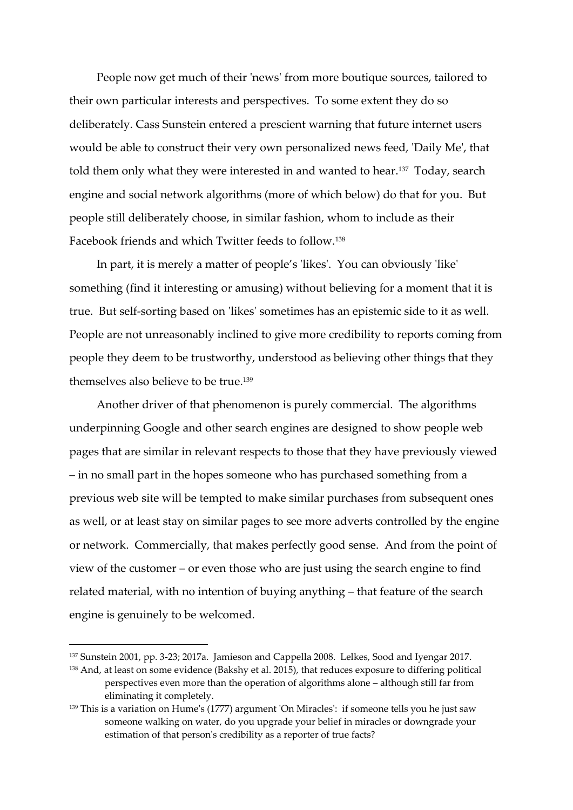People now get much of their 'news' from more boutique sources, tailored to their own particular interests and perspectives. To some extent they do so deliberately. Cass Sunstein entered a prescient warning that future internet users would be able to construct their very own personalized news feed, 'Daily Me', that told them only what they were interested in and wanted to hear.<sup>137</sup> Today, search engine and social network algorithms (more of which below) do that for you. But people still deliberately choose, in similar fashion, whom to include as their Facebook friends and which Twitter feeds to follow.<sup>138</sup>

In part, it is merely a matter of people's 'likes'. You can obviously 'like' something (find it interesting or amusing) without believing for a moment that it is true. But self-sorting based on 'likes' sometimes has an epistemic side to it as well. People are not unreasonably inclined to give more credibility to reports coming from people they deem to be trustworthy, understood as believing other things that they themselves also believe to be true.<sup>139</sup>

Another driver of that phenomenon is purely commercial. The algorithms underpinning Google and other search engines are designed to show people web pages that are similar in relevant respects to those that they have previously viewed – in no small part in the hopes someone who has purchased something from a previous web site will be tempted to make similar purchases from subsequent ones as well, or at least stay on similar pages to see more adverts controlled by the engine or network. Commercially, that makes perfectly good sense. And from the point of view of the customer – or even those who are just using the search engine to find related material, with no intention of buying anything – that feature of the search engine is genuinely to be welcomed.

<sup>137</sup> Sunstein 2001, pp. 3-23; 2017a. Jamieson and Cappella 2008. Lelkes, Sood and Iyengar 2017.

<sup>138</sup> And, at least on some evidence (Bakshy et al. 2015), that reduces exposure to differing political perspectives even more than the operation of algorithms alone – although still far from eliminating it completely.

<sup>139</sup> This is a variation on Hume's (1777) argument 'On Miracles': if someone tells you he just saw someone walking on water, do you upgrade your belief in miracles or downgrade your estimation of that person's credibility as a reporter of true facts?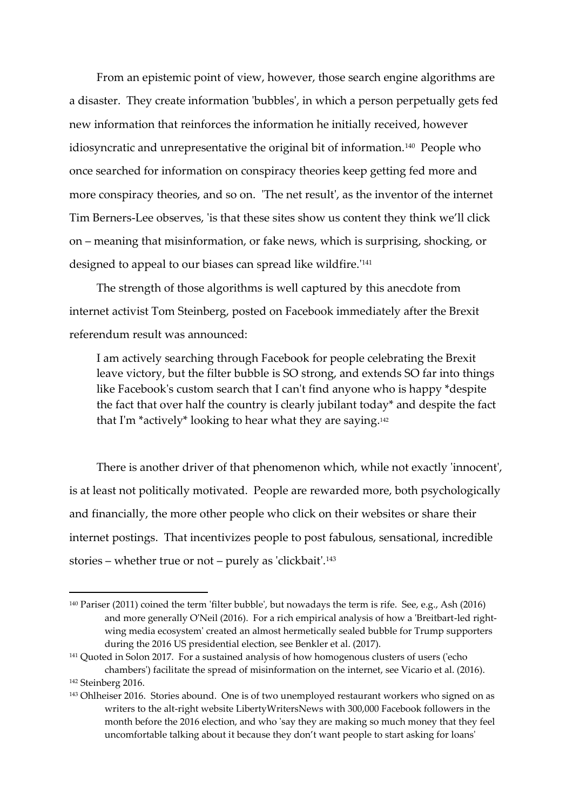From an epistemic point of view, however, those search engine algorithms are a disaster. They create information 'bubbles', in which a person perpetually gets fed new information that reinforces the information he initially received, however idiosyncratic and unrepresentative the original bit of information.<sup>140</sup> People who once searched for information on conspiracy theories keep getting fed more and more conspiracy theories, and so on. 'The net result', as the inventor of the internet Tim Berners-Lee observes, 'is that these sites show us content they think we'll click on – meaning that misinformation, or fake news, which is surprising, shocking, or designed to appeal to our biases can spread like wildfire.<sup>'141</sup>

The strength of those algorithms is well captured by this anecdote from internet activist Tom Steinberg, posted on Facebook immediately after the Brexit referendum result was announced:

I am actively searching through Facebook for people celebrating the Brexit leave victory, but the filter bubble is SO strong, and extends SO far into things like Facebook's custom search that I can't find anyone who is happy \*despite the fact that over half the country is clearly jubilant today\* and despite the fact that I'm \*actively\* looking to hear what they are saying.<sup>142</sup>

There is another driver of that phenomenon which, while not exactly 'innocent', is at least not politically motivated. People are rewarded more, both psychologically and financially, the more other people who click on their websites or share their internet postings. That incentivizes people to post fabulous, sensational, incredible stories – whether true or not – purely as 'clickbait'.<sup>143</sup>

<sup>140</sup> Pariser (2011) coined the term 'filter bubble', but nowadays the term is rife. See, e.g., Ash (2016) and more generally O'Neil (2016). For a rich empirical analysis of how a 'Breitbart-led rightwing media ecosystem' created an almost hermetically sealed bubble for Trump supporters during the 2016 US presidential election, see Benkler et al. (2017).

<sup>&</sup>lt;sup>141</sup> Quoted in Solon 2017. For a sustained analysis of how homogenous clusters of users ('echo chambers') facilitate the spread of misinformation on the internet, see Vicario et al. (2016). <sup>142</sup> Steinberg 2016.

<sup>&</sup>lt;sup>143</sup> Ohlheiser 2016. Stories abound. One is of two unemployed restaurant workers who signed on as writers to the alt-right website LibertyWritersNews with 300,000 Facebook followers in the month before the 2016 election, and who 'say they are making so much money that they feel uncomfortable talking about it because they don't want people to start asking for loans'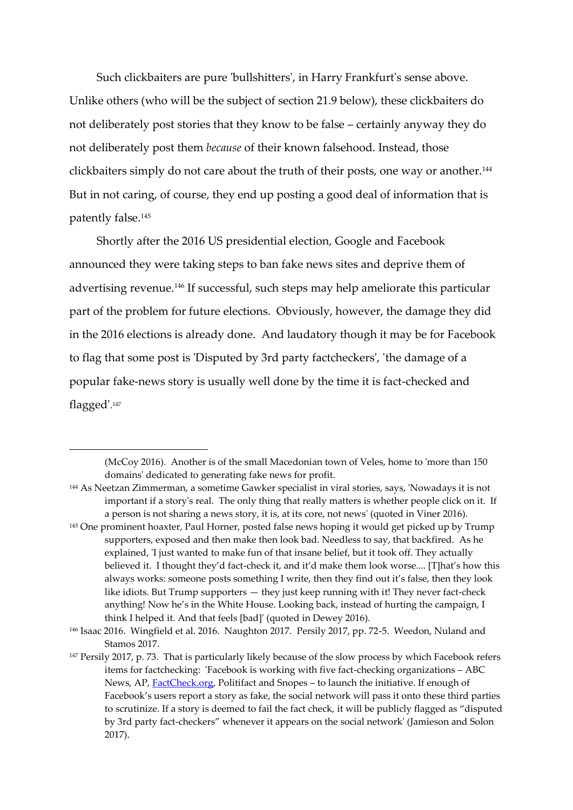Such clickbaiters are pure 'bullshitters', in Harry Frankfurt's sense above. Unlike others (who will be the subject of section 21.9 below), these clickbaiters do not deliberately post stories that they know to be false – certainly anyway they do not deliberately post them *because* of their known falsehood. Instead, those clickbaiters simply do not care about the truth of their posts, one way or another.<sup>144</sup> But in not caring, of course, they end up posting a good deal of information that is patently false.<sup>145</sup>

Shortly after the 2016 US presidential election, Google and Facebook announced they were taking steps to ban fake news sites and deprive them of advertising revenue.<sup>146</sup> If successful, such steps may help ameliorate this particular part of the problem for future elections. Obviously, however, the damage they did in the 2016 elections is already done. And laudatory though it may be for Facebook to flag that some post is 'Disputed by 3rd party factcheckers', 'the damage of a popular fake-news story is usually well done by the time it is fact-checked and flagged'. 147

<sup>(</sup>McCoy 2016). Another is of the small Macedonian town of Veles, home to 'more than 150 domains' dedicated to generating fake news for profit.

<sup>144</sup> As Neetzan Zimmerman, a sometime Gawker specialist in viral stories, says, 'Nowadays it is not important if a story's real. The only thing that really matters is whether people click on it. If a person is not sharing a news story, it is, at its core, not news' (quoted in Viner 2016).

<sup>&</sup>lt;sup>145</sup> One prominent hoaxter, Paul Horner, posted false news hoping it would get picked up by Trump supporters, exposed and then make then look bad. Needless to say, that backfired. As he explained, 'I just wanted to make fun of that insane belief, but it took off. They actually believed it. I thought they'd fact-check it, and it'd make them look worse.... [T]hat's how this always works: someone posts something I write, then they find out it's false, then they look like idiots. But Trump supporters — they just keep running with it! They never fact-check anything! Now he's in the White House. Looking back, instead of hurting the campaign, I think I helped it. And that feels [bad]' (quoted in Dewey 2016).

<sup>146</sup> Isaac 2016. Wingfield et al. 2016. Naughton 2017. Persily 2017, pp. 72-5. Weedon, Nuland and Stamos 2017.

<sup>&</sup>lt;sup>147</sup> Persily 2017, p. 73. That is particularly likely because of the slow process by which Facebook refers items for factchecking: 'Facebook is working with five fact-checking organizations – ABC News, AP, [FactCheck.org,](http://factcheck.org/) Politifact and Snopes – to launch the initiative. If enough of Facebook's users report a story as fake, the social network will pass it onto these third parties to scrutinize. If a story is deemed to fail the fact check, it will be publicly flagged as "disputed by 3rd party fact-checkers" whenever it appears on the social network' (Jamieson and Solon 2017).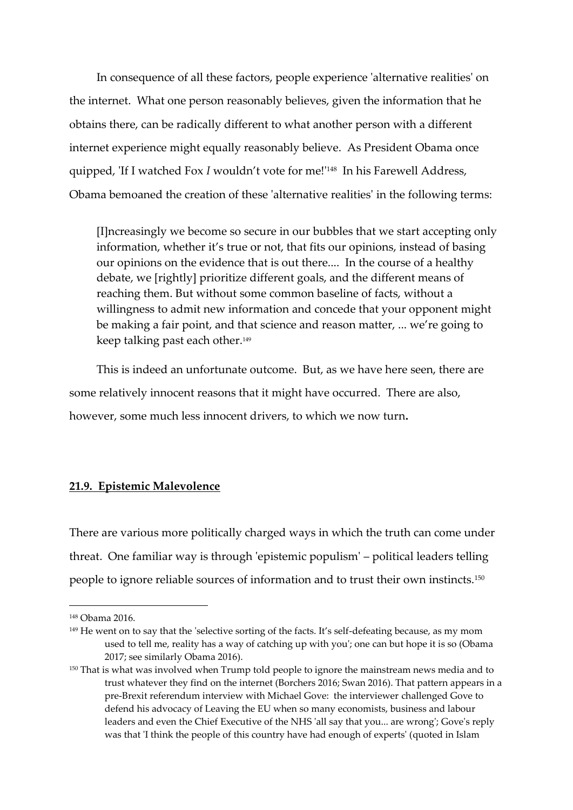In consequence of all these factors, people experience 'alternative realities' on the internet. What one person reasonably believes, given the information that he obtains there, can be radically different to what another person with a different internet experience might equally reasonably believe. As President Obama once quipped, 'If I watched Fox *I* wouldn't vote for me!'<sup>148</sup> In his Farewell Address, Obama bemoaned the creation of these 'alternative realities' in the following terms:

[I]ncreasingly we become so secure in our bubbles that we start accepting only information, whether it's true or not, that fits our opinions, instead of basing our opinions on the evidence that is out there.... In the course of a healthy debate, we [rightly] prioritize different goals, and the different means of reaching them. But without some common baseline of facts, without a willingness to admit new information and concede that your opponent might be making a fair point, and that science and reason matter, ... we're going to keep talking past each other.<sup>149</sup>

This is indeed an unfortunate outcome. But, as we have here seen, there are some relatively innocent reasons that it might have occurred. There are also, however, some much less innocent drivers, to which we now turn**.**

# **21.9. Epistemic Malevolence**

There are various more politically charged ways in which the truth can come under threat. One familiar way is through 'epistemic populism' – political leaders telling people to ignore reliable sources of information and to trust their own instincts.<sup>150</sup>

<sup>148</sup> Obama 2016.

<sup>&</sup>lt;sup>149</sup> He went on to say that the 'selective sorting of the facts. It's self-defeating because, as my mom used to tell me, reality has a way of catching up with you'; one can but hope it is so (Obama 2017; see similarly Obama 2016).

<sup>&</sup>lt;sup>150</sup> That is what was involved when Trump told people to ignore the mainstream news media and to trust whatever they find on the internet (Borchers 2016; Swan 2016). That pattern appears in a pre-Brexit referendum interview with Michael Gove: the interviewer challenged Gove to defend his advocacy of Leaving the EU when so many economists, business and labour leaders and even the Chief Executive of the NHS 'all say that you... are wrong'; Gove's reply was that 'I think the people of this country have had enough of experts' (quoted in Islam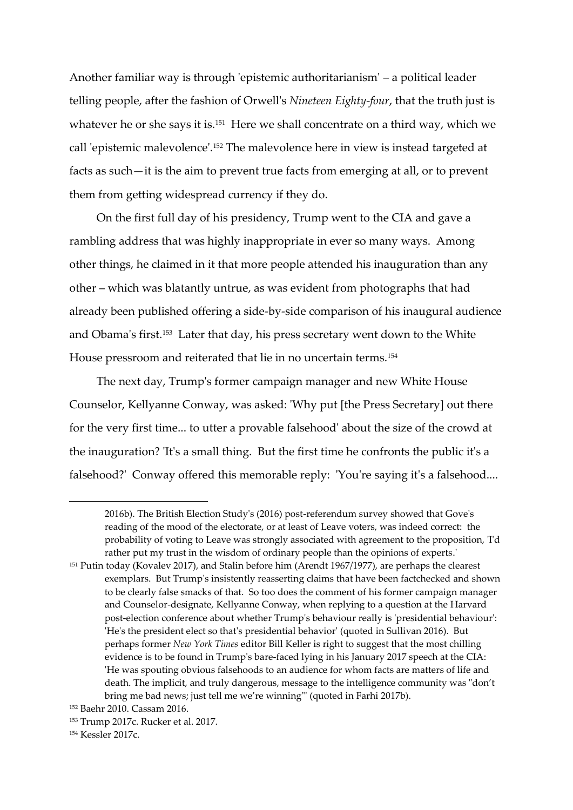Another familiar way is through 'epistemic authoritarianism' – a political leader telling people, after the fashion of Orwell's *Nineteen Eighty-four*, that the truth just is whatever he or she says it is.<sup>151</sup> Here we shall concentrate on a third way, which we call 'epistemic malevolence'.<sup>152</sup> The malevolence here in view is instead targeted at facts as such—it is the aim to prevent true facts from emerging at all, or to prevent them from getting widespread currency if they do.

On the first full day of his presidency, Trump went to the CIA and gave a rambling address that was highly inappropriate in ever so many ways. Among other things, he claimed in it that more people attended his inauguration than any other – which was blatantly untrue, as was evident from photographs that had already been published offering a side-by-side comparison of his inaugural audience and Obama's first.<sup>153</sup> Later that day, his press secretary went down to the White House pressroom and reiterated that lie in no uncertain terms.<sup>154</sup>

The next day, Trump's former campaign manager and new White House Counselor, Kellyanne Conway, was asked: 'Why put [the Press Secretary] out there for the very first time... to utter a provable falsehood' about the size of the crowd at the inauguration? 'It's a small thing. But the first time he confronts the public it's a falsehood?' Conway offered this memorable reply: 'You're saying it's a falsehood....

<sup>2016</sup>b). The British Election Study's (2016) post-referendum survey showed that Gove's reading of the mood of the electorate, or at least of Leave voters, was indeed correct: the probability of voting to Leave was strongly associated with agreement to the proposition, 'I'd rather put my trust in the wisdom of ordinary people than the opinions of experts.'

<sup>151</sup> Putin today (Kovalev 2017), and Stalin before him (Arendt 1967/1977), are perhaps the clearest exemplars. But Trump's insistently reasserting claims that have been factchecked and shown to be clearly false smacks of that. So too does the comment of his former campaign manager and Counselor-designate, Kellyanne Conway, when replying to a question at the Harvard post-election conference about whether Trump's behaviour really is 'presidential behaviour': 'He's the president elect so that's presidential behavior' (quoted in Sullivan 2016). But perhaps former *New York Times* editor Bill Keller is right to suggest that the most chilling evidence is to be found in Trump's bare-faced lying in his January 2017 speech at the CIA: 'He was spouting obvious falsehoods to an audience for whom facts are matters of life and death. The implicit, and truly dangerous, message to the intelligence community was "don't bring me bad news; just tell me we're winning"' (quoted in Farhi 2017b).

<sup>152</sup> Baehr 2010. Cassam 2016.

<sup>153</sup> Trump 2017c. Rucker et al. 2017.

<sup>154</sup> Kessler 2017c.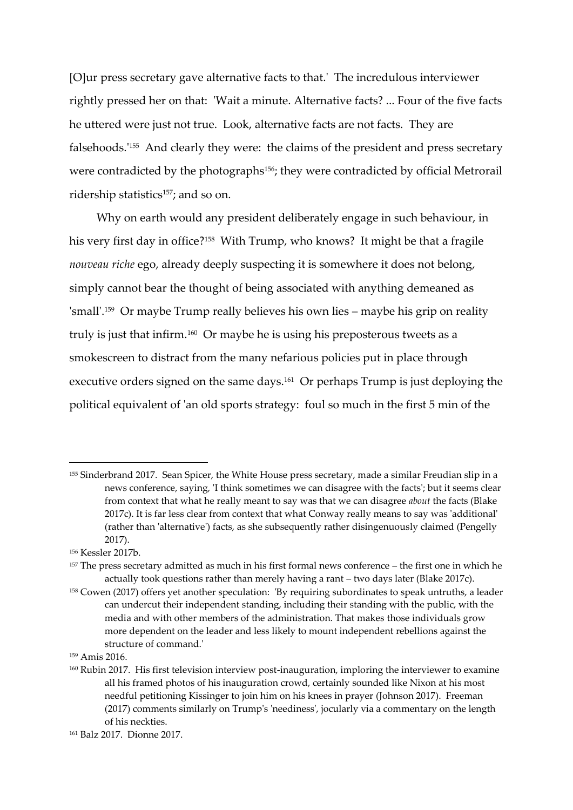[O]ur press secretary gave alternative facts to that.' The incredulous interviewer rightly pressed her on that: 'Wait a minute. Alternative facts? ... Four of the five facts he uttered were just not true. Look, alternative facts are not facts. They are falsehoods.'<sup>155</sup> And clearly they were: the claims of the president and press secretary were contradicted by the photographs<sup>156</sup>; they were contradicted by official Metrorail ridership statistics<sup>157</sup>; and so on.

Why on earth would any president deliberately engage in such behaviour, in his very first day in office?<sup>158</sup> With Trump, who knows? It might be that a fragile *nouveau riche* ego, already deeply suspecting it is somewhere it does not belong, simply cannot bear the thought of being associated with anything demeaned as 'small'.<sup>159</sup> Or maybe Trump really believes his own lies – maybe his grip on reality truly is just that infirm.<sup>160</sup> Or maybe he is using his preposterous tweets as a smokescreen to distract from the many nefarious policies put in place through executive orders signed on the same days.<sup>161</sup> Or perhaps Trump is just deploying the political equivalent of 'an old sports strategy: foul so much in the first 5 min of the

<sup>&</sup>lt;sup>155</sup> Sinderbrand 2017. Sean Spicer, the White House press secretary, made a similar Freudian slip in a news conference, saying, 'I think sometimes we can disagree with the facts'; but it seems clear from context that what he really meant to say was that we can disagree *about* the facts (Blake 2017c). It is far less clear from context that what Conway really means to say was 'additional' (rather than 'alternative') facts, as she subsequently rather disingenuously claimed (Pengelly 2017).

<sup>156</sup> Kessler 2017b.

<sup>157</sup> The press secretary admitted as much in his first formal news conference – the first one in which he actually took questions rather than merely having a rant – two days later (Blake 2017c).

<sup>158</sup> Cowen (2017) offers yet another speculation: 'By requiring subordinates to speak untruths, a leader can undercut their independent standing, including their standing with the public, with the media and with other members of the administration. That makes those individuals grow more dependent on the leader and less likely to mount independent rebellions against the structure of command.'

<sup>159</sup> Amis 2016.

<sup>160</sup> Rubin 2017. His first television interview post-inauguration, imploring the interviewer to examine all his framed photos of his inauguration crowd, certainly sounded like Nixon at his most needful petitioning Kissinger to join him on his knees in prayer (Johnson 2017). Freeman (2017) comments similarly on Trump's 'neediness', jocularly via a commentary on the length of his neckties.

<sup>161</sup> Balz 2017. Dionne 2017.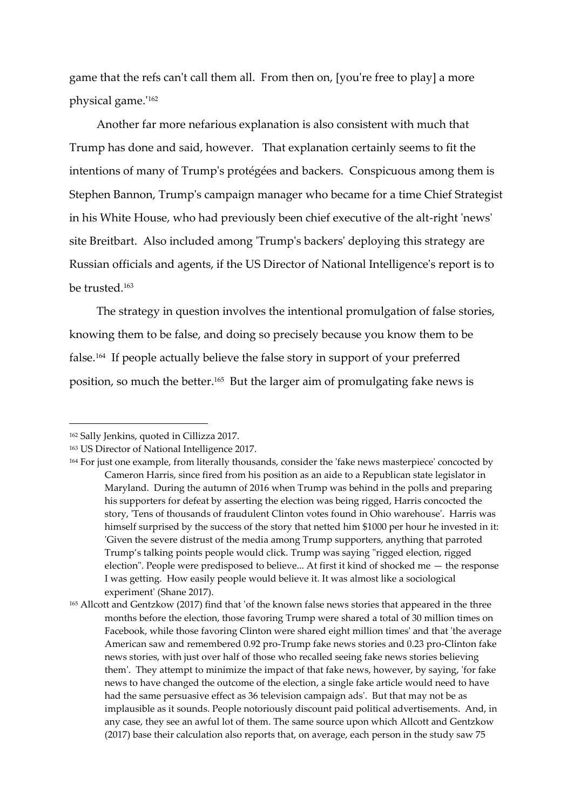game that the refs can't call them all. From then on, [you're free to play] a more physical game.'<sup>162</sup>

Another far more nefarious explanation is also consistent with much that Trump has done and said, however. That explanation certainly seems to fit the intentions of many of Trump's protégées and backers. Conspicuous among them is Stephen Bannon, Trump's campaign manager who became for a time Chief Strategist in his White House, who had previously been chief executive of the alt-right 'news' site Breitbart. Also included among 'Trump's backers' deploying this strategy are Russian officials and agents, if the US Director of National Intelligence's report is to be trusted.<sup>163</sup>

The strategy in question involves the intentional promulgation of false stories, knowing them to be false, and doing so precisely because you know them to be false.<sup>164</sup> If people actually believe the false story in support of your preferred position, so much the better.<sup>165</sup> But the larger aim of promulgating fake news is

<sup>162</sup> Sally Jenkins, quoted in Cillizza 2017.

<sup>163</sup> US Director of National Intelligence 2017.

<sup>164</sup> For just one example, from literally thousands, consider the 'fake news masterpiece' concocted by Cameron Harris, since fired from his position as an aide to a Republican state legislator in Maryland. During the autumn of 2016 when Trump was behind in the polls and preparing his supporters for defeat by asserting the election was being rigged, Harris concocted the story, 'Tens of thousands of fraudulent Clinton votes found in Ohio warehouse'. Harris was himself surprised by the success of the story that netted him \$1000 per hour he invested in it: 'Given the severe distrust of the media among Trump supporters, anything that parroted Trump's talking points people would click. Trump was saying "rigged election, rigged election". People were predisposed to believe... At first it kind of shocked me — the response I was getting. How easily people would believe it. It was almost like a sociological experiment' (Shane 2017).

<sup>165</sup> Allcott and Gentzkow (2017) find that 'of the known false news stories that appeared in the three months before the election, those favoring Trump were shared a total of 30 million times on Facebook, while those favoring Clinton were shared eight million times' and that 'the average American saw and remembered 0.92 pro-Trump fake news stories and 0.23 pro-Clinton fake news stories, with just over half of those who recalled seeing fake news stories believing them'. They attempt to minimize the impact of that fake news, however, by saying, 'for fake news to have changed the outcome of the election, a single fake article would need to have had the same persuasive effect as 36 television campaign ads'. But that may not be as implausible as it sounds. People notoriously discount paid political advertisements. And, in any case, they see an awful lot of them. The same source upon which Allcott and Gentzkow (2017) base their calculation also reports that, on average, each person in the study saw 75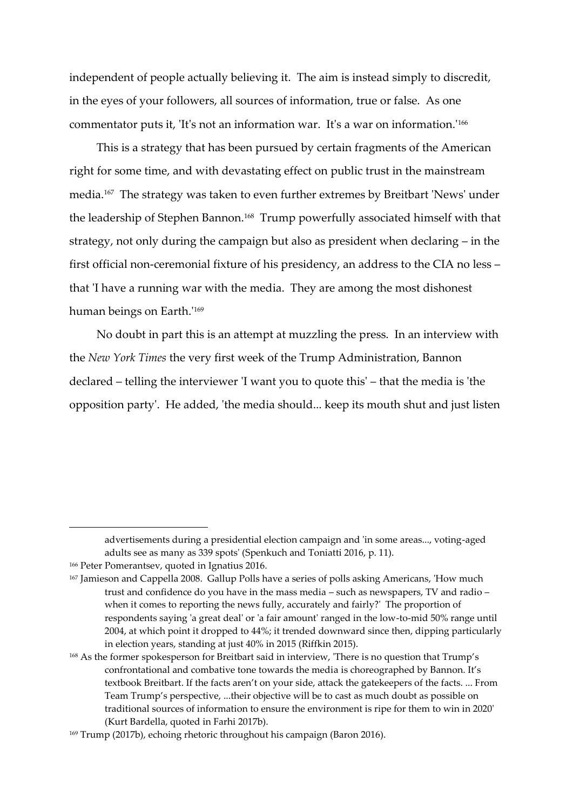independent of people actually believing it. The aim is instead simply to discredit, in the eyes of your followers, all sources of information, true or false. As one commentator puts it, 'It's not an information war. It's a war on information.'<sup>166</sup>

This is a strategy that has been pursued by certain fragments of the American right for some time, and with devastating effect on public trust in the mainstream media.<sup>167</sup> The strategy was taken to even further extremes by Breitbart 'News' under the leadership of Stephen Bannon.<sup>168</sup> Trump powerfully associated himself with that strategy, not only during the campaign but also as president when declaring – in the first official non-ceremonial fixture of his presidency, an address to the CIA no less – that 'I have a running war with the media. They are among the most dishonest human beings on Earth.'<sup>169</sup>

No doubt in part this is an attempt at muzzling the press. In an interview with the *New York Times* the very first week of the Trump Administration, Bannon declared – telling the interviewer 'I want you to quote this' – that the media is 'the opposition party'. He added, 'the media should... keep its mouth shut and just listen

advertisements during a presidential election campaign and 'in some areas..., voting-aged adults see as many as 339 spots' (Spenkuch and Toniatti 2016, p. 11).

<sup>166</sup> Peter Pomerantsev, quoted in Ignatius 2016.

<sup>167</sup> Jamieson and Cappella 2008. Gallup Polls have a series of polls asking Americans, 'How much trust and confidence do you have in the mass media – such as newspapers, TV and radio – when it comes to reporting the news fully, accurately and fairly?' The proportion of respondents saying 'a great deal' or 'a fair amount' ranged in the low-to-mid 50% range until 2004, at which point it dropped to 44%; it trended downward since then, dipping particularly in election years, standing at just 40% in 2015 (Riffkin 2015).

<sup>168</sup> As the former spokesperson for Breitbart said in interview, 'There is no question that Trump's confrontational and combative tone towards the media is choreographed by Bannon. It's textbook Breitbart. If the facts aren't on your side, attack the gatekeepers of the facts. ... From Team Trump's perspective, ...their objective will be to cast as much doubt as possible on traditional sources of information to ensure the environment is ripe for them to win in 2020' (Kurt Bardella, quoted in Farhi 2017b).

<sup>169</sup> Trump (2017b), echoing rhetoric throughout his campaign (Baron 2016).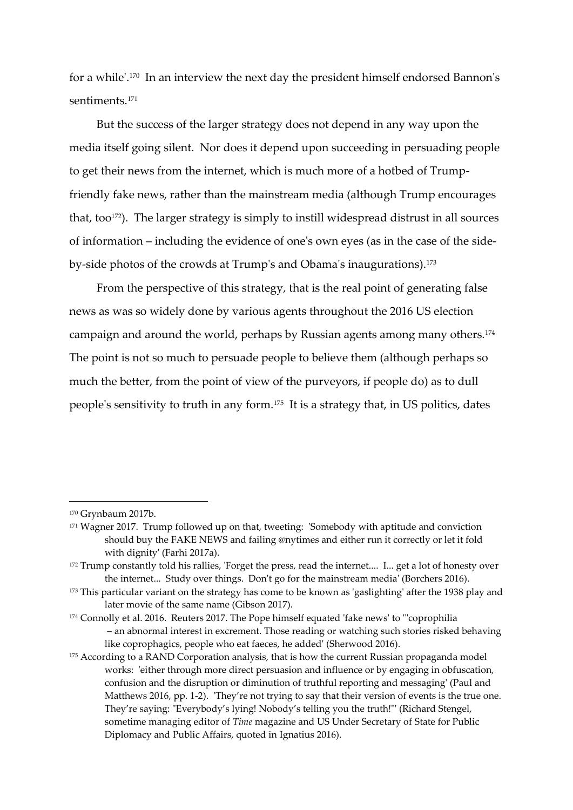for a while'.<sup>170</sup> In an interview the next day the president himself endorsed Bannon's sentiments.<sup>171</sup>

But the success of the larger strategy does not depend in any way upon the media itself going silent. Nor does it depend upon succeeding in persuading people to get their news from the internet, which is much more of a hotbed of Trumpfriendly fake news, rather than the mainstream media (although Trump encourages that, too<sup>172</sup>). The larger strategy is simply to instill widespread distrust in all sources of information – including the evidence of one's own eyes (as in the case of the sideby-side photos of the crowds at Trump's and Obama's inaugurations). $^{\rm 173}$ 

From the perspective of this strategy, that is the real point of generating false news as was so widely done by various agents throughout the 2016 US election campaign and around the world, perhaps by Russian agents among many others.<sup>174</sup> The point is not so much to persuade people to believe them (although perhaps so much the better, from the point of view of the purveyors, if people do) as to dull people's sensitivity to truth in any form.<sup>175</sup> It is a strategy that, in US politics, dates

<sup>170</sup> Grynbaum 2017b.

<sup>&</sup>lt;sup>171</sup> Wagner 2017. Trump followed up on that, tweeting: 'Somebody with aptitude and conviction should buy the FAKE NEWS and failing @nytimes and either run it correctly or let it fold with dignity' (Farhi 2017a).

<sup>172</sup> Trump constantly told his rallies, 'Forget the press, read the internet.... I... get a lot of honesty over the internet... Study over things. Don't go for the mainstream media' (Borchers 2016).

<sup>&</sup>lt;sup>173</sup> This particular variant on the strategy has come to be known as 'gaslighting' after the 1938 play and later movie of the same name (Gibson 2017).

<sup>&</sup>lt;sup>174</sup> Connolly et al. 2016. Reuters 2017. The Pope himself equated 'fake news' to "'coprophilia – an abnormal interest in excrement. Those reading or watching such stories risked behaving like coprophagics, people who eat faeces, he added' (Sherwood 2016).

<sup>&</sup>lt;sup>175</sup> According to a RAND Corporation analysis, that is how the current Russian propaganda model works: 'either through more direct persuasion and influence or by engaging in obfuscation, confusion and the disruption or diminution of truthful reporting and messaging' (Paul and Matthews 2016, pp. 1-2). 'They're not trying to say that their version of events is the true one. They're saying: "Everybody's lying! Nobody's telling you the truth!"' (Richard Stengel, sometime managing editor of *Time* magazine and US Under Secretary of State for Public Diplomacy and Public Affairs, quoted in Ignatius 2016).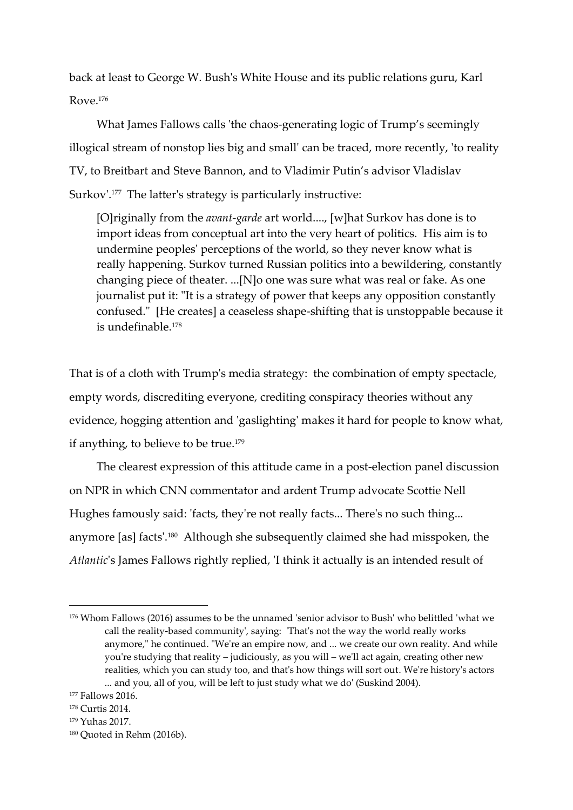back at least to George W. Bush's White House and its public relations guru, Karl Rove.<sup>176</sup>

What James Fallows calls 'the chaos-generating logic of Trump's seemingly illogical stream of nonstop lies big and small' can be traced, more recently, 'to reality TV, to Breitbart and Steve Bannon, and to Vladimir Putin's advisor Vladislav Surkov'.<sup>177</sup> The latter's strategy is particularly instructive:

[O]riginally from the *avant-garde* art world...., [w]hat Surkov has done is to import ideas from conceptual art into the very heart of politics. His aim is to undermine peoples' perceptions of the world, so they never know what is really happening. Surkov turned Russian politics into a bewildering, constantly changing piece of theater. ...[N]o one was sure what was real or fake. As one journalist put it: "It is a strategy of power that keeps any opposition constantly confused." [He creates] a ceaseless shape-shifting that is unstoppable because it is undefinable.<sup>178</sup>

That is of a cloth with Trump's media strategy: the combination of empty spectacle, empty words, discrediting everyone, crediting conspiracy theories without any evidence, hogging attention and 'gaslighting' makes it hard for people to know what, if anything, to believe to be true.<sup>179</sup>

The clearest expression of this attitude came in a post-election panel discussion on NPR in which CNN commentator and ardent Trump advocate Scottie Nell Hughes famously said: 'facts, they're not really facts... There's no such thing... anymore [as] facts'.<sup>180</sup> Although she subsequently claimed she had misspoken, the *Atlantic*'s James Fallows rightly replied, 'I think it actually is an intended result of

<sup>176</sup> Whom Fallows (2016) assumes to be the unnamed 'senior advisor to Bush' who belittled 'what we call the reality-based community', saying: 'That's not the way the world really works anymore," he continued. "We're an empire now, and ... we create our own reality. And while you're studying that reality – judiciously, as you will – we'll act again, creating other new realities, which you can study too, and that's how things will sort out. We're history's actors ... and you, all of you, will be left to just study what we do' (Suskind 2004).

<sup>177</sup> Fallows 2016.

<sup>178</sup> Curtis 2014.

<sup>179</sup> Yuhas 2017.

<sup>180</sup> Quoted in Rehm (2016b).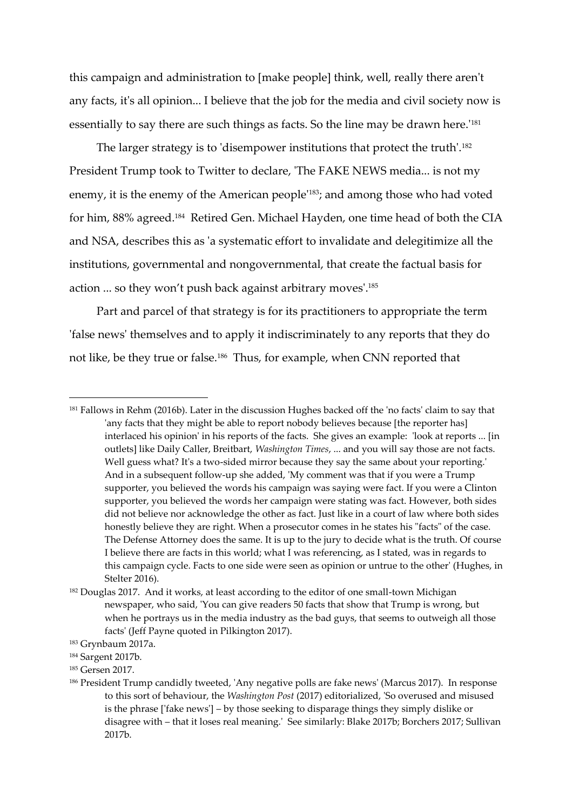this campaign and administration to [make people] think, well, really there aren't any facts, it's all opinion... I believe that the job for the media and civil society now is essentially to say there are such things as facts. So the line may be drawn here.'<sup>181</sup>

The larger strategy is to 'disempower institutions that protect the truth'.<sup>182</sup> President Trump took to Twitter to declare, 'The FAKE NEWS media... is not my enemy, it is the enemy of the American people'183; and among those who had voted for him, 88% agreed.<sup>184</sup> Retired Gen. Michael Hayden, one time head of both the CIA and NSA, describes this as 'a systematic effort to invalidate and delegitimize all the institutions, governmental and nongovernmental, that create the factual basis for action ... so they won't push back against arbitrary moves'.<sup>185</sup>

Part and parcel of that strategy is for its practitioners to appropriate the term 'false news' themselves and to apply it indiscriminately to any reports that they do not like, be they true or false.<sup>186</sup> Thus, for example, when CNN reported that

<sup>&</sup>lt;sup>181</sup> Fallows in Rehm (2016b). Later in the discussion Hughes backed off the 'no facts' claim to say that 'any facts that they might be able to report nobody believes because [the reporter has] interlaced his opinion' in his reports of the facts. She gives an example: 'look at reports ... [in outlets] like Daily Caller, Breitbart, *Washington Times*, ... and you will say those are not facts. Well guess what? It's a two-sided mirror because they say the same about your reporting.' And in a subsequent follow-up she added, 'My comment was that if you were a Trump supporter, you believed the words his campaign was saying were fact. If you were a Clinton supporter, you believed the words her campaign were stating was fact. However, both sides did not believe nor acknowledge the other as fact. Just like in a court of law where both sides honestly believe they are right. When a prosecutor comes in he states his "facts" of the case. The Defense Attorney does the same. It is up to the jury to decide what is the truth. Of course I believe there are facts in this world; what I was referencing, as I stated, was in regards to this campaign cycle. Facts to one side were seen as opinion or untrue to the other' (Hughes, in Stelter 2016).

<sup>182</sup> Douglas 2017. And it works, at least according to the editor of one small-town Michigan newspaper, who said, 'You can give readers 50 facts that show that Trump is wrong, but when he portrays us in the media industry as the bad guys, that seems to outweigh all those facts' (Jeff Payne quoted in Pilkington 2017).

<sup>183</sup> Grynbaum 2017a.

<sup>184</sup> Sargent 2017b.

<sup>185</sup> Gersen 2017.

<sup>186</sup> President Trump candidly tweeted, 'Any negative polls are fake news' (Marcus 2017). In response to this sort of behaviour, the *Washington Post* (2017) editorialized, 'So overused and misused is the phrase ['fake news'] – by those seeking to disparage things they simply dislike or disagree with – that it loses real meaning.' See similarly: Blake 2017b; Borchers 2017; Sullivan 2017b.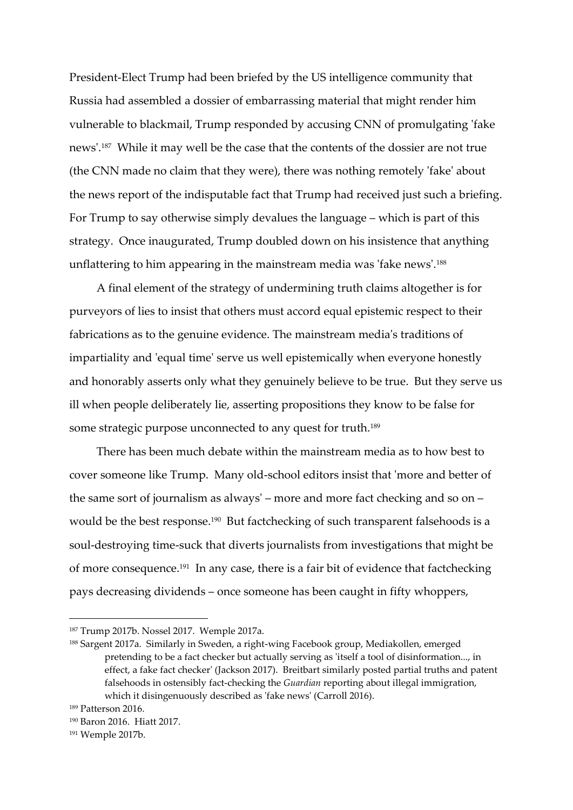President-Elect Trump had been briefed by the US intelligence community that Russia had assembled a dossier of embarrassing material that might render him vulnerable to blackmail, Trump responded by accusing CNN of promulgating 'fake news'.<sup>187</sup> While it may well be the case that the contents of the dossier are not true (the CNN made no claim that they were), there was nothing remotely 'fake' about the news report of the indisputable fact that Trump had received just such a briefing. For Trump to say otherwise simply devalues the language – which is part of this strategy. Once inaugurated, Trump doubled down on his insistence that anything unflattering to him appearing in the mainstream media was 'fake news'.<sup>188</sup>

A final element of the strategy of undermining truth claims altogether is for purveyors of lies to insist that others must accord equal epistemic respect to their fabrications as to the genuine evidence. The mainstream media's traditions of impartiality and 'equal time' serve us well epistemically when everyone honestly and honorably asserts only what they genuinely believe to be true. But they serve us ill when people deliberately lie, asserting propositions they know to be false for some strategic purpose unconnected to any quest for truth.<sup>189</sup>

There has been much debate within the mainstream media as to how best to cover someone like Trump. Many old-school editors insist that 'more and better of the same sort of journalism as always' – more and more fact checking and so on – would be the best response.<sup>190</sup> But factchecking of such transparent falsehoods is a soul-destroying time-suck that diverts journalists from investigations that might be of more consequence.<sup>191</sup> In any case, there is a fair bit of evidence that factchecking pays decreasing dividends – once someone has been caught in fifty whoppers,

<sup>187</sup> Trump 2017b. Nossel 2017. Wemple 2017a.

<sup>188</sup> Sargent 2017a. Similarly in Sweden, a right-wing Facebook group, Mediakollen, emerged pretending to be a fact checker but actually serving as 'itself a tool of disinformation..., in effect, a fake fact checker' (Jackson 2017). Breitbart similarly posted partial truths and patent falsehoods in ostensibly fact-checking the *Guardian* reporting about illegal immigration, which it disingenuously described as 'fake news' (Carroll 2016).

<sup>189</sup> Patterson 2016.

<sup>190</sup> Baron 2016. Hiatt 2017.

<sup>191</sup> Wemple 2017b.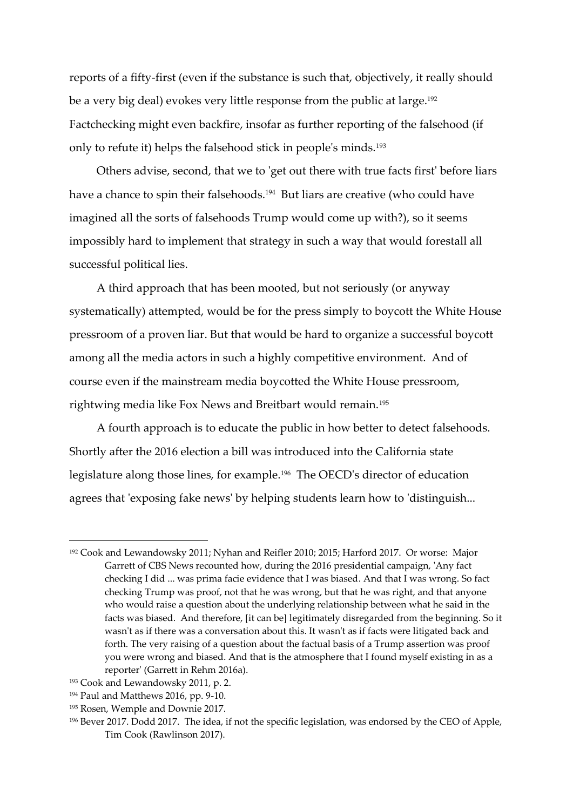reports of a fifty-first (even if the substance is such that, objectively, it really should be a very big deal) evokes very little response from the public at large.<sup>192</sup> Factchecking might even backfire, insofar as further reporting of the falsehood (if only to refute it) helps the falsehood stick in people's minds.<sup>193</sup>

Others advise, second, that we to 'get out there with true facts first' before liars have a chance to spin their falsehoods.<sup>194</sup> But liars are creative (who could have imagined all the sorts of falsehoods Trump would come up with?), so it seems impossibly hard to implement that strategy in such a way that would forestall all successful political lies.

A third approach that has been mooted, but not seriously (or anyway systematically) attempted, would be for the press simply to boycott the White House pressroom of a proven liar. But that would be hard to organize a successful boycott among all the media actors in such a highly competitive environment. And of course even if the mainstream media boycotted the White House pressroom, rightwing media like Fox News and Breitbart would remain.<sup>195</sup>

A fourth approach is to educate the public in how better to detect falsehoods. Shortly after the 2016 election a bill was introduced into the California state legislature along those lines, for example.<sup>196</sup> The OECD's director of education agrees that 'exposing fake news' by helping students learn how to 'distinguish...

<sup>192</sup> Cook and Lewandowsky 2011; Nyhan and Reifler 2010; 2015; Harford 2017. Or worse: Major Garrett of CBS News recounted how, during the 2016 presidential campaign, 'Any fact checking I did ... was prima facie evidence that I was biased. And that I was wrong. So fact checking Trump was proof, not that he was wrong, but that he was right, and that anyone who would raise a question about the underlying relationship between what he said in the facts was biased. And therefore, [it can be] legitimately disregarded from the beginning. So it wasn't as if there was a conversation about this. It wasn't as if facts were litigated back and forth. The very raising of a question about the factual basis of a Trump assertion was proof you were wrong and biased. And that is the atmosphere that I found myself existing in as a reporter' (Garrett in Rehm 2016a).

<sup>193</sup> Cook and Lewandowsky 2011, p. 2.

<sup>194</sup> Paul and Matthews 2016, pp. 9-10.

<sup>195</sup> Rosen, Wemple and Downie 2017.

<sup>196</sup> Bever 2017. Dodd 2017. The idea, if not the specific legislation, was endorsed by the CEO of Apple, Tim Cook (Rawlinson 2017).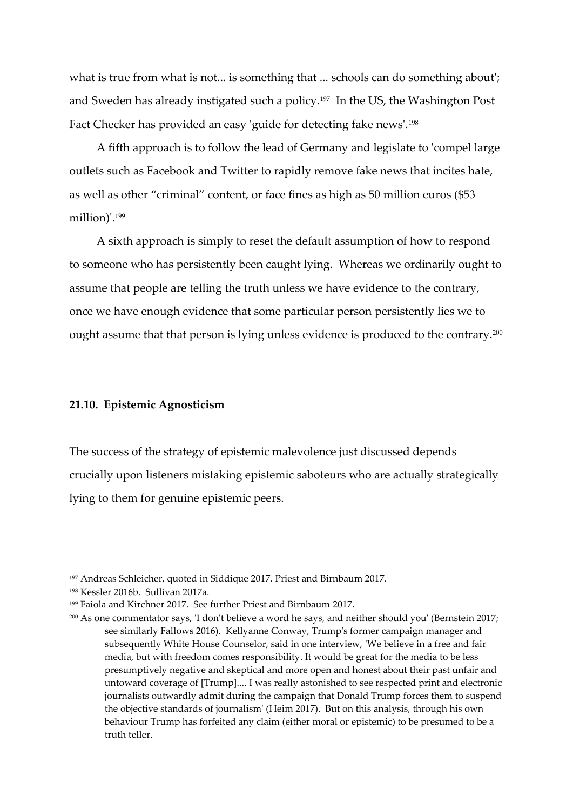what is true from what is not... is something that ... schools can do something about'; and Sweden has already instigated such a policy.<sup>197</sup> In the US, the <u>Washington Post</u> Fact Checker has provided an easy 'guide for detecting fake news'.<sup>198</sup>

A fifth approach is to follow the lead of Germany and legislate to 'compel large outlets such as Facebook and Twitter to rapidly remove fake news that incites hate, as well as other "criminal" content, or face fines as high as 50 million euros (\$53 million)'.<sup>199</sup>

A sixth approach is simply to reset the default assumption of how to respond to someone who has persistently been caught lying. Whereas we ordinarily ought to assume that people are telling the truth unless we have evidence to the contrary, once we have enough evidence that some particular person persistently lies we to ought assume that that person is lying unless evidence is produced to the contrary.<sup>200</sup>

#### **21.10. Epistemic Agnosticism**

The success of the strategy of epistemic malevolence just discussed depends crucially upon listeners mistaking epistemic saboteurs who are actually strategically lying to them for genuine epistemic peers.

<sup>197</sup> Andreas Schleicher, quoted in Siddique 2017. Priest and Birnbaum 2017.

<sup>198</sup> Kessler 2016b. Sullivan 2017a.

<sup>199</sup> Faiola and Kirchner 2017. See further Priest and Birnbaum 2017.

<sup>200</sup> As one commentator says, 'I don't believe a word he says, and neither should you' (Bernstein 2017; see similarly Fallows 2016). Kellyanne Conway, Trump's former campaign manager and subsequently White House Counselor, said in one interview, 'We believe in a free and fair media, but with freedom comes responsibility. It would be great for the media to be less presumptively negative and skeptical and more open and honest about their past unfair and untoward coverage of [Trump].... I was really astonished to see respected print and electronic journalists outwardly admit during the campaign that Donald Trump forces them to suspend the objective standards of journalism' (Heim 2017). But on this analysis, through his own behaviour Trump has forfeited any claim (either moral or epistemic) to be presumed to be a truth teller.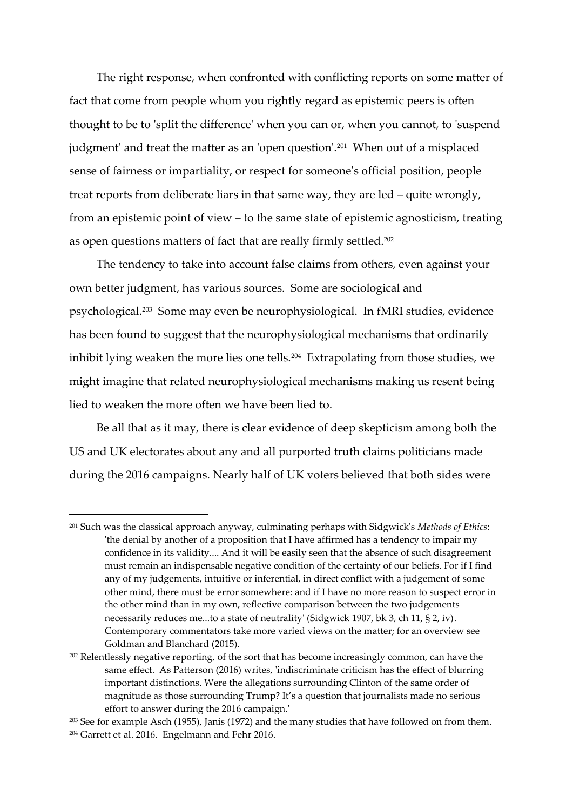The right response, when confronted with conflicting reports on some matter of fact that come from people whom you rightly regard as epistemic peers is often thought to be to 'split the difference' when you can or, when you cannot, to 'suspend judgment' and treat the matter as an 'open question'.<sup>201</sup> When out of a misplaced sense of fairness or impartiality, or respect for someone's official position, people treat reports from deliberate liars in that same way, they are led – quite wrongly, from an epistemic point of view – to the same state of epistemic agnosticism, treating as open questions matters of fact that are really firmly settled.<sup>202</sup>

The tendency to take into account false claims from others, even against your own better judgment, has various sources. Some are sociological and psychological.<sup>203</sup> Some may even be neurophysiological. In fMRI studies, evidence has been found to suggest that the neurophysiological mechanisms that ordinarily inhibit lying weaken the more lies one tells.<sup>204</sup> Extrapolating from those studies, we might imagine that related neurophysiological mechanisms making us resent being lied to weaken the more often we have been lied to.

Be all that as it may, there is clear evidence of deep skepticism among both the US and UK electorates about any and all purported truth claims politicians made during the 2016 campaigns. Nearly half of UK voters believed that both sides were

<sup>201</sup> Such was the classical approach anyway, culminating perhaps with Sidgwick's *Methods of Ethics*: 'the denial by another of a proposition that I have affirmed has a tendency to impair my confidence in its validity.... And it will be easily seen that the absence of such disagreement must remain an indispensable negative condition of the certainty of our beliefs. For if I find any of my judgements, intuitive or inferential, in direct conflict with a judgement of some other mind, there must be error somewhere: and if I have no more reason to suspect error in the other mind than in my own, reflective comparison between the two judgements necessarily reduces me...to a state of neutrality' (Sidgwick 1907, bk 3, ch 11, § 2, iv). Contemporary commentators take more varied views on the matter; for an overview see Goldman and Blanchard (2015).

<sup>&</sup>lt;sup>202</sup> Relentlessly negative reporting, of the sort that has become increasingly common, can have the same effect. As Patterson (2016) writes, 'indiscriminate criticism has the effect of blurring important distinctions. Were the allegations surrounding Clinton of the same order of magnitude as those surrounding Trump? It's a question that journalists made no serious effort to answer during the 2016 campaign.'

<sup>&</sup>lt;sup>203</sup> See for example Asch (1955), Janis (1972) and the many studies that have followed on from them. <sup>204</sup> Garrett et al. 2016. Engelmann and Fehr 2016.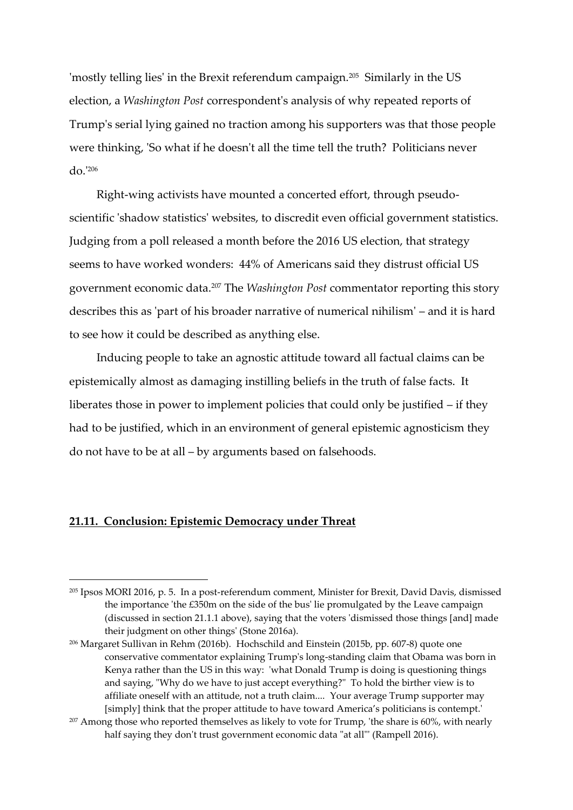'mostly telling lies' in the Brexit referendum campaign. $^{205}$  Similarly in the US election, a *Washington Post* correspondent's analysis of why repeated reports of Trump's serial lying gained no traction among his supporters was that those people were thinking, 'So what if he doesn't all the time tell the truth? Politicians never do.'<sup>206</sup>

Right-wing activists have mounted a concerted effort, through pseudoscientific 'shadow statistics' websites, to discredit even official government statistics. Judging from a poll released a month before the 2016 US election, that strategy seems to have worked wonders: 44% of Americans said they distrust official US government economic data.<sup>207</sup> The *Washington Post* commentator reporting this story describes this as 'part of his broader narrative of numerical nihilism' – and it is hard to see how it could be described as anything else.

Inducing people to take an agnostic attitude toward all factual claims can be epistemically almost as damaging instilling beliefs in the truth of false facts. It liberates those in power to implement policies that could only be justified – if they had to be justified, which in an environment of general epistemic agnosticism they do not have to be at all – by arguments based on falsehoods.

# **21.11. Conclusion: Epistemic Democracy under Threat**

<sup>205</sup> Ipsos MORI 2016, p. 5. In a post-referendum comment, Minister for Brexit, David Davis, dismissed the importance 'the  $£350m$  on the side of the bus' lie promulgated by the Leave campaign (discussed in section 21.1.1 above), saying that the voters 'dismissed those things [and] made their judgment on other things' (Stone 2016a).

<sup>206</sup> Margaret Sullivan in Rehm (2016b). Hochschild and Einstein (2015b, pp. 607-8) quote one conservative commentator explaining Trump's long-standing claim that Obama was born in Kenya rather than the US in this way: 'what Donald Trump is doing is questioning things and saying, "Why do we have to just accept everything?" To hold the birther view is to affiliate oneself with an attitude, not a truth claim.... Your average Trump supporter may [simply] think that the proper attitude to have toward America's politicians is contempt.'

<sup>&</sup>lt;sup>207</sup> Among those who reported themselves as likely to vote for Trump, 'the share is 60%, with nearly half saying they don't trust government economic data "at all"' (Rampell 2016).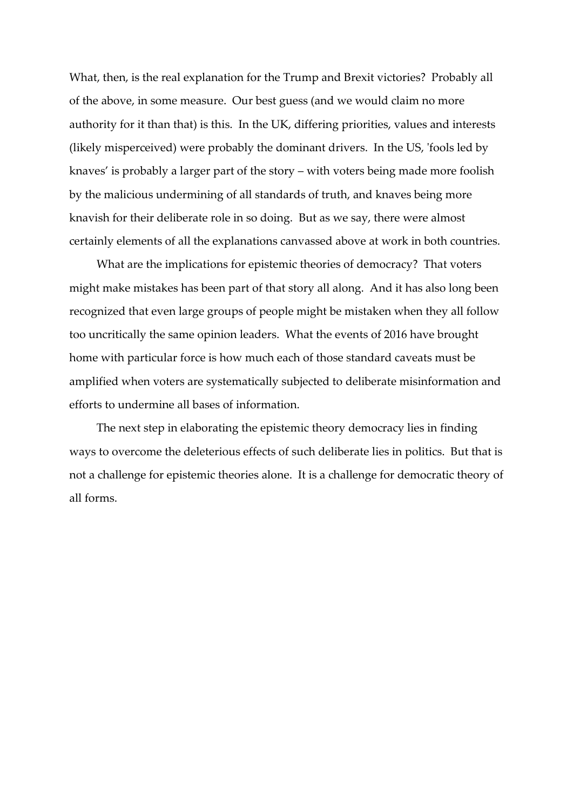What, then, is the real explanation for the Trump and Brexit victories? Probably all of the above, in some measure. Our best guess (and we would claim no more authority for it than that) is this. In the UK, differing priorities, values and interests (likely misperceived) were probably the dominant drivers. In the US, 'fools led by knaves' is probably a larger part of the story – with voters being made more foolish by the malicious undermining of all standards of truth, and knaves being more knavish for their deliberate role in so doing. But as we say, there were almost certainly elements of all the explanations canvassed above at work in both countries.

What are the implications for epistemic theories of democracy? That voters might make mistakes has been part of that story all along. And it has also long been recognized that even large groups of people might be mistaken when they all follow too uncritically the same opinion leaders. What the events of 2016 have brought home with particular force is how much each of those standard caveats must be amplified when voters are systematically subjected to deliberate misinformation and efforts to undermine all bases of information.

The next step in elaborating the epistemic theory democracy lies in finding ways to overcome the deleterious effects of such deliberate lies in politics. But that is not a challenge for epistemic theories alone. It is a challenge for democratic theory of all forms.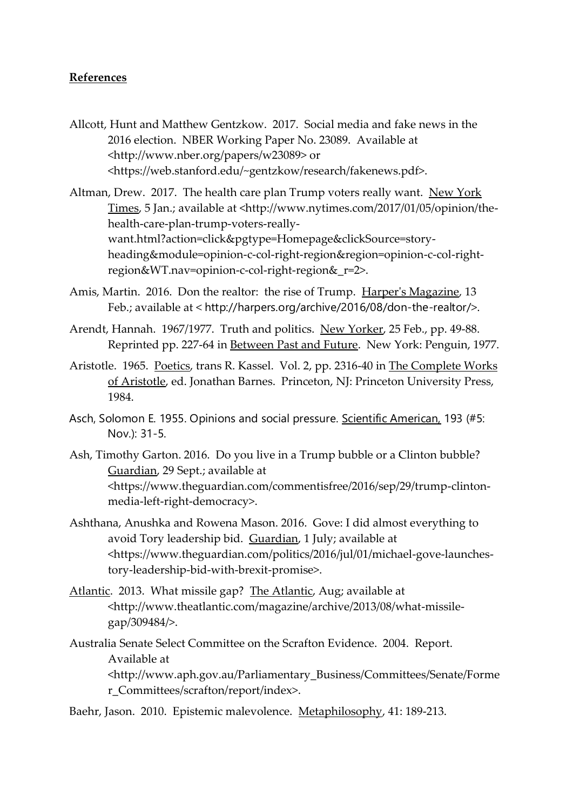# **References**

- Allcott, Hunt and Matthew Gentzkow. 2017. Social media and fake news in the 2016 election. NBER Working Paper No. 23089. Available at <http://www.nber.org/papers/w23089> or <https://web.stanford.edu/~gentzkow/research/fakenews.pdf>.
- Altman, Drew. 2017. The health care plan Trump voters really want. New York Times, 5 Jan.; available at <http://www.nytimes.com/2017/01/05/opinion/thehealth-care-plan-trump-voters-reallywant.html?action=click&pgtype=Homepage&clickSource=storyheading&module=opinion-c-col-right-region&region=opinion-c-col-rightregion&WT.nav=opinion-c-col-right-region&\_r=2>.
- Amis, Martin. 2016. Don the realtor: the rise of Trump. Harper's Magazine, 13 Feb.; available at < http://harpers.org/archive/2016/08/don-the-realtor/>.
- Arendt, Hannah. 1967/1977. Truth and politics. New Yorker, 25 Feb., pp. 49-88. Reprinted pp. 227-64 in Between Past and Future. New York: Penguin, 1977.
- Aristotle. 1965. Poetics, trans R. Kassel. Vol. 2, pp. 2316-40 in The Complete Works of Aristotle, ed. Jonathan Barnes. Princeton, NJ: Princeton University Press, 1984.
- Asch, Solomon E. 1955. Opinions and social pressure. Scientific American, 193 (#5: Nov.): 31-5.
- Ash, Timothy Garton. 2016. Do you live in a Trump bubble or a Clinton bubble? Guardian, 29 Sept.; available at <https://www.theguardian.com/commentisfree/2016/sep/29/trump-clintonmedia-left-right-democracy>.
- Ashthana, Anushka and Rowena Mason. 2016. Gove: I did almost everything to avoid Tory leadership bid. Guardian, 1 July; available at <https://www.theguardian.com/politics/2016/jul/01/michael-gove-launchestory-leadership-bid-with-brexit-promise>.
- Atlantic. 2013. What missile gap? The Atlantic, Aug; available at <http://www.theatlantic.com/magazine/archive/2013/08/what-missilegap/309484/>.
- Australia Senate Select Committee on the Scrafton Evidence. 2004. Report. Available at <http://www.aph.gov.au/Parliamentary\_Business/Committees/Senate/Forme r\_Committees/scrafton/report/index>.
- Baehr, Jason. 2010. Epistemic malevolence. Metaphilosophy, 41: 189-213.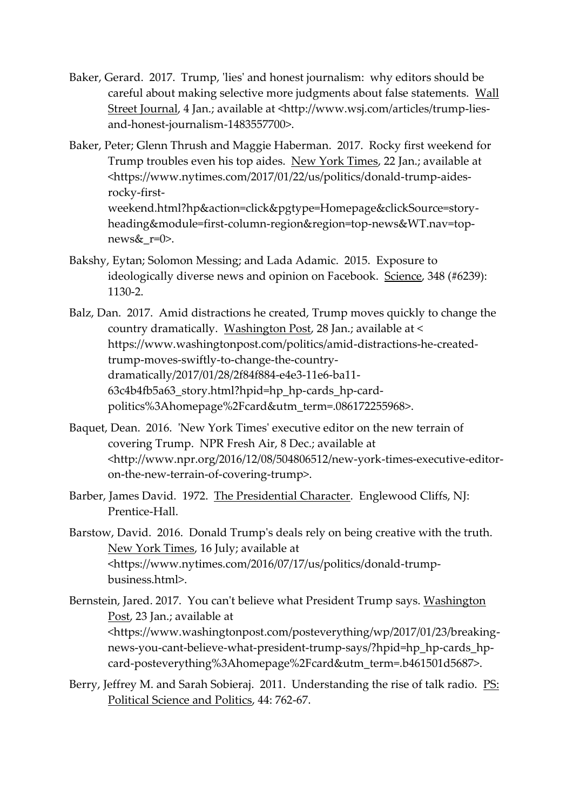- Baker, Gerard. 2017. Trump, 'lies' and honest journalism: why editors should be careful about making selective more judgments about false statements. Wall Street Journal, 4 Jan.; available at <http://www.wsj.com/articles/trump-liesand-honest-journalism-1483557700>.
- Baker, Peter; Glenn Thrush and Maggie Haberman. 2017. Rocky first weekend for Trump troubles even his top aides. New York Times, 22 Jan.; available at <https://www.nytimes.com/2017/01/22/us/politics/donald-trump-aidesrocky-firstweekend.html?hp&action=click&pgtype=Homepage&clickSource=story-

heading&module=first-column-region&region=top-news&WT.nav=topnews&\_r=0>.

- Bakshy, Eytan; Solomon Messing; and Lada Adamic. 2015. Exposure to ideologically diverse news and opinion on Facebook. Science, 348 (#6239): 1130-2.
- Balz, Dan. 2017. Amid distractions he created, Trump moves quickly to change the country dramatically. Washington Post, 28 Jan.; available at < https://www.washingtonpost.com/politics/amid-distractions-he-createdtrump-moves-swiftly-to-change-the-countrydramatically/2017/01/28/2f84f884-e4e3-11e6-ba11- 63c4b4fb5a63\_story.html?hpid=hp\_hp-cards\_hp-cardpolitics%3Ahomepage%2Fcard&utm\_term=.086172255968>.
- Baquet, Dean. 2016. 'New York Times' executive editor on the new terrain of covering Trump. NPR Fresh Air, 8 Dec.; available at <http://www.npr.org/2016/12/08/504806512/new-york-times-executive-editoron-the-new-terrain-of-covering-trump>.
- Barber, James David. 1972. The Presidential Character. Englewood Cliffs, NJ: Prentice-Hall.
- Barstow, David. 2016. Donald Trump's deals rely on being creative with the truth. New York Times, 16 July; available at <https://www.nytimes.com/2016/07/17/us/politics/donald-trumpbusiness.html>.
- Bernstein, Jared. 2017. You can't believe what President Trump says. Washington Post, 23 Jan.; available at <https://www.washingtonpost.com/posteverything/wp/2017/01/23/breakingnews-you-cant-believe-what-president-trump-says/?hpid=hp\_hp-cards\_hpcard-posteverything%3Ahomepage%2Fcard&utm\_term=.b461501d5687>.
- Berry, Jeffrey M. and Sarah Sobieraj. 2011. Understanding the rise of talk radio. PS: Political Science and Politics, 44: 762-67.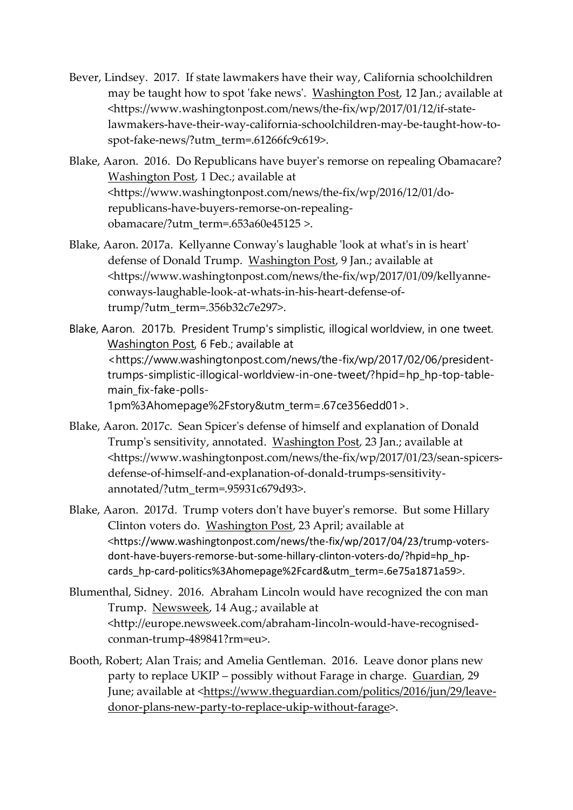- Bever, Lindsey. 2017. If state lawmakers have their way, California schoolchildren may be taught how to spot 'fake news'. Washington Post, 12 Jan.; available at <https://www.washingtonpost.com/news/the-fix/wp/2017/01/12/if-statelawmakers-have-their-way-california-schoolchildren-may-be-taught-how-tospot-fake-news/?utm\_term=.61266fc9c619>.
- Blake, Aaron. 2016. Do Republicans have buyer's remorse on repealing Obamacare? Washington Post, 1 Dec.; available at <https://www.washingtonpost.com/news/the-fix/wp/2016/12/01/dorepublicans-have-buyers-remorse-on-repealingobamacare/?utm\_term=.653a60e45125 >.
- Blake, Aaron. 2017a. Kellyanne Conway's laughable 'look at what's in is heart' defense of Donald Trump. Washington Post, 9 Jan.; available at <https://www.washingtonpost.com/news/the-fix/wp/2017/01/09/kellyanneconways-laughable-look-at-whats-in-his-heart-defense-oftrump/?utm\_term=.356b32c7e297>.
- Blake, Aaron. 2017b. President Trump's simplistic, illogical worldview, in one tweet. Washington Post, 6 Feb.; available at <https://www.washingtonpost.com/news/the-fix/wp/2017/02/06/presidenttrumps-simplistic-illogical-worldview-in-one-tweet/?hpid=hp\_hp-top-tablemain fix-fake-polls-1pm%3Ahomepage%2Fstory&utm\_term=.67ce356edd01>.
- Blake, Aaron. 2017c. Sean Spicer's defense of himself and explanation of Donald Trump's sensitivity, annotated. Washington Post, 23 Jan.; available at <https://www.washingtonpost.com/news/the-fix/wp/2017/01/23/sean-spicersdefense-of-himself-and-explanation-of-donald-trumps-sensitivityannotated/?utm\_term=.95931c679d93>.
- Blake, Aaron. 2017d. Trump voters don't have buyer's remorse. But some Hillary Clinton voters do. Washington Post, 23 April; available at <https://www.washingtonpost.com/news/the-fix/wp/2017/04/23/trump-votersdont-have-buyers-remorse-but-some-hillary-clinton-voters-do/?hpid=hp\_hpcards\_hp-card-politics%3Ahomepage%2Fcard&utm\_term=.6e75a1871a59>.
- Blumenthal, Sidney. 2016. Abraham Lincoln would have recognized the con man Trump. Newsweek, 14 Aug.; available at <http://europe.newsweek.com/abraham-lincoln-would-have-recognisedconman-trump-489841?rm=eu>.
- Booth, Robert; Alan Trais; and Amelia Gentleman. 2016. Leave donor plans new party to replace UKIP – possibly without Farage in charge. Guardian, 29 June; available at <https://www.theguardian.com/politics/2016/jun/29/leavedonor-plans-new-party-to-replace-ukip-without-farage>.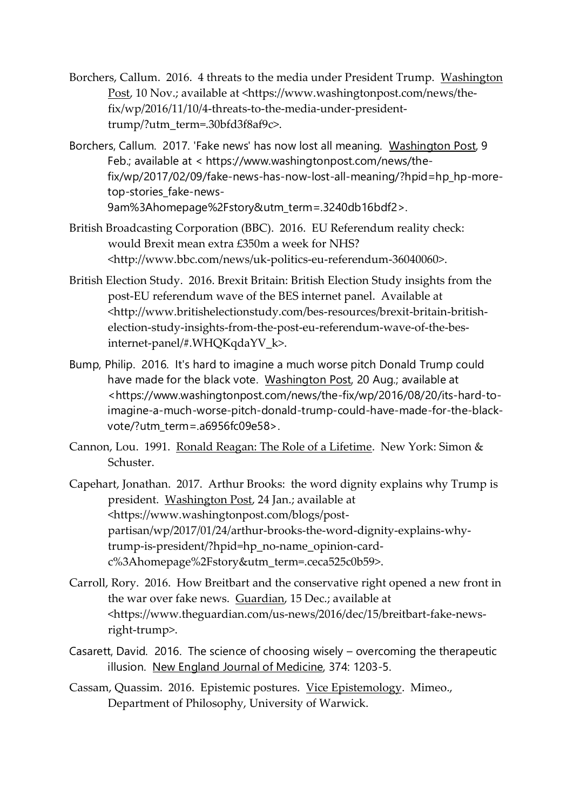- Borchers, Callum. 2016. 4 threats to the media under President Trump. Washington Post, 10 Nov.; available at <https://www.washingtonpost.com/news/thefix/wp/2016/11/10/4-threats-to-the-media-under-presidenttrump/?utm\_term=.30bfd3f8af9c>.
- Borchers, Callum. 2017. 'Fake news' has now lost all meaning. Washington Post, 9 Feb.; available at < https://www.washingtonpost.com/news/thefix/wp/2017/02/09/fake-news-has-now-lost-all-meaning/?hpid=hp\_hp-moretop-stories\_fake-news-9am%3Ahomepage%2Fstory&utm\_term=.3240db16bdf2>.
- British Broadcasting Corporation (BBC). 2016. EU Referendum reality check: would Brexit mean extra £350m a week for NHS? <http://www.bbc.com/news/uk-politics-eu-referendum-36040060>.
- British Election Study. 2016. Brexit Britain: British Election Study insights from the post-EU referendum wave of the BES internet panel. Available at <http://www.britishelectionstudy.com/bes-resources/brexit-britain-britishelection-study-insights-from-the-post-eu-referendum-wave-of-the-besinternet-panel/#.WHQKqdaYV\_k>.
- Bump, Philip. 2016. It's hard to imagine a much worse pitch Donald Trump could have made for the black vote. Washington Post, 20 Aug.; available at <https://www.washingtonpost.com/news/the-fix/wp/2016/08/20/its-hard-toimagine-a-much-worse-pitch-donald-trump-could-have-made-for-the-blackvote/?utm\_term=.a6956fc09e58>.
- Cannon, Lou. 1991. Ronald Reagan: The Role of a Lifetime. New York: Simon & Schuster.
- Capehart, Jonathan. 2017. Arthur Brooks: the word dignity explains why Trump is president. Washington Post, 24 Jan.; available at <https://www.washingtonpost.com/blogs/postpartisan/wp/2017/01/24/arthur-brooks-the-word-dignity-explains-whytrump-is-president/?hpid=hp\_no-name\_opinion-cardc%3Ahomepage%2Fstory&utm\_term=.ceca525c0b59>.
- Carroll, Rory. 2016. How Breitbart and the conservative right opened a new front in the war over fake news. Guardian, 15 Dec.; available at <https://www.theguardian.com/us-news/2016/dec/15/breitbart-fake-newsright-trump>.
- Casarett, David. 2016. The science of choosing wisely overcoming the therapeutic illusion. New England Journal of Medicine, 374: 1203-5.
- Cassam, Quassim. 2016. Epistemic postures. Vice Epistemology. Mimeo., Department of Philosophy, University of Warwick.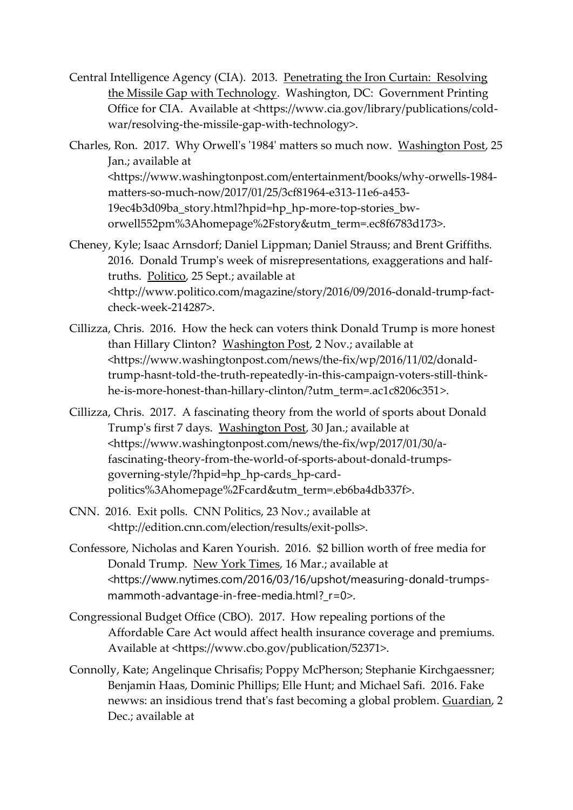- Central Intelligence Agency (CIA). 2013. Penetrating the Iron Curtain: Resolving the Missile Gap with Technology. Washington, DC: Government Printing Office for CIA. Available at <https://www.cia.gov/library/publications/coldwar/resolving-the-missile-gap-with-technology>.
- Charles, Ron. 2017. Why Orwell's '1984' matters so much now. Washington Post, 25 Jan.; available at <https://www.washingtonpost.com/entertainment/books/why-orwells-1984 matters-so-much-now/2017/01/25/3cf81964-e313-11e6-a453- 19ec4b3d09ba\_story.html?hpid=hp\_hp-more-top-stories\_bworwell552pm%3Ahomepage%2Fstory&utm\_term=.ec8f6783d173>.
- Cheney, Kyle; Isaac Arnsdorf; Daniel Lippman; Daniel Strauss; and Brent Griffiths. 2016. Donald Trump's week of misrepresentations, exaggerations and halftruths. Politico, 25 Sept.; available at <http://www.politico.com/magazine/story/2016/09/2016-donald-trump-factcheck-week-214287>.
- Cillizza, Chris. 2016. How the heck can voters think Donald Trump is more honest than Hillary Clinton? Washington Post, 2 Nov.; available at <https://www.washingtonpost.com/news/the-fix/wp/2016/11/02/donaldtrump-hasnt-told-the-truth-repeatedly-in-this-campaign-voters-still-thinkhe-is-more-honest-than-hillary-clinton/?utm\_term=.ac1c8206c351>.
- Cillizza, Chris. 2017. A fascinating theory from the world of sports about Donald Trump's first 7 days. Washington Post, 30 Jan.; available at <https://www.washingtonpost.com/news/the-fix/wp/2017/01/30/afascinating-theory-from-the-world-of-sports-about-donald-trumpsgoverning-style/?hpid=hp\_hp-cards\_hp-cardpolitics%3Ahomepage%2Fcard&utm\_term=.eb6ba4db337f>.
- CNN. 2016. Exit polls. CNN Politics, 23 Nov.; available at <http://edition.cnn.com/election/results/exit-polls>.
- Confessore, Nicholas and Karen Yourish. 2016. \$2 billion worth of free media for Donald Trump. New York Times, 16 Mar.; available at <https://www.nytimes.com/2016/03/16/upshot/measuring-donald-trumpsmammoth-advantage-in-free-media.html? r=0>.
- Congressional Budget Office (CBO). 2017. How repealing portions of the Affordable Care Act would affect health insurance coverage and premiums. Available at <https://www.cbo.gov/publication/52371>.
- Connolly, Kate; Angelinque Chrisafis; Poppy McPherson; Stephanie Kirchgaessner; Benjamin Haas, Dominic Phillips; Elle Hunt; and Michael Safi. 2016. Fake newws: an insidious trend that's fast becoming a global problem. Guardian, 2 Dec.; available at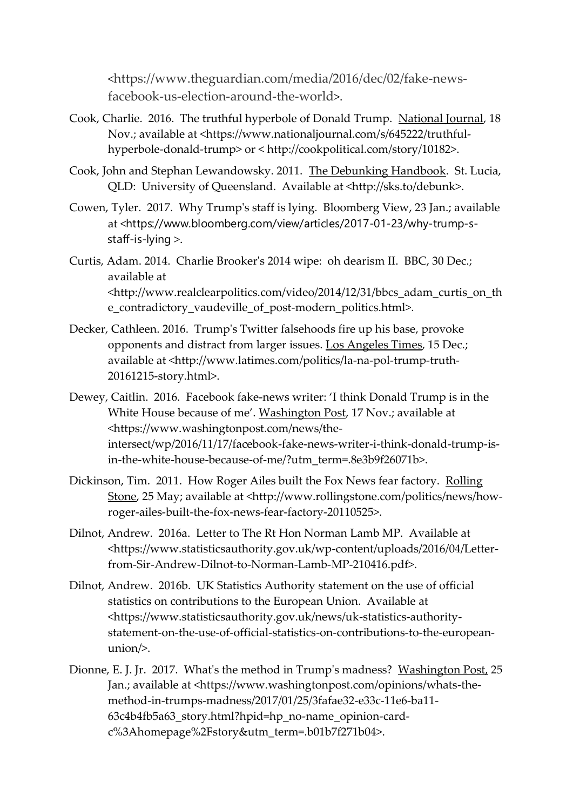<https://www.theguardian.com/media/2016/dec/02/fake-newsfacebook-us-election-around-the-world>.

- Cook, Charlie. 2016. The truthful hyperbole of Donald Trump. National Journal, 18 Nov.; available at <https://www.nationaljournal.com/s/645222/truthfulhyperbole-donald-trump> or < http://cookpolitical.com/story/10182>.
- Cook, John and Stephan Lewandowsky. 2011. The Debunking Handbook. St. Lucia, QLD: University of Queensland. Available at <http://sks.to/debunk>.
- Cowen, Tyler. 2017. Why Trump's staff is lying. Bloomberg View, 23 Jan.; available at <https://www.bloomberg.com/view/articles/2017-01-23/why-trump-sstaff-is-lying >.
- Curtis, Adam. 2014. Charlie Brooker's 2014 wipe: oh dearism II. BBC, 30 Dec.; available at <http://www.realclearpolitics.com/video/2014/12/31/bbcs\_adam\_curtis\_on\_th e\_contradictory\_vaudeville\_of\_post-modern\_politics.html>.
- Decker, Cathleen. 2016. Trump's Twitter falsehoods fire up his base, provoke opponents and distract from larger issues. Los Angeles Times, 15 Dec.; available at <http://www.latimes.com/politics/la-na-pol-trump-truth-20161215-story.html>.
- Dewey, Caitlin. 2016. Facebook fake-news writer: 'I think Donald Trump is in the White House because of me'. Washington Post, 17 Nov.; available at <https://www.washingtonpost.com/news/theintersect/wp/2016/11/17/facebook-fake-news-writer-i-think-donald-trump-isin-the-white-house-because-of-me/?utm\_term=.8e3b9f26071b>.
- Dickinson, Tim. 2011. How Roger Ailes built the Fox News fear factory. Rolling Stone, 25 May; available at <http://www.rollingstone.com/politics/news/howroger-ailes-built-the-fox-news-fear-factory-20110525>.
- Dilnot, Andrew. 2016a. Letter to The Rt Hon Norman Lamb MP. Available at <https://www.statisticsauthority.gov.uk/wp-content/uploads/2016/04/Letterfrom-Sir-Andrew-Dilnot-to-Norman-Lamb-MP-210416.pdf>.
- Dilnot, Andrew. 2016b. UK Statistics Authority statement on the use of official statistics on contributions to the European Union. Available at <https://www.statisticsauthority.gov.uk/news/uk-statistics-authoritystatement-on-the-use-of-official-statistics-on-contributions-to-the-europeanunion/>.
- Dionne, E. J. Jr. 2017. What's the method in Trump's madness? Washington Post, 25 Jan.; available at <https://www.washingtonpost.com/opinions/whats-themethod-in-trumps-madness/2017/01/25/3fafae32-e33c-11e6-ba11- 63c4b4fb5a63\_story.html?hpid=hp\_no-name\_opinion-cardc%3Ahomepage%2Fstory&utm\_term=.b01b7f271b04>.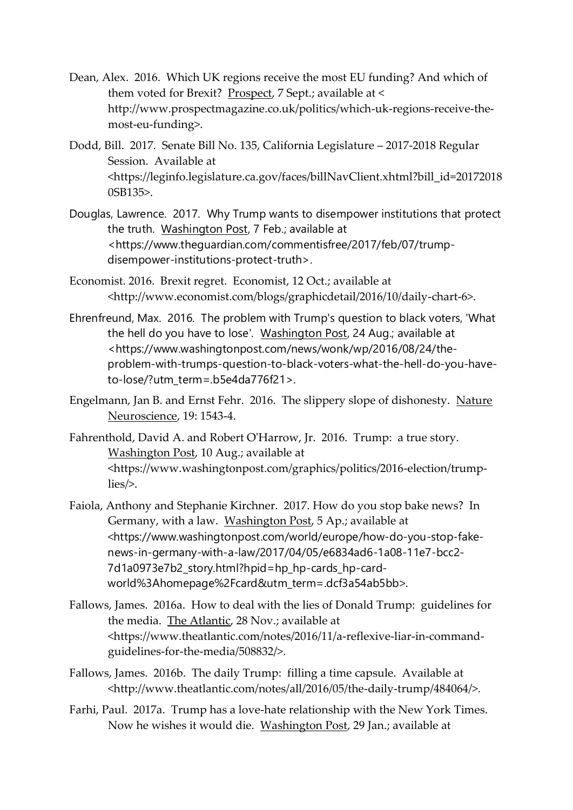- Dean, Alex. 2016. Which UK regions receive the most EU funding? And which of them voted for Brexit? Prospect, 7 Sept.; available at < http://www.prospectmagazine.co.uk/politics/which-uk-regions-receive-themost-eu-funding>.
- Dodd, Bill. 2017. Senate Bill No. 135, California Legislature 2017-2018 Regular Session. Available at <https://leginfo.legislature.ca.gov/faces/billNavClient.xhtml?bill\_id=20172018 0SB135>.
- Douglas, Lawrence. 2017. Why Trump wants to disempower institutions that protect the truth. Washington Post, 7 Feb.; available at <https://www.theguardian.com/commentisfree/2017/feb/07/trumpdisempower-institutions-protect-truth>.
- Economist. 2016. Brexit regret. Economist, 12 Oct.; available at <http://www.economist.com/blogs/graphicdetail/2016/10/daily-chart-6>.
- Ehrenfreund, Max. 2016. The problem with Trump's question to black voters, 'What the hell do you have to lose'. Washington Post, 24 Aug.; available at <https://www.washingtonpost.com/news/wonk/wp/2016/08/24/theproblem-with-trumps-question-to-black-voters-what-the-hell-do-you-haveto-lose/?utm\_term=.b5e4da776f21>.
- Engelmann, Jan B. and Ernst Fehr. 2016. The slippery slope of dishonesty. Nature Neuroscience, 19: 1543-4.
- Fahrenthold, David A. and Robert O'Harrow, Jr. 2016. Trump: a true story. Washington Post, 10 Aug.; available at <https://www.washingtonpost.com/graphics/politics/2016-election/trumplies/>.
- Faiola, Anthony and Stephanie Kirchner. 2017. How do you stop bake news? In Germany, with a law. Washington Post, 5 Ap.; available at <https://www.washingtonpost.com/world/europe/how-do-you-stop-fakenews-in-germany-with-a-law/2017/04/05/e6834ad6-1a08-11e7-bcc2- 7d1a0973e7b2\_story.html?hpid=hp\_hp-cards\_hp-cardworld%3Ahomepage%2Fcard&utm\_term=.dcf3a54ab5bb>.
- Fallows, James. 2016a. How to deal with the lies of Donald Trump: guidelines for the media. The Atlantic, 28 Nov.; available at <https://www.theatlantic.com/notes/2016/11/a-reflexive-liar-in-commandguidelines-for-the-media/508832/>.
- Fallows, James. 2016b. The daily Trump: filling a time capsule. Available at <http://www.theatlantic.com/notes/all/2016/05/the-daily-trump/484064/>.
- Farhi, Paul. 2017a. Trump has a love-hate relationship with the New York Times. Now he wishes it would die. Washington Post, 29 Jan.; available at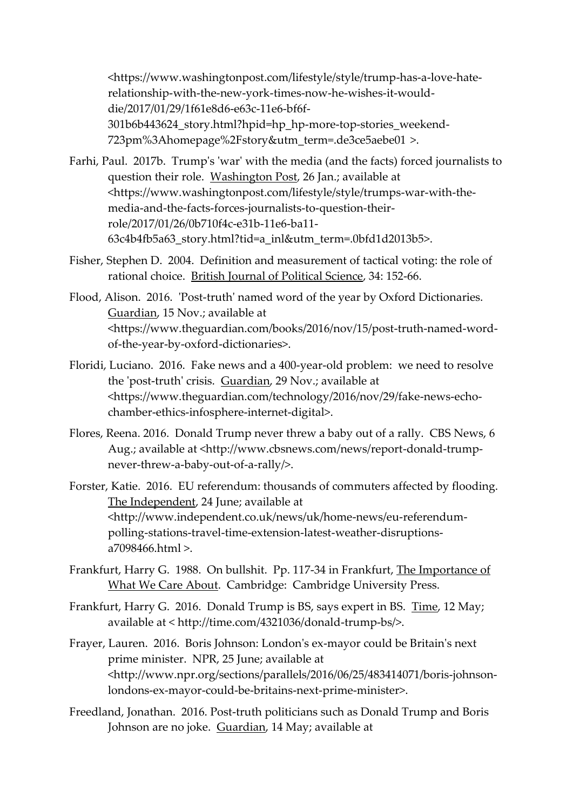<https://www.washingtonpost.com/lifestyle/style/trump-has-a-love-haterelationship-with-the-new-york-times-now-he-wishes-it-woulddie/2017/01/29/1f61e8d6-e63c-11e6-bf6f-301b6b443624\_story.html?hpid=hp\_hp-more-top-stories\_weekend-723pm%3Ahomepage%2Fstory&utm\_term=.de3ce5aebe01 >.

- Farhi, Paul. 2017b. Trump's 'war' with the media (and the facts) forced journalists to question their role. Washington Post, 26 Jan.; available at <https://www.washingtonpost.com/lifestyle/style/trumps-war-with-themedia-and-the-facts-forces-journalists-to-question-theirrole/2017/01/26/0b710f4c-e31b-11e6-ba11- 63c4b4fb5a63\_story.html?tid=a\_inl&utm\_term=.0bfd1d2013b5>.
- Fisher, Stephen D. 2004. Definition and measurement of tactical voting: the role of rational choice. British Journal of Political Science, 34: 152-66.
- Flood, Alison. 2016. 'Post-truth' named word of the year by Oxford Dictionaries. Guardian, 15 Nov.; available at <https://www.theguardian.com/books/2016/nov/15/post-truth-named-wordof-the-year-by-oxford-dictionaries>.
- Floridi, Luciano. 2016. Fake news and a 400-year-old problem: we need to resolve the 'post-truth' crisis. Guardian, 29 Nov.; available at <https://www.theguardian.com/technology/2016/nov/29/fake-news-echochamber-ethics-infosphere-internet-digital>.
- Flores, Reena. 2016. Donald Trump never threw a baby out of a rally. CBS News, 6 Aug.; available at <http://www.cbsnews.com/news/report-donald-trumpnever-threw-a-baby-out-of-a-rally/>.
- Forster, Katie. 2016. EU referendum: thousands of commuters affected by flooding. The Independent, 24 June; available at <http://www.independent.co.uk/news/uk/home-news/eu-referendumpolling-stations-travel-time-extension-latest-weather-disruptionsa7098466.html >.
- Frankfurt, Harry G. 1988. On bullshit. Pp. 117-34 in Frankfurt, The Importance of What We Care About. Cambridge: Cambridge University Press.
- Frankfurt, Harry G. 2016. Donald Trump is BS, says expert in BS. Time, 12 May; available at < http://time.com/4321036/donald-trump-bs/>.
- Frayer, Lauren. 2016. Boris Johnson: London's ex-mayor could be Britain's next prime minister. NPR, 25 June; available at <http://www.npr.org/sections/parallels/2016/06/25/483414071/boris-johnsonlondons-ex-mayor-could-be-britains-next-prime-minister>.
- Freedland, Jonathan. 2016. Post-truth politicians such as Donald Trump and Boris Johnson are no joke. Guardian, 14 May; available at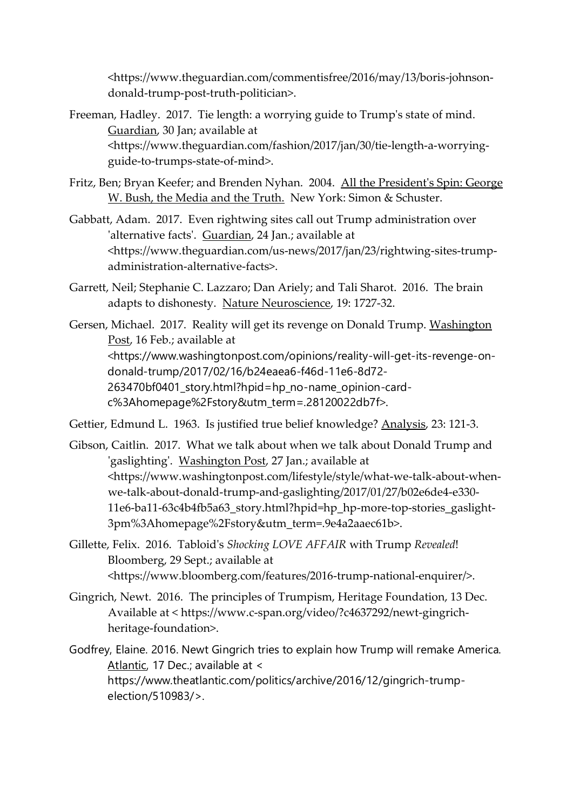<https://www.theguardian.com/commentisfree/2016/may/13/boris-johnsondonald-trump-post-truth-politician>.

- Freeman, Hadley. 2017. Tie length: a worrying guide to Trump's state of mind. Guardian, 30 Jan; available at <https://www.theguardian.com/fashion/2017/jan/30/tie-length-a-worryingguide-to-trumps-state-of-mind>.
- Fritz, Ben; Bryan Keefer; and Brenden Nyhan. 2004. All the President's Spin: George W. Bush, the Media and the Truth. New York: Simon & Schuster.
- Gabbatt, Adam. 2017. Even rightwing sites call out Trump administration over 'alternative facts'. Guardian, 24 Jan.; available at <https://www.theguardian.com/us-news/2017/jan/23/rightwing-sites-trumpadministration-alternative-facts>.
- Garrett, Neil; Stephanie C. Lazzaro; Dan Ariely; and Tali Sharot. 2016. The brain adapts to dishonesty. Nature Neuroscience, 19: 1727-32.
- Gersen, Michael. 2017. Reality will get its revenge on Donald Trump. Washington Post, 16 Feb.; available at <https://www.washingtonpost.com/opinions/reality-will-get-its-revenge-ondonald-trump/2017/02/16/b24eaea6-f46d-11e6-8d72- 263470bf0401\_story.html?hpid=hp\_no-name\_opinion-cardc%3Ahomepage%2Fstory&utm\_term=.28120022db7f>.

Gettier, Edmund L. 1963. Is justified true belief knowledge? Analysis, 23: 121-3.

- Gibson, Caitlin. 2017. What we talk about when we talk about Donald Trump and 'gaslighting'. Washington Post, 27 Jan.; available at <https://www.washingtonpost.com/lifestyle/style/what-we-talk-about-whenwe-talk-about-donald-trump-and-gaslighting/2017/01/27/b02e6de4-e330- 11e6-ba11-63c4b4fb5a63\_story.html?hpid=hp\_hp-more-top-stories\_gaslight-3pm%3Ahomepage%2Fstory&utm\_term=.9e4a2aaec61b>.
- Gillette, Felix. 2016. Tabloid's *Shocking LOVE AFFAIR* with Trump *Revealed*! Bloomberg, 29 Sept.; available at <https://www.bloomberg.com/features/2016-trump-national-enquirer/>.
- Gingrich, Newt. 2016. The principles of Trumpism, Heritage Foundation, 13 Dec. Available at < https://www.c-span.org/video/?c4637292/newt-gingrichheritage-foundation>.
- Godfrey, Elaine. 2016. Newt Gingrich tries to explain how Trump will remake America. Atlantic, 17 Dec.; available at < https://www.theatlantic.com/politics/archive/2016/12/gingrich-trumpelection/510983/>.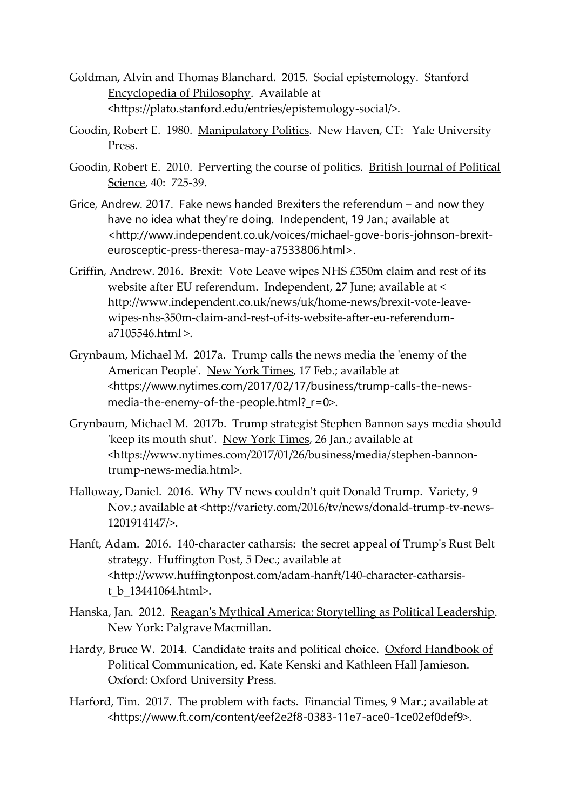- Goldman, Alvin and Thomas Blanchard. 2015. Social epistemology. Stanford Encyclopedia of Philosophy. Available at <https://plato.stanford.edu/entries/epistemology-social/>.
- Goodin, Robert E. 1980. Manipulatory Politics. New Haven, CT: Yale University Press.
- Goodin, Robert E. 2010. Perverting the course of politics. British Journal of Political Science, 40: 725-39.
- Grice, Andrew. 2017. Fake news handed Brexiters the referendum and now they have no idea what they're doing. Independent, 19 Jan.; available at <http://www.independent.co.uk/voices/michael-gove-boris-johnson-brexiteurosceptic-press-theresa-may-a7533806.html>.
- Griffin, Andrew. 2016. Brexit: Vote Leave wipes NHS £350m claim and rest of its website after EU referendum. Independent, 27 June; available at < http://www.independent.co.uk/news/uk/home-news/brexit-vote-leavewipes-nhs-350m-claim-and-rest-of-its-website-after-eu-referenduma7105546.html >.
- Grynbaum, Michael M. 2017a. Trump calls the news media the 'enemy of the American People'. New York Times, 17 Feb.; available at <https://www.nytimes.com/2017/02/17/business/trump-calls-the-newsmedia-the-enemy-of-the-people.html?\_r=0>.
- Grynbaum, Michael M. 2017b. Trump strategist Stephen Bannon says media should 'keep its mouth shut'. New York Times, 26 Jan.; available at <https://www.nytimes.com/2017/01/26/business/media/stephen-bannontrump-news-media.html>.
- Halloway, Daniel. 2016. Why TV news couldn't quit Donald Trump. Variety, 9 Nov.; available at <http://variety.com/2016/tv/news/donald-trump-tv-news-1201914147/>.
- Hanft, Adam. 2016. 140-character catharsis: the secret appeal of Trump's Rust Belt strategy. Huffington Post, 5 Dec.; available at <http://www.huffingtonpost.com/adam-hanft/140-character-catharsist\_b\_13441064.html>.
- Hanska, Jan. 2012. Reagan's Mythical America: Storytelling as Political Leadership. New York: Palgrave Macmillan.
- Hardy, Bruce W. 2014. Candidate traits and political choice. Oxford Handbook of Political Communication, ed. Kate Kenski and Kathleen Hall Jamieson. Oxford: Oxford University Press.
- Harford, Tim. 2017. The problem with facts. Financial Times, 9 Mar.; available at <https://www.ft.com/content/eef2e2f8-0383-11e7-ace0-1ce02ef0def9>.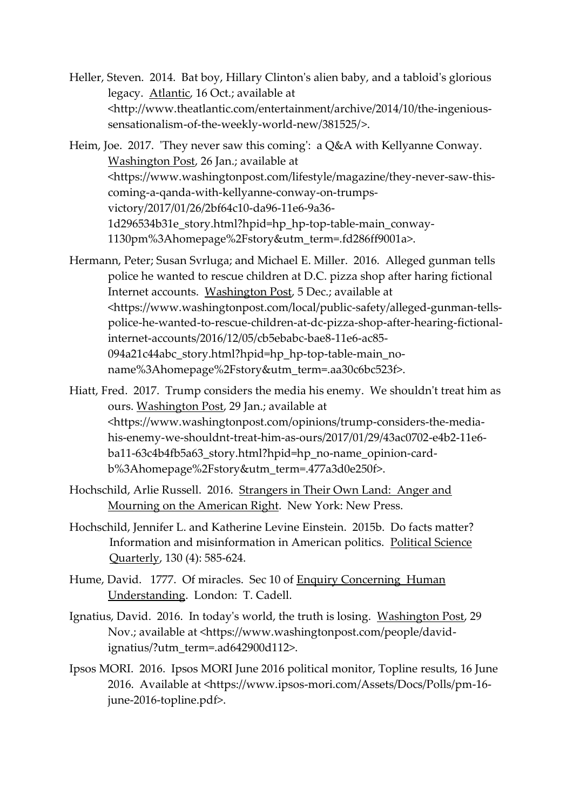- Heller, Steven. 2014. Bat boy, Hillary Clinton's alien baby, and a tabloid's glorious legacy. Atlantic, 16 Oct.; available at <http://www.theatlantic.com/entertainment/archive/2014/10/the-ingenioussensationalism-of-the-weekly-world-new/381525/>.
- Heim, Joe. 2017. 'They never saw this coming': a Q&A with Kellyanne Conway. Washington Post, 26 Jan.; available at <https://www.washingtonpost.com/lifestyle/magazine/they-never-saw-thiscoming-a-qanda-with-kellyanne-conway-on-trumpsvictory/2017/01/26/2bf64c10-da96-11e6-9a36- 1d296534b31e\_story.html?hpid=hp\_hp-top-table-main\_conway-1130pm%3Ahomepage%2Fstory&utm\_term=.fd286ff9001a>.
- Hermann, Peter; Susan Svrluga; and Michael E. Miller. 2016. Alleged gunman tells police he wanted to rescue children at D.C. pizza shop after haring fictional Internet accounts. Washington Post, 5 Dec.; available at <https://www.washingtonpost.com/local/public-safety/alleged-gunman-tellspolice-he-wanted-to-rescue-children-at-dc-pizza-shop-after-hearing-fictionalinternet-accounts/2016/12/05/cb5ebabc-bae8-11e6-ac85- 094a21c44abc story.html?hpid=hp\_hp-top-table-main\_noname%3Ahomepage%2Fstory&utm\_term=.aa30c6bc523f>.
- Hiatt, Fred. 2017. Trump considers the media his enemy. We shouldn't treat him as ours. Washington Post, 29 Jan.; available at <https://www.washingtonpost.com/opinions/trump-considers-the-mediahis-enemy-we-shouldnt-treat-him-as-ours/2017/01/29/43ac0702-e4b2-11e6 ba11-63c4b4fb5a63\_story.html?hpid=hp\_no-name\_opinion-cardb%3Ahomepage%2Fstory&utm\_term=.477a3d0e250f>.
- Hochschild, Arlie Russell. 2016. Strangers in Their Own Land: Anger and Mourning on the American Right. New York: New Press.
- Hochschild, Jennifer L. and Katherine Levine Einstein. 2015b. Do facts matter? Information and misinformation in American politics. Political Science Quarterly, 130 (4): 585-624.
- Hume, David. 1777. Of miracles. Sec 10 of Enquiry Concerning Human Understanding. London: T. Cadell.
- Ignatius, David. 2016. In today's world, the truth is losing. Washington Post, 29 Nov.; available at <https://www.washingtonpost.com/people/davidignatius/?utm\_term=.ad642900d112>.
- Ipsos MORI. 2016. Ipsos MORI June 2016 political monitor, Topline results, 16 June 2016. Available at <https://www.ipsos-mori.com/Assets/Docs/Polls/pm-16 june-2016-topline.pdf>.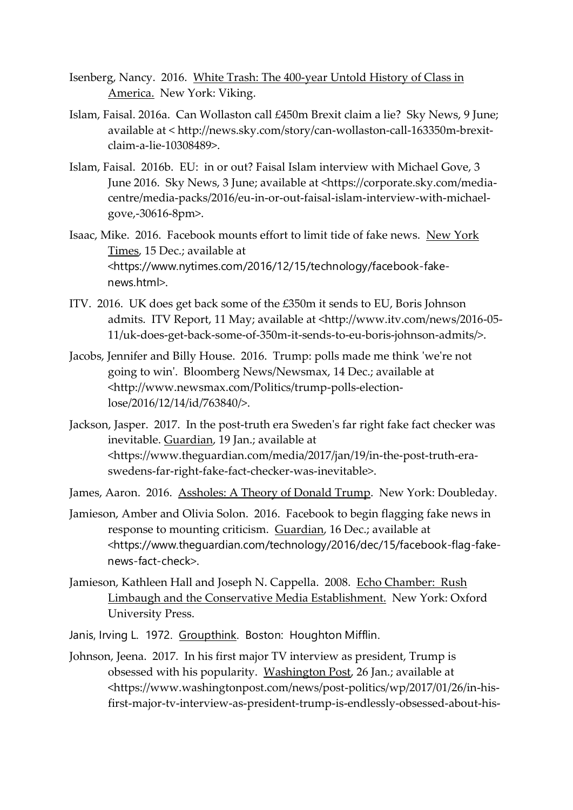- Isenberg, Nancy. 2016. White Trash: The 400-year Untold History of Class in America. New York: Viking.
- Islam, Faisal. 2016a. Can Wollaston call £450m Brexit claim a lie? Sky News, 9 June; available at < http://news.sky.com/story/can-wollaston-call-163350m-brexitclaim-a-lie-10308489>.
- Islam, Faisal. 2016b. EU: in or out? Faisal Islam interview with Michael Gove, 3 June 2016. Sky News, 3 June; available at <https://corporate.sky.com/mediacentre/media-packs/2016/eu-in-or-out-faisal-islam-interview-with-michaelgove,-30616-8pm>.
- Isaac, Mike. 2016. Facebook mounts effort to limit tide of fake news. New York Times, 15 Dec.; available at <https://www.nytimes.com/2016/12/15/technology/facebook-fakenews.html>.
- ITV. 2016. UK does get back some of the £350m it sends to EU, Boris Johnson admits. ITV Report, 11 May; available at <http://www.itv.com/news/2016-05- 11/uk-does-get-back-some-of-350m-it-sends-to-eu-boris-johnson-admits/>.
- Jacobs, Jennifer and Billy House. 2016. Trump: polls made me think 'we're not going to win'. Bloomberg News/Newsmax, 14 Dec.; available at <http://www.newsmax.com/Politics/trump-polls-electionlose/2016/12/14/id/763840/>.
- Jackson, Jasper. 2017. In the post-truth era Sweden's far right fake fact checker was inevitable. Guardian, 19 Jan.; available at <https://www.theguardian.com/media/2017/jan/19/in-the-post-truth-eraswedens-far-right-fake-fact-checker-was-inevitable>.
- James, Aaron. 2016. Assholes: A Theory of Donald Trump. New York: Doubleday.
- Jamieson, Amber and Olivia Solon. 2016. Facebook to begin flagging fake news in response to mounting criticism. Guardian, 16 Dec.; available at <https://www.theguardian.com/technology/2016/dec/15/facebook-flag-fakenews-fact-check>.
- Jamieson, Kathleen Hall and Joseph N. Cappella. 2008. Echo Chamber: Rush Limbaugh and the Conservative Media Establishment. New York: Oxford University Press.
- Janis, Irving L. 1972. Groupthink. Boston: Houghton Mifflin.
- Johnson, Jeena. 2017. In his first major TV interview as president, Trump is obsessed with his popularity. Washington Post, 26 Jan.; available at <https://www.washingtonpost.com/news/post-politics/wp/2017/01/26/in-hisfirst-major-tv-interview-as-president-trump-is-endlessly-obsessed-about-his-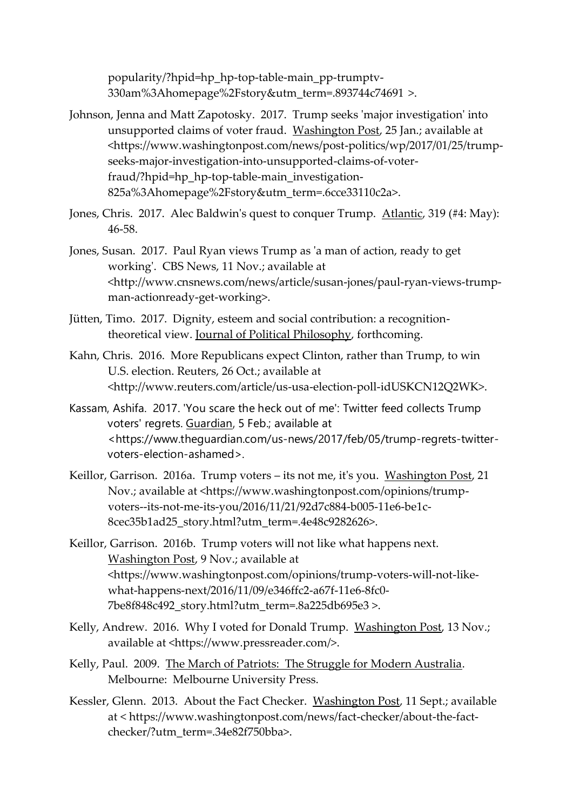popularity/?hpid=hp\_hp-top-table-main\_pp-trumptv-330am%3Ahomepage%2Fstory&utm\_term=.893744c74691 >.

- Johnson, Jenna and Matt Zapotosky. 2017. Trump seeks 'major investigation' into unsupported claims of voter fraud. Washington Post, 25 Jan.; available at <https://www.washingtonpost.com/news/post-politics/wp/2017/01/25/trumpseeks-major-investigation-into-unsupported-claims-of-voterfraud/?hpid=hp\_hp-top-table-main\_investigation-825a%3Ahomepage%2Fstory&utm\_term=.6cce33110c2a>.
- Jones, Chris. 2017. Alec Baldwin's quest to conquer Trump. Atlantic, 319 (#4: May): 46-58.
- Jones, Susan. 2017. Paul Ryan views Trump as 'a man of action, ready to get working'. CBS News, 11 Nov.; available at <http://www.cnsnews.com/news/article/susan-jones/paul-ryan-views-trumpman-actionready-get-working>.
- Jütten, Timo. 2017. Dignity, esteem and social contribution: a recognitiontheoretical view. Journal of Political Philosophy, forthcoming.
- Kahn, Chris. 2016. More Republicans expect Clinton, rather than Trump, to win U.S. election. Reuters, 26 Oct.; available at <http://www.reuters.com/article/us-usa-election-poll-idUSKCN12Q2WK>.
- Kassam, Ashifa. 2017. 'You scare the heck out of me': Twitter feed collects Trump voters' regrets. Guardian, 5 Feb.; available at <https://www.theguardian.com/us-news/2017/feb/05/trump-regrets-twittervoters-election-ashamed>.
- Keillor, Garrison. 2016a. Trump voters its not me, it's you. Washington Post, 21 Nov.; available at <https://www.washingtonpost.com/opinions/trumpvoters--its-not-me-its-you/2016/11/21/92d7c884-b005-11e6-be1c-8cec35b1ad25\_story.html?utm\_term=.4e48c9282626>.
- Keillor, Garrison. 2016b. Trump voters will not like what happens next. Washington Post, 9 Nov.; available at <https://www.washingtonpost.com/opinions/trump-voters-will-not-likewhat-happens-next/2016/11/09/e346ffc2-a67f-11e6-8fc0- 7be8f848c492\_story.html?utm\_term=.8a225db695e3 >.
- Kelly, Andrew. 2016. Why I voted for Donald Trump. Washington Post, 13 Nov.; available at <https://www.pressreader.com/>.
- Kelly, Paul. 2009. The March of Patriots: The Struggle for Modern Australia. Melbourne: Melbourne University Press.
- Kessler, Glenn. 2013. About the Fact Checker. Washington Post, 11 Sept.; available at < https://www.washingtonpost.com/news/fact-checker/about-the-factchecker/?utm\_term=.34e82f750bba>.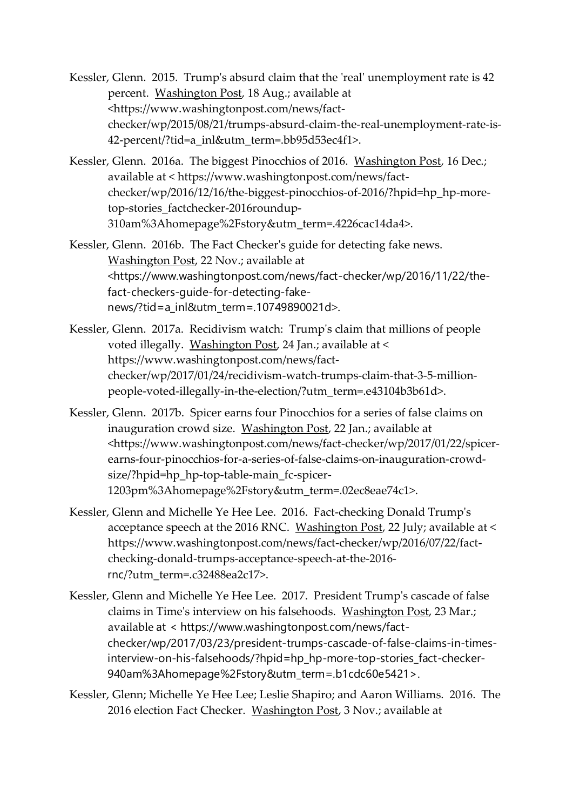Kessler, Glenn. 2015. Trump's absurd claim that the 'real' unemployment rate is 42 percent. Washington Post, 18 Aug.; available at <https://www.washingtonpost.com/news/factchecker/wp/2015/08/21/trumps-absurd-claim-the-real-unemployment-rate-is-42-percent/?tid=a\_inl&utm\_term=.bb95d53ec4f1>.

Kessler, Glenn. 2016a. The biggest Pinocchios of 2016. Washington Post, 16 Dec.; available at < https://www.washingtonpost.com/news/factchecker/wp/2016/12/16/the-biggest-pinocchios-of-2016/?hpid=hp\_hp-moretop-stories\_factchecker-2016roundup-310am%3Ahomepage%2Fstory&utm\_term=.4226cac14da4>.

Kessler, Glenn. 2016b. The Fact Checker's guide for detecting fake news. Washington Post, 22 Nov.; available at <https://www.washingtonpost.com/news/fact-checker/wp/2016/11/22/thefact-checkers-guide-for-detecting-fakenews/?tid=a\_inl&utm\_term=.10749890021d>.

- Kessler, Glenn. 2017a. Recidivism watch: Trump's claim that millions of people voted illegally. Washington Post, 24 Jan.; available at < https://www.washingtonpost.com/news/factchecker/wp/2017/01/24/recidivism-watch-trumps-claim-that-3-5-millionpeople-voted-illegally-in-the-election/?utm\_term=.e43104b3b61d>.
- Kessler, Glenn. 2017b. Spicer earns four Pinocchios for a series of false claims on inauguration crowd size. Washington Post, 22 Jan.; available at <https://www.washingtonpost.com/news/fact-checker/wp/2017/01/22/spicerearns-four-pinocchios-for-a-series-of-false-claims-on-inauguration-crowdsize/?hpid=hp\_hp-top-table-main\_fc-spicer-1203pm%3Ahomepage%2Fstory&utm\_term=.02ec8eae74c1>.
- Kessler, Glenn and Michelle Ye Hee Lee. 2016. Fact-checking Donald Trump's acceptance speech at the 2016 RNC. Washington Post, 22 July; available at < https://www.washingtonpost.com/news/fact-checker/wp/2016/07/22/factchecking-donald-trumps-acceptance-speech-at-the-2016 rnc/?utm\_term=.c32488ea2c17>.
- Kessler, Glenn and Michelle Ye Hee Lee. 2017. President Trump's cascade of false claims in Time's interview on his falsehoods. Washington Post, 23 Mar.; available at < https://www.washingtonpost.com/news/factchecker/wp/2017/03/23/president-trumps-cascade-of-false-claims-in-timesinterview-on-his-falsehoods/?hpid=hp\_hp-more-top-stories\_fact-checker-940am%3Ahomepage%2Fstory&utm\_term=.b1cdc60e5421>.
- Kessler, Glenn; Michelle Ye Hee Lee; Leslie Shapiro; and Aaron Williams. 2016. The 2016 election Fact Checker. Washington Post, 3 Nov.; available at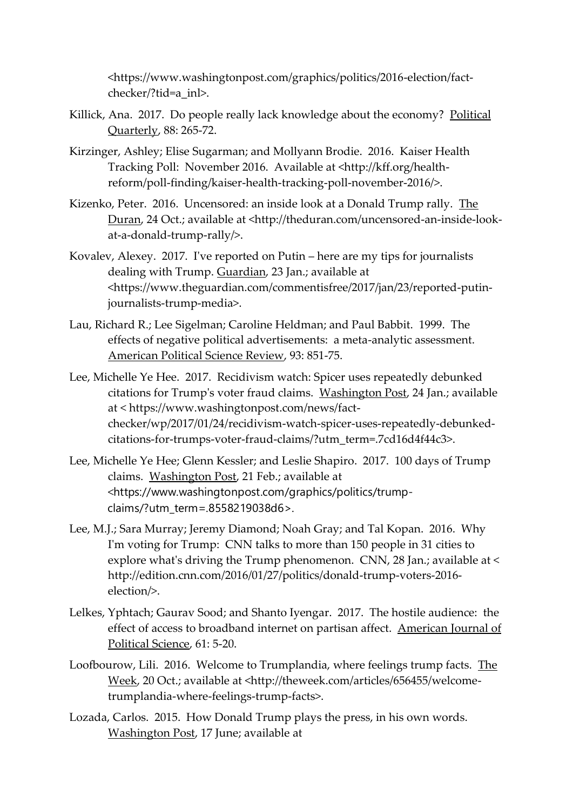<https://www.washingtonpost.com/graphics/politics/2016-election/factchecker/?tid=a\_inl>.

- Killick, Ana. 2017. Do people really lack knowledge about the economy? Political Quarterly, 88: 265-72.
- Kirzinger, Ashley; Elise Sugarman; and Mollyann Brodie. 2016. Kaiser Health Tracking Poll: November 2016. Available at <http://kff.org/healthreform/poll-finding/kaiser-health-tracking-poll-november-2016/>.
- Kizenko, Peter. 2016. Uncensored: an inside look at a Donald Trump rally. The Duran, 24 Oct.; available at <http://theduran.com/uncensored-an-inside-lookat-a-donald-trump-rally/>.
- Kovalev, Alexey. 2017. I've reported on Putin here are my tips for journalists dealing with Trump. Guardian, 23 Jan.; available at <https://www.theguardian.com/commentisfree/2017/jan/23/reported-putinjournalists-trump-media>.
- Lau, Richard R.; Lee Sigelman; Caroline Heldman; and Paul Babbit. 1999. The effects of negative political advertisements: a meta-analytic assessment. American Political Science Review, 93: 851-75.
- Lee, Michelle Ye Hee. 2017. Recidivism watch: Spicer uses repeatedly debunked citations for Trump's voter fraud claims. Washington Post, 24 Jan.; available at < https://www.washingtonpost.com/news/factchecker/wp/2017/01/24/recidivism-watch-spicer-uses-repeatedly-debunkedcitations-for-trumps-voter-fraud-claims/?utm\_term=.7cd16d4f44c3>.
- Lee, Michelle Ye Hee; Glenn Kessler; and Leslie Shapiro. 2017. 100 days of Trump claims. Washington Post, 21 Feb.; available at <https://www.washingtonpost.com/graphics/politics/trumpclaims/?utm\_term=.8558219038d6>.
- Lee, M.J.; Sara Murray; Jeremy Diamond; Noah Gray; and Tal Kopan. 2016. Why I'm voting for Trump: CNN talks to more than 150 people in 31 cities to explore what's driving the Trump phenomenon. CNN, 28 Jan.; available at < http://edition.cnn.com/2016/01/27/politics/donald-trump-voters-2016 election/>.
- Lelkes, Yphtach; Gaurav Sood; and Shanto Iyengar. 2017. The hostile audience: the effect of access to broadband internet on partisan affect. American Journal of Political Science, 61: 5-20.
- Loofbourow, Lili. 2016. Welcome to Trumplandia, where feelings trump facts. The Week, 20 Oct.; available at <http://theweek.com/articles/656455/welcometrumplandia-where-feelings-trump-facts>.
- Lozada, Carlos. 2015. How Donald Trump plays the press, in his own words. Washington Post, 17 June; available at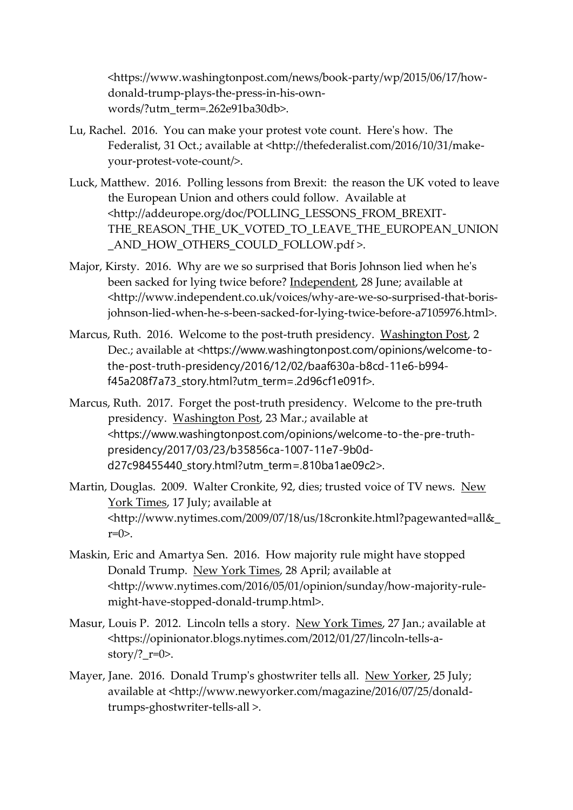<https://www.washingtonpost.com/news/book-party/wp/2015/06/17/howdonald-trump-plays-the-press-in-his-ownwords/?utm\_term=.262e91ba30db>.

- Lu, Rachel. 2016. You can make your protest vote count. Here's how. The Federalist, 31 Oct.; available at <http://thefederalist.com/2016/10/31/makeyour-protest-vote-count/>.
- Luck, Matthew. 2016. Polling lessons from Brexit: the reason the UK voted to leave the European Union and others could follow. Available at <http://addeurope.org/doc/POLLING\_LESSONS\_FROM\_BREXIT-THE\_REASON\_THE\_UK\_VOTED\_TO\_LEAVE\_THE\_EUROPEAN\_UNION \_AND\_HOW\_OTHERS\_COULD\_FOLLOW.pdf >.
- Major, Kirsty. 2016. Why are we so surprised that Boris Johnson lied when he's been sacked for lying twice before? Independent, 28 June; available at <http://www.independent.co.uk/voices/why-are-we-so-surprised-that-borisjohnson-lied-when-he-s-been-sacked-for-lying-twice-before-a7105976.html>.
- Marcus, Ruth. 2016. Welcome to the post-truth presidency. Washington Post, 2 Dec.; available at <https://www.washingtonpost.com/opinions/welcome-tothe-post-truth-presidency/2016/12/02/baaf630a-b8cd-11e6-b994 f45a208f7a73\_story.html?utm\_term=.2d96cf1e091f>.
- Marcus, Ruth. 2017. Forget the post-truth presidency. Welcome to the pre-truth presidency. Washington Post, 23 Mar.; available at <https://www.washingtonpost.com/opinions/welcome-to-the-pre-truthpresidency/2017/03/23/b35856ca-1007-11e7-9b0dd27c98455440\_story.html?utm\_term=.810ba1ae09c2>.
- Martin, Douglas. 2009. Walter Cronkite, 92, dies; trusted voice of TV news. New York Times, 17 July; available at <http://www.nytimes.com/2009/07/18/us/18cronkite.html?pagewanted=all&\_  $r=0$
- Maskin, Eric and Amartya Sen. 2016. How majority rule might have stopped Donald Trump. New York Times, 28 April; available at <http://www.nytimes.com/2016/05/01/opinion/sunday/how-majority-rulemight-have-stopped-donald-trump.html>.
- Masur, Louis P. 2012. Lincoln tells a story. New York Times, 27 Jan.; available at <https://opinionator.blogs.nytimes.com/2012/01/27/lincoln-tells-astory/? $r=0$ .
- Mayer, Jane. 2016. Donald Trump's ghostwriter tells all. New Yorker, 25 July; available at <http://www.newyorker.com/magazine/2016/07/25/donaldtrumps-ghostwriter-tells-all >.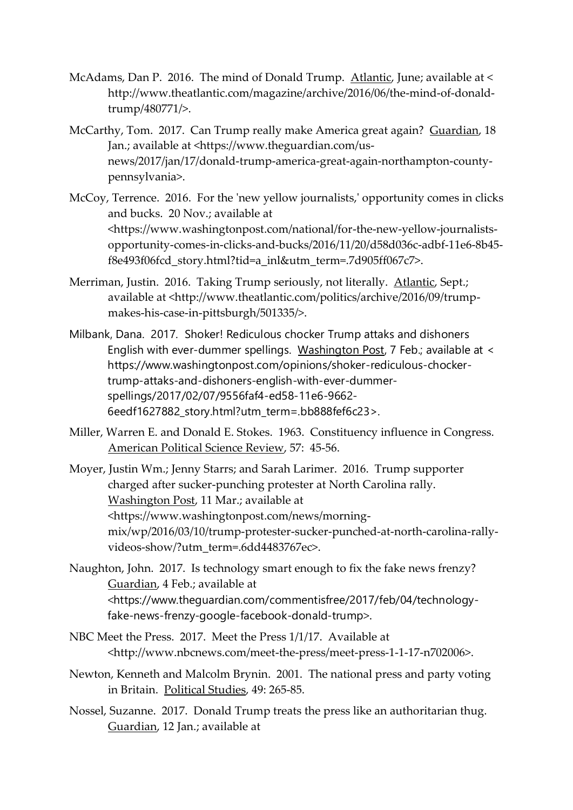- McAdams, Dan P. 2016. The mind of Donald Trump. Atlantic, June; available at < http://www.theatlantic.com/magazine/archive/2016/06/the-mind-of-donaldtrump/480771/>.
- McCarthy, Tom. 2017. Can Trump really make America great again? Guardian, 18 Jan.; available at <https://www.theguardian.com/usnews/2017/jan/17/donald-trump-america-great-again-northampton-countypennsylvania>.
- McCoy, Terrence. 2016. For the 'new yellow journalists,' opportunity comes in clicks and bucks. 20 Nov.; available at <https://www.washingtonpost.com/national/for-the-new-yellow-journalistsopportunity-comes-in-clicks-and-bucks/2016/11/20/d58d036c-adbf-11e6-8b45 f8e493f06fcd\_story.html?tid=a\_inl&utm\_term=.7d905ff067c7>.
- Merriman, Justin. 2016. Taking Trump seriously, not literally. Atlantic, Sept.; available at <http://www.theatlantic.com/politics/archive/2016/09/trumpmakes-his-case-in-pittsburgh/501335/>.
- Milbank, Dana. 2017. Shoker! Rediculous chocker Trump attaks and dishoners English with ever-dummer spellings. Washington Post, 7 Feb.; available at < https://www.washingtonpost.com/opinions/shoker-rediculous-chockertrump-attaks-and-dishoners-english-with-ever-dummerspellings/2017/02/07/9556faf4-ed58-11e6-9662- 6eedf1627882\_story.html?utm\_term=.bb888fef6c23>.
- Miller, Warren E. and Donald E. Stokes. 1963. Constituency influence in Congress. American Political Science Review, 57: 45-56.
- Moyer, Justin Wm.; Jenny Starrs; and Sarah Larimer. 2016. Trump supporter charged after sucker-punching protester at North Carolina rally. Washington Post, 11 Mar.; available at <https://www.washingtonpost.com/news/morningmix/wp/2016/03/10/trump-protester-sucker-punched-at-north-carolina-rallyvideos-show/?utm\_term=.6dd4483767ec>.
- Naughton, John. 2017. Is technology smart enough to fix the fake news frenzy? Guardian, 4 Feb.; available at <https://www.theguardian.com/commentisfree/2017/feb/04/technologyfake-news-frenzy-google-facebook-donald-trump>.
- NBC Meet the Press. 2017. Meet the Press 1/1/17. Available at <http://www.nbcnews.com/meet-the-press/meet-press-1-1-17-n702006>.
- Newton, Kenneth and Malcolm Brynin. 2001. The national press and party voting in Britain. Political Studies, 49: 265-85.
- Nossel, Suzanne. 2017. Donald Trump treats the press like an authoritarian thug. Guardian, 12 Jan.; available at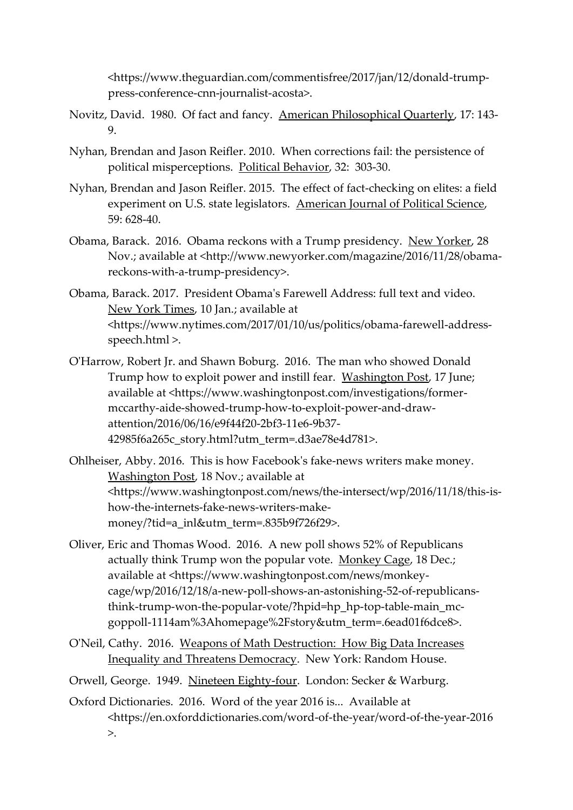<https://www.theguardian.com/commentisfree/2017/jan/12/donald-trumppress-conference-cnn-journalist-acosta>.

- Novitz, David. 1980. Of fact and fancy. American Philosophical Quarterly, 17: 143- 9.
- Nyhan, Brendan and Jason Reifler. 2010. When corrections fail: the persistence of political misperceptions. Political Behavior, 32: 303-30.
- Nyhan, Brendan and Jason Reifler. 2015. The effect of fact-checking on elites: a field experiment on U.S. state legislators. American Journal of Political Science, 59: 628-40.
- Obama, Barack. 2016. Obama reckons with a Trump presidency. New Yorker, 28 Nov.; available at <http://www.newyorker.com/magazine/2016/11/28/obamareckons-with-a-trump-presidency>.
- Obama, Barack. 2017. President Obama's Farewell Address: full text and video. New York Times, 10 Jan.; available at <https://www.nytimes.com/2017/01/10/us/politics/obama-farewell-addressspeech.html >.
- O'Harrow, Robert Jr. and Shawn Boburg. 2016. The man who showed Donald Trump how to exploit power and instill fear. Washington Post, 17 June; available at <https://www.washingtonpost.com/investigations/formermccarthy-aide-showed-trump-how-to-exploit-power-and-drawattention/2016/06/16/e9f44f20-2bf3-11e6-9b37- 42985f6a265c\_story.html?utm\_term=.d3ae78e4d781>.
- Ohlheiser, Abby. 2016. This is how Facebook's fake-news writers make money. Washington Post, 18 Nov.; available at <https://www.washingtonpost.com/news/the-intersect/wp/2016/11/18/this-ishow-the-internets-fake-news-writers-makemoney/?tid=a\_inl&utm\_term=.835b9f726f29>.
- Oliver, Eric and Thomas Wood. 2016. A new poll shows 52% of Republicans actually think Trump won the popular vote. Monkey Cage, 18 Dec.; available at <https://www.washingtonpost.com/news/monkeycage/wp/2016/12/18/a-new-poll-shows-an-astonishing-52-of-republicansthink-trump-won-the-popular-vote/?hpid=hp\_hp-top-table-main\_mcgoppoll-1114am%3Ahomepage%2Fstory&utm\_term=.6ead01f6dce8>.
- O'Neil, Cathy. 2016. Weapons of Math Destruction: How Big Data Increases Inequality and Threatens Democracy. New York: Random House.
- Orwell, George. 1949. Nineteen Eighty-four. London: Secker & Warburg.
- Oxford Dictionaries. 2016. Word of the year 2016 is... Available at <https://en.oxforddictionaries.com/word-of-the-year/word-of-the-year-2016  $\geq$ .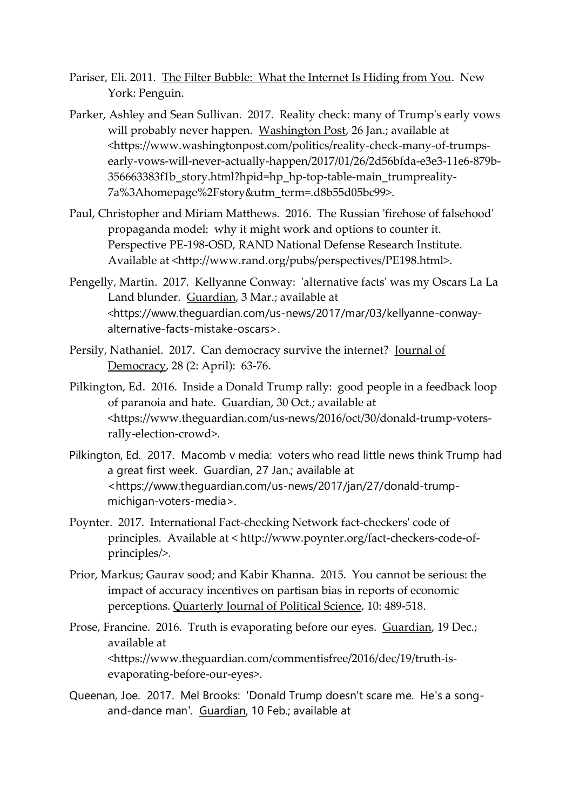- Pariser, Eli. 2011. The Filter Bubble: What the Internet Is Hiding from You. New York: Penguin.
- Parker, Ashley and Sean Sullivan. 2017. Reality check: many of Trump's early vows will probably never happen. Washington Post, 26 Jan.; available at <https://www.washingtonpost.com/politics/reality-check-many-of-trumpsearly-vows-will-never-actually-happen/2017/01/26/2d56bfda-e3e3-11e6-879b-356663383f1b\_story.html?hpid=hp\_hp-top-table-main\_trumpreality-7a%3Ahomepage%2Fstory&utm\_term=.d8b55d05bc99>.
- Paul, Christopher and Miriam Matthews. 2016. The Russian 'firehose of falsehood' propaganda model: why it might work and options to counter it. Perspective PE-198-OSD, RAND National Defense Research Institute. Available at <http://www.rand.org/pubs/perspectives/PE198.html>.
- Pengelly, Martin. 2017. Kellyanne Conway: 'alternative facts' was my Oscars La La Land blunder. Guardian, 3 Mar.; available at <https://www.theguardian.com/us-news/2017/mar/03/kellyanne-conwayalternative-facts-mistake-oscars>.
- Persily, Nathaniel. 2017. Can democracy survive the internet? Journal of Democracy, 28 (2: April): 63-76.
- Pilkington, Ed. 2016. Inside a Donald Trump rally: good people in a feedback loop of paranoia and hate. Guardian, 30 Oct.; available at <https://www.theguardian.com/us-news/2016/oct/30/donald-trump-votersrally-election-crowd>.
- Pilkington, Ed. 2017. Macomb v media: voters who read little news think Trump had a great first week. Guardian, 27 Jan.; available at <https://www.theguardian.com/us-news/2017/jan/27/donald-trumpmichigan-voters-media>.
- Poynter. 2017. International Fact-checking Network fact-checkers' code of principles. Available at < http://www.poynter.org/fact-checkers-code-ofprinciples/>.
- Prior, Markus; Gaurav sood; and Kabir Khanna. 2015. You cannot be serious: the impact of accuracy incentives on partisan bias in reports of economic perceptions. Quarterly Journal of Political Science, 10: 489-518.
- Prose, Francine. 2016. Truth is evaporating before our eyes. Guardian, 19 Dec.; available at <https://www.theguardian.com/commentisfree/2016/dec/19/truth-isevaporating-before-our-eyes>.
- Queenan, Joe. 2017. Mel Brooks: 'Donald Trump doesn't scare me. He's a songand-dance man'. Guardian, 10 Feb.; available at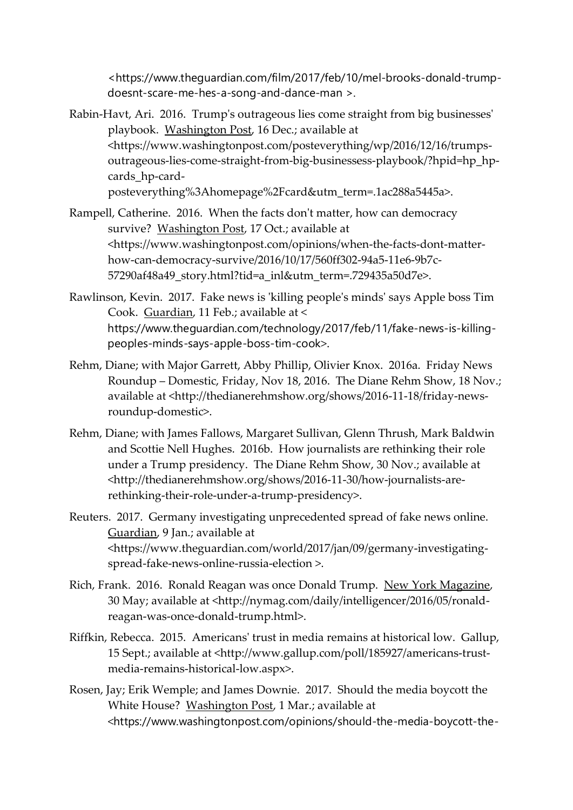<https://www.theguardian.com/film/2017/feb/10/mel-brooks-donald-trumpdoesnt-scare-me-hes-a-song-and-dance-man >.

- Rabin-Havt, Ari. 2016. Trump's outrageous lies come straight from big businesses' playbook. Washington Post, 16 Dec.; available at <https://www.washingtonpost.com/posteverything/wp/2016/12/16/trumpsoutrageous-lies-come-straight-from-big-businessess-playbook/?hpid=hp\_hpcards hp-cardposteverything%3Ahomepage%2Fcard&utm\_term=.1ac288a5445a>.
- Rampell, Catherine. 2016. When the facts don't matter, how can democracy survive? Washington Post, 17 Oct.; available at <https://www.washingtonpost.com/opinions/when-the-facts-dont-matterhow-can-democracy-survive/2016/10/17/560ff302-94a5-11e6-9b7c-57290af48a49\_story.html?tid=a\_inl&utm\_term=.729435a50d7e>.
- Rawlinson, Kevin. 2017. Fake news is 'killing people's minds' says Apple boss Tim Cook. Guardian, 11 Feb.; available at < https://www.theguardian.com/technology/2017/feb/11/fake-news-is-killingpeoples-minds-says-apple-boss-tim-cook>.
- Rehm, Diane; with Major Garrett, Abby Phillip, Olivier Knox. 2016a. Friday News Roundup – Domestic, Friday, Nov 18, 2016. The Diane Rehm Show, 18 Nov.; available at <http://thedianerehmshow.org/shows/2016-11-18/friday-newsroundup-domestic>.
- Rehm, Diane; with James Fallows, Margaret Sullivan, Glenn Thrush, Mark Baldwin and Scottie Nell Hughes. 2016b. How journalists are rethinking their role under a Trump presidency. The Diane Rehm Show, 30 Nov.; available at <http://thedianerehmshow.org/shows/2016-11-30/how-journalists-arerethinking-their-role-under-a-trump-presidency>.
- Reuters. 2017. Germany investigating unprecedented spread of fake news online. Guardian, 9 Jan.; available at <https://www.theguardian.com/world/2017/jan/09/germany-investigatingspread-fake-news-online-russia-election >.
- Rich, Frank. 2016. Ronald Reagan was once Donald Trump. New York Magazine, 30 May; available at <http://nymag.com/daily/intelligencer/2016/05/ronaldreagan-was-once-donald-trump.html>.
- Riffkin, Rebecca. 2015. Americans' trust in media remains at historical low. Gallup, 15 Sept.; available at <http://www.gallup.com/poll/185927/americans-trustmedia-remains-historical-low.aspx>.
- Rosen, Jay; Erik Wemple; and James Downie. 2017. Should the media boycott the White House? Washington Post, 1 Mar.; available at <https://www.washingtonpost.com/opinions/should-the-media-boycott-the-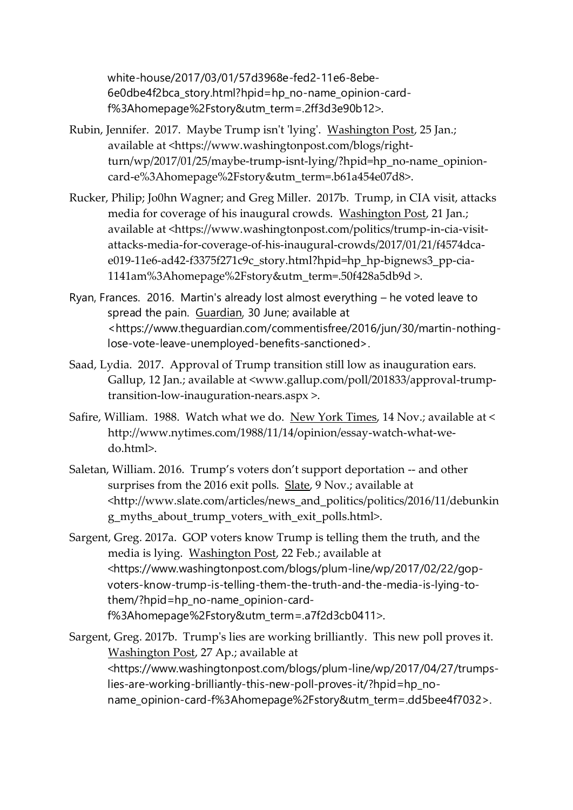white-house/2017/03/01/57d3968e-fed2-11e6-8ebe-6e0dbe4f2bca\_story.html?hpid=hp\_no-name\_opinion-cardf%3Ahomepage%2Fstory&utm\_term=.2ff3d3e90b12>.

- Rubin, Jennifer. 2017. Maybe Trump isn't 'lying'. Washington Post, 25 Jan.; available at <https://www.washingtonpost.com/blogs/rightturn/wp/2017/01/25/maybe-trump-isnt-lying/?hpid=hp\_no-name\_opinioncard-e%3Ahomepage%2Fstory&utm\_term=.b61a454e07d8>.
- Rucker, Philip; Jo0hn Wagner; and Greg Miller. 2017b. Trump, in CIA visit, attacks media for coverage of his inaugural crowds. Washington Post, 21 Jan.; available at <https://www.washingtonpost.com/politics/trump-in-cia-visitattacks-media-for-coverage-of-his-inaugural-crowds/2017/01/21/f4574dcae019-11e6-ad42-f3375f271c9c\_story.html?hpid=hp\_hp-bignews3\_pp-cia-1141am%3Ahomepage%2Fstory&utm\_term=.50f428a5db9d >.
- Ryan, Frances. 2016. Martin's already lost almost everything he voted leave to spread the pain. Guardian, 30 June; available at <https://www.theguardian.com/commentisfree/2016/jun/30/martin-nothinglose-vote-leave-unemployed-benefits-sanctioned>.
- Saad, Lydia. 2017. Approval of Trump transition still low as inauguration ears. Gallup, 12 Jan.; available at <www.gallup.com/poll/201833/approval-trumptransition-low-inauguration-nears.aspx >.
- Safire, William. 1988. Watch what we do. New York Times, 14 Nov.; available at < http://www.nytimes.com/1988/11/14/opinion/essay-watch-what-wedo.html>.
- Saletan, William. 2016. Trump's voters don't support deportation -- and other surprises from the 2016 exit polls. Slate, 9 Nov.; available at <http://www.slate.com/articles/news\_and\_politics/politics/2016/11/debunkin g\_myths\_about\_trump\_voters\_with\_exit\_polls.html>.
- Sargent, Greg. 2017a. GOP voters know Trump is telling them the truth, and the media is lying. Washington Post, 22 Feb.; available at <https://www.washingtonpost.com/blogs/plum-line/wp/2017/02/22/gopvoters-know-trump-is-telling-them-the-truth-and-the-media-is-lying-tothem/?hpid=hp\_no-name\_opinion-cardf%3Ahomepage%2Fstory&utm\_term=.a7f2d3cb0411>.

Sargent, Greg. 2017b. Trump's lies are working brilliantly. This new poll proves it. Washington Post, 27 Ap.; available at <https://www.washingtonpost.com/blogs/plum-line/wp/2017/04/27/trumpslies-are-working-brilliantly-this-new-poll-proves-it/?hpid=hp\_noname\_opinion-card-f%3Ahomepage%2Fstory&utm\_term=.dd5bee4f7032>.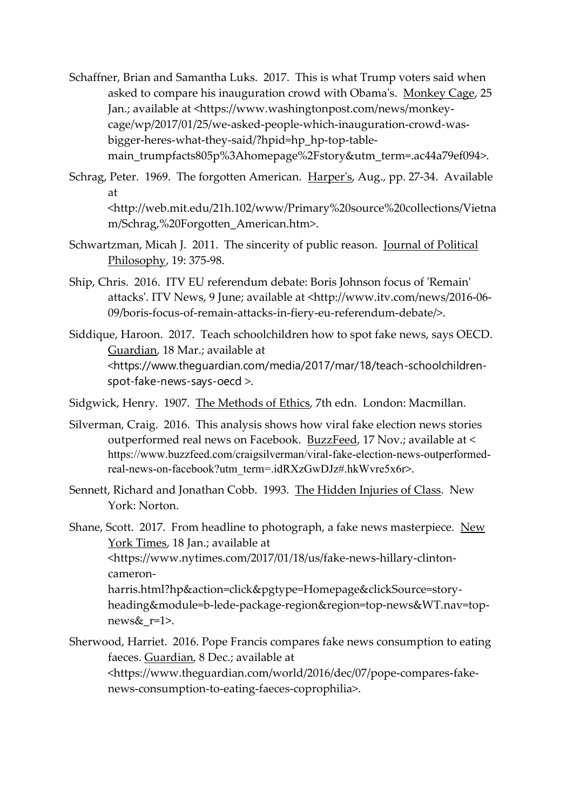- Schaffner, Brian and Samantha Luks. 2017. This is what Trump voters said when asked to compare his inauguration crowd with Obama's. Monkey Cage, 25 Jan.; available at <https://www.washingtonpost.com/news/monkeycage/wp/2017/01/25/we-asked-people-which-inauguration-crowd-wasbigger-heres-what-they-said/?hpid=hp\_hp-top-tablemain\_trumpfacts805p%3Ahomepage%2Fstory&utm\_term=.ac44a79ef094>.
- Schrag, Peter. 1969. The forgotten American. Harper's, Aug., pp. 27-34. Available at

<http://web.mit.edu/21h.102/www/Primary%20source%20collections/Vietna m/Schrag,%20Forgotten\_American.htm>.

- Schwartzman, Micah J. 2011. The sincerity of public reason. Journal of Political Philosophy, 19: 375-98.
- Ship, Chris. 2016. ITV EU referendum debate: Boris Johnson focus of 'Remain' attacks'. ITV News, 9 June; available at <http://www.itv.com/news/2016-06- 09/boris-focus-of-remain-attacks-in-fiery-eu-referendum-debate/>.
- Siddique, Haroon. 2017. Teach schoolchildren how to spot fake news, says OECD. Guardian, 18 Mar.; available at <https://www.theguardian.com/media/2017/mar/18/teach-schoolchildrenspot-fake-news-says-oecd >.
- Sidgwick, Henry. 1907. The Methods of Ethics, 7th edn. London: Macmillan.
- Silverman, Craig. 2016. This analysis shows how viral fake election news stories outperformed real news on Facebook. BuzzFeed, 17 Nov.; available at < https://www.buzzfeed.com/craigsilverman/viral-fake-election-news-outperformedreal-news-on-facebook?utm\_term=.idRXzGwDJz#.hkWvre5x6r>.
- Sennett, Richard and Jonathan Cobb. 1993. The Hidden Injuries of Class. New York: Norton.

Shane, Scott. 2017. From headline to photograph, a fake news masterpiece. New York Times, 18 Jan.; available at <https://www.nytimes.com/2017/01/18/us/fake-news-hillary-clintoncameronharris.html?hp&action=click&pgtype=Homepage&clickSource=storyheading&module=b-lede-package-region&region=top-news&WT.nav=topnews $&$ \_r=1>.

Sherwood, Harriet. 2016. Pope Francis compares fake news consumption to eating faeces. Guardian, 8 Dec.; available at <https://www.theguardian.com/world/2016/dec/07/pope-compares-fakenews-consumption-to-eating-faeces-coprophilia>.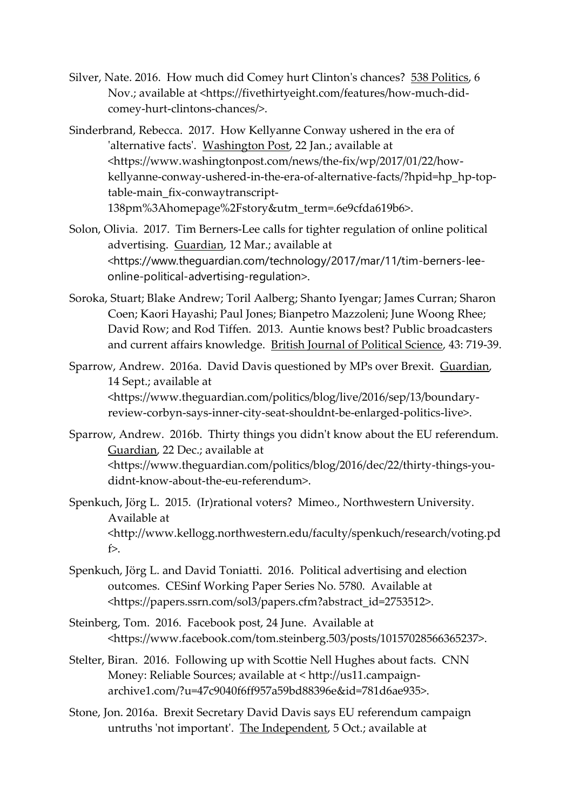- Silver, Nate. 2016. How much did Comey hurt Clinton's chances? 538 Politics, 6 Nov.; available at <https://fivethirtyeight.com/features/how-much-didcomey-hurt-clintons-chances/>.
- Sinderbrand, Rebecca. 2017. How Kellyanne Conway ushered in the era of 'alternative facts'. Washington Post, 22 Jan.; available at <https://www.washingtonpost.com/news/the-fix/wp/2017/01/22/howkellyanne-conway-ushered-in-the-era-of-alternative-facts/?hpid=hp\_hp-toptable-main\_fix-conwaytranscript-138pm%3Ahomepage%2Fstory&utm\_term=.6e9cfda619b6>.
- Solon, Olivia. 2017. Tim Berners-Lee calls for tighter regulation of online political advertising. Guardian, 12 Mar.; available at <https://www.theguardian.com/technology/2017/mar/11/tim-berners-leeonline-political-advertising-regulation>.
- Soroka, Stuart; Blake Andrew; Toril Aalberg; Shanto Iyengar; James Curran; Sharon Coen; Kaori Hayashi; Paul Jones; Bianpetro Mazzoleni; June Woong Rhee; David Row; and Rod Tiffen. 2013. Auntie knows best? Public broadcasters and current affairs knowledge. British Journal of Political Science, 43: 719-39.
- Sparrow, Andrew. 2016a. David Davis questioned by MPs over Brexit. Guardian, 14 Sept.; available at <https://www.theguardian.com/politics/blog/live/2016/sep/13/boundaryreview-corbyn-says-inner-city-seat-shouldnt-be-enlarged-politics-live>.
- Sparrow, Andrew. 2016b. Thirty things you didn't know about the EU referendum. Guardian, 22 Dec.; available at <https://www.theguardian.com/politics/blog/2016/dec/22/thirty-things-youdidnt-know-about-the-eu-referendum>.
- Spenkuch, Jörg L. 2015. (Ir)rational voters? Mimeo., Northwestern University. Available at <http://www.kellogg.northwestern.edu/faculty/spenkuch/research/voting.pd f>.
- Spenkuch, Jörg L. and David Toniatti. 2016. Political advertising and election outcomes. CESinf Working Paper Series No. 5780. Available at <https://papers.ssrn.com/sol3/papers.cfm?abstract\_id=2753512>.
- Steinberg, Tom. 2016. Facebook post, 24 June. Available at <https://www.facebook.com/tom.steinberg.503/posts/10157028566365237>.
- Stelter, Biran. 2016. Following up with Scottie Nell Hughes about facts. CNN Money: Reliable Sources; available at < http://us11.campaignarchive1.com/?u=47c9040f6ff957a59bd88396e&id=781d6ae935>.
- Stone, Jon. 2016a. Brexit Secretary David Davis says EU referendum campaign untruths 'not important'. The Independent, 5 Oct.; available at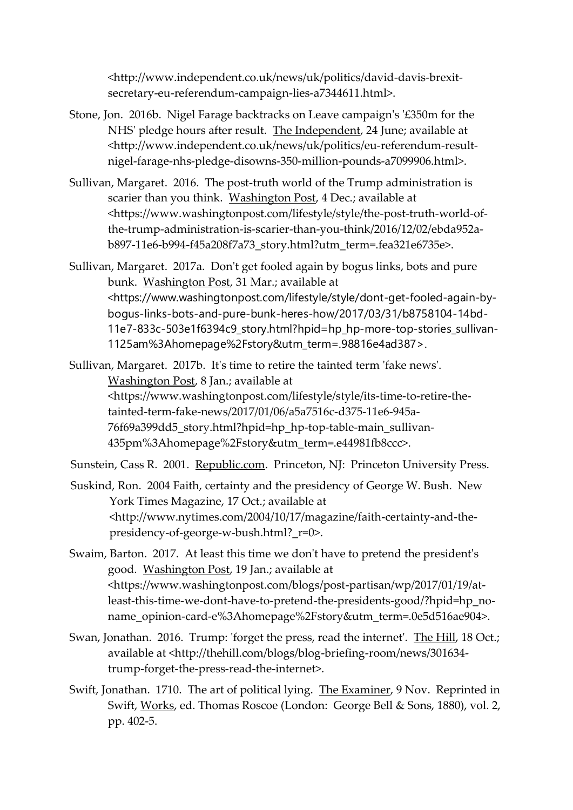<http://www.independent.co.uk/news/uk/politics/david-davis-brexitsecretary-eu-referendum-campaign-lies-a7344611.html>.

- Stone, Jon. 2016b. Nigel Farage backtracks on Leave campaign's '£350m for the NHS' pledge hours after result. The Independent, 24 June; available at <http://www.independent.co.uk/news/uk/politics/eu-referendum-resultnigel-farage-nhs-pledge-disowns-350-million-pounds-a7099906.html>.
- Sullivan, Margaret. 2016. The post-truth world of the Trump administration is scarier than you think. Washington Post, 4 Dec.; available at <https://www.washingtonpost.com/lifestyle/style/the-post-truth-world-ofthe-trump-administration-is-scarier-than-you-think/2016/12/02/ebda952ab897-11e6-b994-f45a208f7a73\_story.html?utm\_term=.fea321e6735e>.
- Sullivan, Margaret. 2017a. Don't get fooled again by bogus links, bots and pure bunk. Washington Post, 31 Mar.; available at <https://www.washingtonpost.com/lifestyle/style/dont-get-fooled-again-bybogus-links-bots-and-pure-bunk-heres-how/2017/03/31/b8758104-14bd-11e7-833c-503e1f6394c9\_story.html?hpid=hp\_hp-more-top-stories\_sullivan-1125am%3Ahomepage%2Fstory&utm\_term=.98816e4ad387>.

Sullivan, Margaret. 2017b. It's time to retire the tainted term 'fake news'. Washington Post, 8 Jan.; available at <https://www.washingtonpost.com/lifestyle/style/its-time-to-retire-thetainted-term-fake-news/2017/01/06/a5a7516c-d375-11e6-945a-76f69a399dd5 story.html?hpid=hp\_hp-top-table-main\_sullivan-435pm%3Ahomepage%2Fstory&utm\_term=.e44981fb8ccc>.

Sunstein, Cass R. 2001. Republic.com. Princeton, NJ: Princeton University Press.

- Suskind, Ron. 2004 Faith, certainty and the presidency of George W. Bush. New York Times Magazine, 17 Oct.; available at <http://www.nytimes.com/2004/10/17/magazine/faith-certainty-and-thepresidency-of-george-w-bush.html?\_r=0>.
- Swaim, Barton. 2017. At least this time we don't have to pretend the president's good. Washington Post, 19 Jan.; available at <https://www.washingtonpost.com/blogs/post-partisan/wp/2017/01/19/atleast-this-time-we-dont-have-to-pretend-the-presidents-good/?hpid=hp\_noname\_opinion-card-e%3Ahomepage%2Fstory&utm\_term=.0e5d516ae904>.
- Swan, Jonathan. 2016. Trump: 'forget the press, read the internet'. The Hill, 18 Oct.; available at <http://thehill.com/blogs/blog-briefing-room/news/301634 trump-forget-the-press-read-the-internet>.
- Swift, Jonathan. 1710. The art of political lying. The Examiner, 9 Nov. Reprinted in Swift, Works, ed. Thomas Roscoe (London: George Bell & Sons, 1880), vol. 2, pp. 402-5.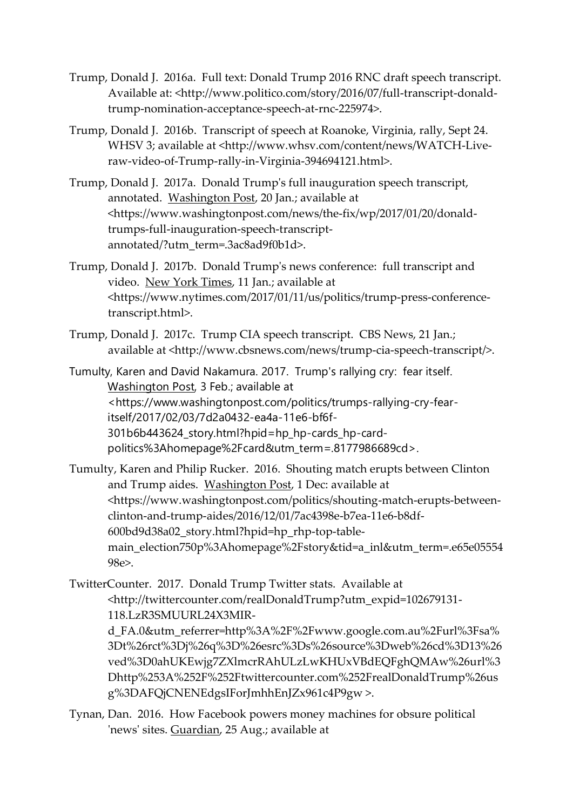- Trump, Donald J. 2016a. Full text: Donald Trump 2016 RNC draft speech transcript. Available at: <http://www.politico.com/story/2016/07/full-transcript-donaldtrump-nomination-acceptance-speech-at-rnc-225974>.
- Trump, Donald J. 2016b. Transcript of speech at Roanoke, Virginia, rally, Sept 24. WHSV 3; available at <http://www.whsv.com/content/news/WATCH-Liveraw-video-of-Trump-rally-in-Virginia-394694121.html>.
- Trump, Donald J. 2017a. Donald Trump's full inauguration speech transcript, annotated. Washington Post, 20 Jan.; available at <https://www.washingtonpost.com/news/the-fix/wp/2017/01/20/donaldtrumps-full-inauguration-speech-transcriptannotated/?utm\_term=.3ac8ad9f0b1d>.
- Trump, Donald J. 2017b. Donald Trump's news conference: full transcript and video. New York Times, 11 Jan.; available at <https://www.nytimes.com/2017/01/11/us/politics/trump-press-conferencetranscript.html>.
- Trump, Donald J. 2017c. Trump CIA speech transcript. CBS News, 21 Jan.; available at <http://www.cbsnews.com/news/trump-cia-speech-transcript/>.

Tumulty, Karen and David Nakamura. 2017. Trump's rallying cry: fear itself. Washington Post, 3 Feb.; available at <https://www.washingtonpost.com/politics/trumps-rallying-cry-fearitself/2017/02/03/7d2a0432-ea4a-11e6-bf6f-301b6b443624\_story.html?hpid=hp\_hp-cards\_hp-cardpolitics%3Ahomepage%2Fcard&utm\_term=.8177986689cd>.

Tumulty, Karen and Philip Rucker. 2016. Shouting match erupts between Clinton and Trump aides. Washington Post, 1 Dec: available at <https://www.washingtonpost.com/politics/shouting-match-erupts-betweenclinton-and-trump-aides/2016/12/01/7ac4398e-b7ea-11e6-b8df-600bd9d38a02\_story.html?hpid=hp\_rhp-top-tablemain\_election750p%3Ahomepage%2Fstory&tid=a\_inl&utm\_term=.e65e05554 98e>.

TwitterCounter. 2017. Donald Trump Twitter stats. Available at <http://twittercounter.com/realDonaldTrump?utm\_expid=102679131- 118.LzR3SMUURL24X3MIRd\_FA.0&utm\_referrer=http%3A%2F%2Fwww.google.com.au%2Furl%3Fsa% 3Dt%26rct%3Dj%26q%3D%26esrc%3Ds%26source%3Dweb%26cd%3D13%26 ved%3D0ahUKEwjg7ZXlmcrRAhULzLwKHUxVBdEQFghQMAw%26url%3 Dhttp%253A%252F%252Ftwittercounter.com%252FrealDonaldTrump%26us g%3DAFQjCNENEdgsIForJmhhEnJZx961c4P9gw >.

Tynan, Dan. 2016. How Facebook powers money machines for obsure political 'news' sites. Guardian, 25 Aug.; available at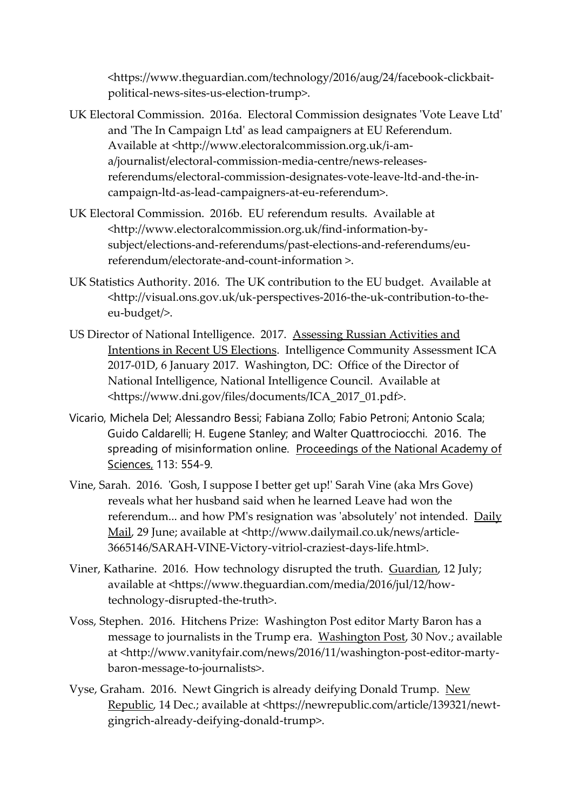<https://www.theguardian.com/technology/2016/aug/24/facebook-clickbaitpolitical-news-sites-us-election-trump>.

- UK Electoral Commission. 2016a. Electoral Commission designates 'Vote Leave Ltd' and 'The In Campaign Ltd' as lead campaigners at EU Referendum. Available at <http://www.electoralcommission.org.uk/i-ama/journalist/electoral-commission-media-centre/news-releasesreferendums/electoral-commission-designates-vote-leave-ltd-and-the-incampaign-ltd-as-lead-campaigners-at-eu-referendum>.
- UK Electoral Commission. 2016b. EU referendum results. Available at <http://www.electoralcommission.org.uk/find-information-bysubject/elections-and-referendums/past-elections-and-referendums/eureferendum/electorate-and-count-information >.
- UK Statistics Authority. 2016. The UK contribution to the EU budget. Available at <http://visual.ons.gov.uk/uk-perspectives-2016-the-uk-contribution-to-theeu-budget/>.
- US Director of National Intelligence. 2017. Assessing Russian Activities and Intentions in Recent US Elections. Intelligence Community Assessment ICA 2017-01D, 6 January 2017. Washington, DC: Office of the Director of National Intelligence, National Intelligence Council. Available at <https://www.dni.gov/files/documents/ICA\_2017\_01.pdf>.
- Vicario, Michela Del; Alessandro Bessi; Fabiana Zollo; Fabio Petroni; Antonio Scala; Guido Caldarelli; H. Eugene Stanley; and Walter Quattrociocchi. 2016. The spreading of misinformation online. Proceedings of the National Academy of Sciences, 113: 554-9.
- Vine, Sarah. 2016. 'Gosh, I suppose I better get up!' Sarah Vine (aka Mrs Gove) reveals what her husband said when he learned Leave had won the referendum... and how PM's resignation was 'absolutely' not intended. Daily Mail, 29 June; available at <http://www.dailymail.co.uk/news/article-3665146/SARAH-VINE-Victory-vitriol-craziest-days-life.html>.
- Viner, Katharine. 2016. How technology disrupted the truth. Guardian, 12 July; available at <https://www.theguardian.com/media/2016/jul/12/howtechnology-disrupted-the-truth>.
- Voss, Stephen. 2016. Hitchens Prize: Washington Post editor Marty Baron has a message to journalists in the Trump era. Washington Post, 30 Nov.; available at <http://www.vanityfair.com/news/2016/11/washington-post-editor-martybaron-message-to-journalists>.
- Vyse, Graham. 2016. Newt Gingrich is already deifying Donald Trump. New Republic, 14 Dec.; available at <https://newrepublic.com/article/139321/newtgingrich-already-deifying-donald-trump>.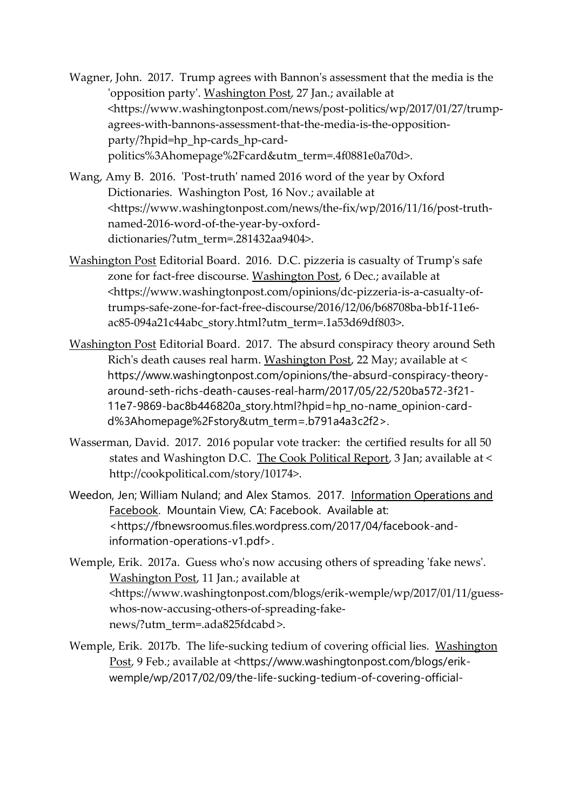- Wagner, John. 2017. Trump agrees with Bannon's assessment that the media is the 'opposition party'. Washington Post, 27 Jan.; available at <https://www.washingtonpost.com/news/post-politics/wp/2017/01/27/trumpagrees-with-bannons-assessment-that-the-media-is-the-oppositionparty/?hpid=hp\_hp-cards\_hp-cardpolitics%3Ahomepage%2Fcard&utm\_term=.4f0881e0a70d>.
- Wang, Amy B. 2016. 'Post-truth' named 2016 word of the year by Oxford Dictionaries. Washington Post, 16 Nov.; available at <https://www.washingtonpost.com/news/the-fix/wp/2016/11/16/post-truthnamed-2016-word-of-the-year-by-oxforddictionaries/?utm\_term=.281432aa9404>.
- Washington Post Editorial Board. 2016. D.C. pizzeria is casualty of Trump's safe zone for fact-free discourse. Washington Post, 6 Dec.; available at <https://www.washingtonpost.com/opinions/dc-pizzeria-is-a-casualty-oftrumps-safe-zone-for-fact-free-discourse/2016/12/06/b68708ba-bb1f-11e6 ac85-094a21c44abc\_story.html?utm\_term=.1a53d69df803>.
- Washington Post Editorial Board. 2017. The absurd conspiracy theory around Seth Rich's death causes real harm. Washington Post, 22 May; available at < https://www.washingtonpost.com/opinions/the-absurd-conspiracy-theoryaround-seth-richs-death-causes-real-harm/2017/05/22/520ba572-3f21- 11e7-9869-bac8b446820a\_story.html?hpid=hp\_no-name\_opinion-cardd%3Ahomepage%2Fstory&utm\_term=.b791a4a3c2f2>.
- Wasserman, David. 2017. 2016 popular vote tracker: the certified results for all 50 states and Washington D.C. The Cook Political Report, 3 Jan; available at < http://cookpolitical.com/story/10174>.
- Weedon, Jen; William Nuland; and Alex Stamos. 2017. Information Operations and Facebook. Mountain View, CA: Facebook. Available at: <https://fbnewsroomus.files.wordpress.com/2017/04/facebook-andinformation-operations-v1.pdf>.
- Wemple, Erik. 2017a. Guess who's now accusing others of spreading 'fake news'. Washington Post, 11 Jan.; available at <https://www.washingtonpost.com/blogs/erik-wemple/wp/2017/01/11/guesswhos-now-accusing-others-of-spreading-fakenews/?utm\_term=.ada825fdcabd>.
- Wemple, Erik. 2017b. The life-sucking tedium of covering official lies. Washington Post, 9 Feb.; available at <https://www.washingtonpost.com/blogs/erikwemple/wp/2017/02/09/the-life-sucking-tedium-of-covering-official-